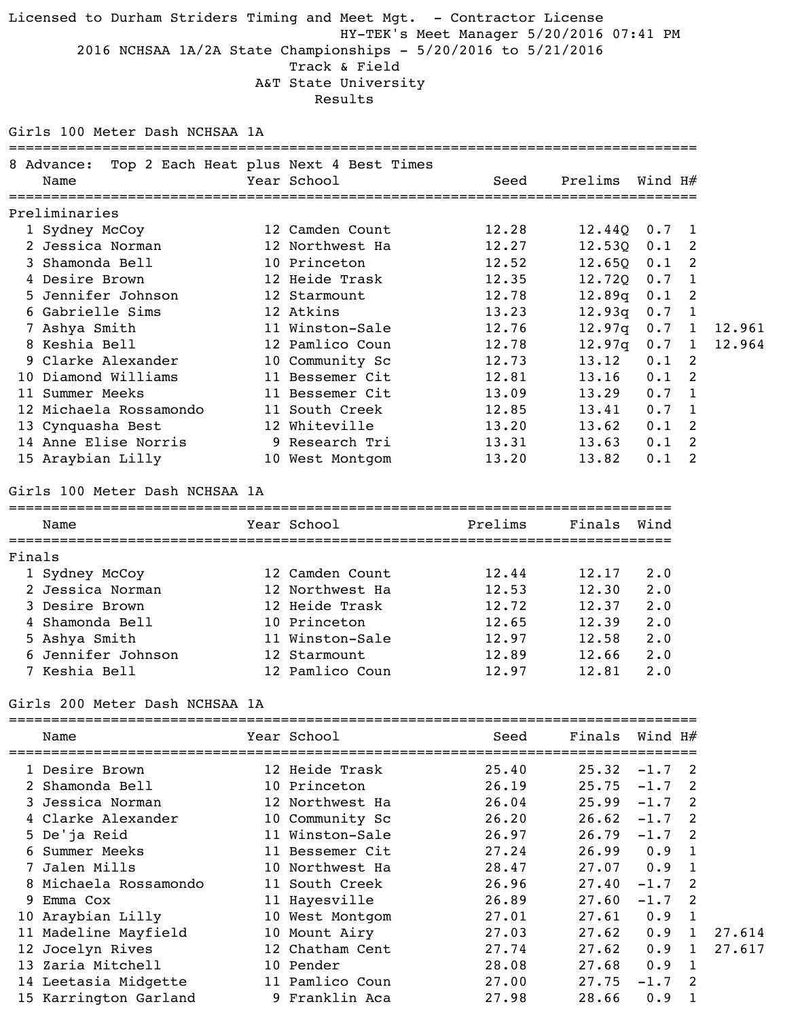Licensed to Durham Striders Timing and Meet Mgt. - Contractor License HY-TEK's Meet Manager 5/20/2016 07:41 PM 2016 NCHSAA 1A/2A State Championships - 5/20/2016 to 5/21/2016 Track & Field A&T State University Results

#### Girls 100 Meter Dash NCHSAA 1A

| 8 Advance:                                | Top 2 Each Heat plus Next 4 Best Times |                          |                          |                      |              |
|-------------------------------------------|----------------------------------------|--------------------------|--------------------------|----------------------|--------------|
| Name                                      | Year School                            | Seed                     | Prelims Wind $H#$        |                      |              |
| Preliminaries                             | ==============                         |                          |                          |                      |              |
|                                           | 12 Camden Count                        | 12.28                    | $12.44Q$ 0.7 1           |                      |              |
| 1 Sydney McCoy<br>2 Jessica Norman        | 12 Northwest Ha                        | 12.27                    | $12.530$ $0.1$           |                      | 2            |
| 3 Shamonda Bell                           | 10 Princeton                           | 12.52                    | $12.65Q$ 0.1 2           |                      |              |
| 4 Desire Brown                            | 12 Heide Trask                         | 12.35                    | $12.720$ 0.7 1           |                      |              |
| 5 Jennifer Johnson                        | 12 Starmount                           |                          | 12.89q 0.1               |                      | 2            |
| 6 Gabrielle Sims                          | 12 Atkins                              | 12.78                    |                          |                      |              |
|                                           | 11 Winston-Sale                        | 13.23                    | 12.93q                   | 0.7                  | $\mathbf{1}$ |
| 7 Ashya Smith                             |                                        | 12.76                    | $12.97q$ 0.7 1           |                      |              |
| 8 Keshia Bell                             | 12 Pamlico Coun                        | 12.78                    | $12.97q$ 0.7 1           |                      |              |
| 9 Clarke Alexander<br>10 Diamond Williams | 10 Community Sc<br>11 Bessemer Cit     | 12.73                    | 13.12                    | 0.1                  | 2<br>2       |
| 11 Summer Meeks                           | 11 Bessemer Cit                        | 12.81                    | 13.16                    | 0.1                  |              |
|                                           |                                        | 13.09                    | 13.29                    | $0.7 \quad 1$        |              |
| 12 Michaela Rossamondo                    | 11 South Creek<br>12 Whiteville        | 12.85                    | 13.41                    | $0.7 \quad 1$<br>0.1 | 2            |
| 13 Cynquasha Best                         |                                        | 13.20                    | 13.62                    |                      | 2            |
| 14 Anne Elise Norris<br>15 Araybian Lilly | 9 Research Tri<br>10 West Montgom      | 13.31<br>13.20           | 13.63<br>13.82           | 0.1<br>0.1           | 2            |
|                                           |                                        |                          |                          |                      |              |
| Girls 100 Meter Dash NCHSAA 1A            |                                        |                          |                          |                      |              |
| Name                                      | Year School                            | Prelims                  | Finals                   | Wind                 |              |
| Finals                                    |                                        |                          |                          |                      |              |
| 1 Sydney McCoy                            | 12 Camden Count                        | 12.44                    | 12.17                    | $2 \cdot 0$          |              |
| 2 Jessica Norman                          | 12 Northwest Ha                        | 12.53                    | 12.30                    | 2.0                  |              |
| 3 Desire Brown                            | 12 Heide Trask                         | 12.72                    | 12.37                    | 2.0                  |              |
| 4 Shamonda Bell                           | 10 Princeton                           | 12.65                    | 12.39                    | 2.0                  |              |
| 5 Ashya Smith                             | 11 Winston-Sale                        | 12.97                    | $12.58$ $2.0$            |                      |              |
| 6 Jennifer Johnson 12 Starmount           |                                        | $12.89$ $12.66$ $2.0$    |                          |                      |              |
| 7 Keshia Bell                             | 12 Pamlico Coun                        | 12.97                    | 12.81 2.0                |                      |              |
| Girls 200 Meter Dash NCHSAA 1A            |                                        |                          |                          |                      |              |
| Name                                      | Year School                            | Seed                     | Finals Wind $H#$         |                      |              |
| 1 Desire Brown                            | 12 Heide Trask                         |                          | $25.40$ $25.32$ $-1.7$ 2 |                      |              |
| 2 Shamonda Bell                           | 10 Princeton                           | $26.19$ $25.75$ $-1.7$ 2 |                          |                      |              |
| 3 Jessica Norman                          | 12 Northwest Ha                        | $26.04$ $25.99$ $-1.7$ 2 |                          |                      |              |
|                                           |                                        |                          |                          |                      |              |

| 4 Clarke Alexander |                                                                                                                                                                                                                               | 26.20                                                                                                                                                                                                                | 26.62 |     |                                     |                                                                                                                                  |
|--------------------|-------------------------------------------------------------------------------------------------------------------------------------------------------------------------------------------------------------------------------|----------------------------------------------------------------------------------------------------------------------------------------------------------------------------------------------------------------------|-------|-----|-------------------------------------|----------------------------------------------------------------------------------------------------------------------------------|
|                    |                                                                                                                                                                                                                               | 26.97                                                                                                                                                                                                                | 26.79 |     |                                     |                                                                                                                                  |
|                    |                                                                                                                                                                                                                               | 27.24                                                                                                                                                                                                                | 26.99 | 0.9 | $\overline{1}$                      |                                                                                                                                  |
|                    |                                                                                                                                                                                                                               | 28.47                                                                                                                                                                                                                |       | 0.9 |                                     |                                                                                                                                  |
|                    |                                                                                                                                                                                                                               | 26.96                                                                                                                                                                                                                | 27.40 |     |                                     |                                                                                                                                  |
|                    |                                                                                                                                                                                                                               | 26.89                                                                                                                                                                                                                | 27.60 |     |                                     |                                                                                                                                  |
|                    |                                                                                                                                                                                                                               | 27.01                                                                                                                                                                                                                | 27.61 | 0.9 |                                     |                                                                                                                                  |
|                    |                                                                                                                                                                                                                               | 27.03                                                                                                                                                                                                                |       |     |                                     | 27.614                                                                                                                           |
|                    |                                                                                                                                                                                                                               | 27.74                                                                                                                                                                                                                |       |     |                                     | 27.617                                                                                                                           |
|                    |                                                                                                                                                                                                                               | 28.08                                                                                                                                                                                                                | 27.68 | 0.9 | $\overline{1}$                      |                                                                                                                                  |
|                    |                                                                                                                                                                                                                               | 27.00                                                                                                                                                                                                                | 27.75 |     |                                     |                                                                                                                                  |
|                    |                                                                                                                                                                                                                               | 27.98                                                                                                                                                                                                                | 28.66 | 0.9 |                                     |                                                                                                                                  |
|                    | 5 De'ja Reid<br>6 Summer Meeks<br>7 Jalen Mills<br>8 Michaela Rossamondo<br>9 Emma Cox<br>10 Araybian Lilly<br>11 Madeline Mayfield<br>12 Jocelyn Rives<br>13 Zaria Mitchell<br>14 Leetasia Midgette<br>15 Karrington Garland | 10 Community Sc<br>11 Winston-Sale<br>11 Bessemer Cit<br>10 Northwest Ha<br>11 South Creek<br>11 Hayesville<br>10 West Montgom<br>10 Mount Airy<br>12 Chatham Cent<br>10 Pender<br>11 Pamlico Coun<br>9 Franklin Aca |       |     | 27.07<br>$27.62$ 0.9<br>$27.62$ 0.9 | $-1.7$ 2<br>$-1.7$ 2<br>$\overline{1}$<br>$-1.7$ 2<br>$-1.7$ 2<br>$\overline{1}$<br>$\overline{1}$<br>$\overline{1}$<br>$-1.7$ 2 |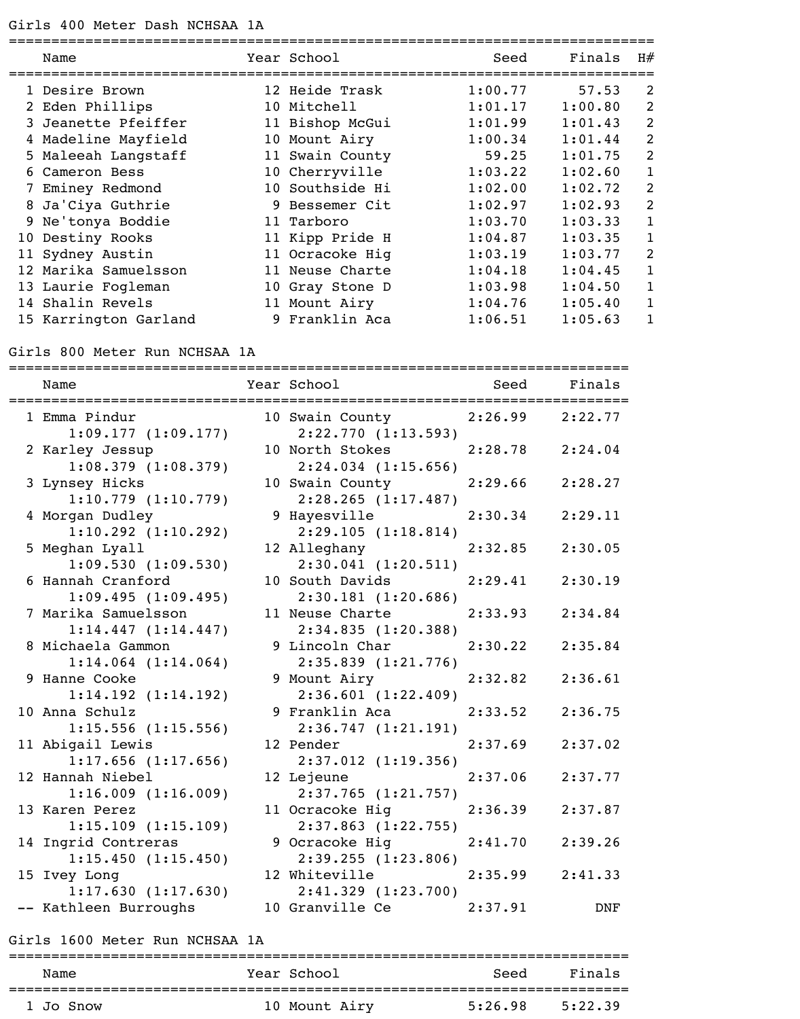| Name                  | Year School     | Seed    | Finals  | H#             |
|-----------------------|-----------------|---------|---------|----------------|
|                       |                 |         |         |                |
| 1 Desire Brown        | 12 Heide Trask  | 1:00.77 | 57.53   | 2              |
| 2 Eden Phillips       | 10 Mitchell     | 1:01.17 | 1:00.80 | 2              |
| 3 Jeanette Pfeiffer   | 11 Bishop McGui | 1:01.99 | 1:01.43 | $\overline{2}$ |
| 4 Madeline Mayfield   | 10 Mount Airy   | 1:00.34 | 1:01.44 | $\overline{2}$ |
| 5 Maleeah Langstaff   | 11 Swain County | 59.25   | 1:01.75 | 2              |
| 6 Cameron Bess        | 10 Cherryville  | 1:03.22 | 1:02.60 | 1              |
| 7 Eminey Redmond      | 10 Southside Hi | 1:02.00 | 1:02.72 | $\overline{2}$ |
| 8 Ja'Ciya Guthrie     | 9 Bessemer Cit  | 1:02.97 | 1:02.93 | $\overline{2}$ |
| 9 Ne'tonya Boddie     | 11 Tarboro      | 1:03.70 | 1:03.33 | 1              |
| 10 Destiny Rooks      | 11 Kipp Pride H | 1:04.87 | 1:03.35 | $\mathbf 1$    |
| 11 Sydney Austin      | 11 Ocracoke Hiq | 1:03.19 | 1:03.77 | $\overline{2}$ |
| 12 Marika Samuelsson  | 11 Neuse Charte | 1:04.18 | 1:04.45 | 1              |
| 13 Laurie Fogleman    | 10 Gray Stone D | 1:03.98 | 1:04.50 | 1              |
| 14 Shalin Revels      | 11 Mount Airy   | 1:04.76 | 1:05.40 | 1              |
| 15 Karrington Garland | 9 Franklin Aca  | 1:06.51 | 1:05.63 | 1              |

## Girls 800 Meter Run NCHSAA 1A

| :========<br>Name       | Year School and Seed Finals |                     |            |
|-------------------------|-----------------------------|---------------------|------------|
| 1 Emma Pindur           | 10 Swain County             | $2:26.99$ $2:22.77$ |            |
| 1:09.177(1:09.177)      | 2:22.770(1:13.593)          |                     |            |
| 2 Karley Jessup         | 10 North Stokes             | 2:28.78 2:24.04     |            |
| 1:08.379(1:08.379)      | $2:24.034$ $(1:15.656)$     |                     |            |
| 3 Lynsey Hicks          | 10 Swain County             | 2:29.66             | 2:28.27    |
| 1:10.779(1:10.779)      | $2:28.265$ $(1:17.487)$     |                     |            |
| 4 Morgan Dudley         | 9 Hayesville                | 2:30.34             | 2:29.11    |
| $1:10.292$ $(1:10.292)$ | 2:29.105(1:18.814)          |                     |            |
| 5 Meghan Lyall          | 12 Alleghany                | 2:32.85             | 2:30.05    |
| 1:09.530(1:09.530)      | $2:30.041$ $(1:20.511)$     |                     |            |
| 6 Hannah Cranford       | 10 South Davids             | 2:29.41             | 2:30.19    |
| 1:09.495(1:09.495)      | 2:30.181 (1:20.686)         |                     |            |
| 7 Marika Samuelsson     | 11 Neuse Charte             | 2:33.93             | 2:34.84    |
| 1:14.447(1:14.447)      | 2:34.835 (1:20.388)         |                     |            |
| 8 Michaela Gammon       | 9 Lincoln Char              | 2:30.22             | 2:35.84    |
| $1:14.064$ $(1:14.064)$ | $2:35.839$ $(1:21.776)$     |                     |            |
| 9 Hanne Cooke           | 9 Mount Airy                | 2:32.82             | 2:36.61    |
| 1:14.192(1:14.192)      | 2:36.601(1:22.409)          |                     |            |
| 10 Anna Schulz          | 9 Franklin Aca              | 2:33.52             | 2:36.75    |
| $1:15.556$ $(1:15.556)$ | 2:36.747(1:21.191)          |                     |            |
| 11 Abigail Lewis        | 12 Pender                   | 2:37.69             | 2:37.02    |
| $1:17.656$ $(1:17.656)$ | 2:37.012 (1:19.356)         |                     |            |
| 12 Hannah Niebel        | 12 Lejeune                  | 2:37.06             | 2:37.77    |
| 1:16.009(1:16.009)      | 2:37.765(1:21.757)          |                     |            |
| 13 Karen Perez          | 11 Ocracoke Hig             | 2:36.39             | 2:37.87    |
| 1:15.109(1:15.109)      | $2:37.863$ $(1:22.755)$     |                     |            |
| 14 Ingrid Contreras     | 9 Ocracoke Hig              | 2:41.70             | 2:39.26    |
| 1:15.450(1:15.450)      | 2:39.255(1:23.806)          |                     |            |
| 15 Ivey Long            | 12 Whiteville               | 2:35.99             | 2:41.33    |
| 1:17.630(1:17.630)      | $2:41.329$ $(1:23.700)$     |                     |            |
| -- Kathleen Burroughs   | 10 Granville Ce             | 2:37.91             | <b>DNF</b> |

#### Girls 1600 Meter Run NCHSAA 1A

| Name      | Year School   | Seed    | Finals  |
|-----------|---------------|---------|---------|
|           |               |         |         |
| 1 Jo Snow | 10 Mount Airy | 5:26.98 | 5:22.39 |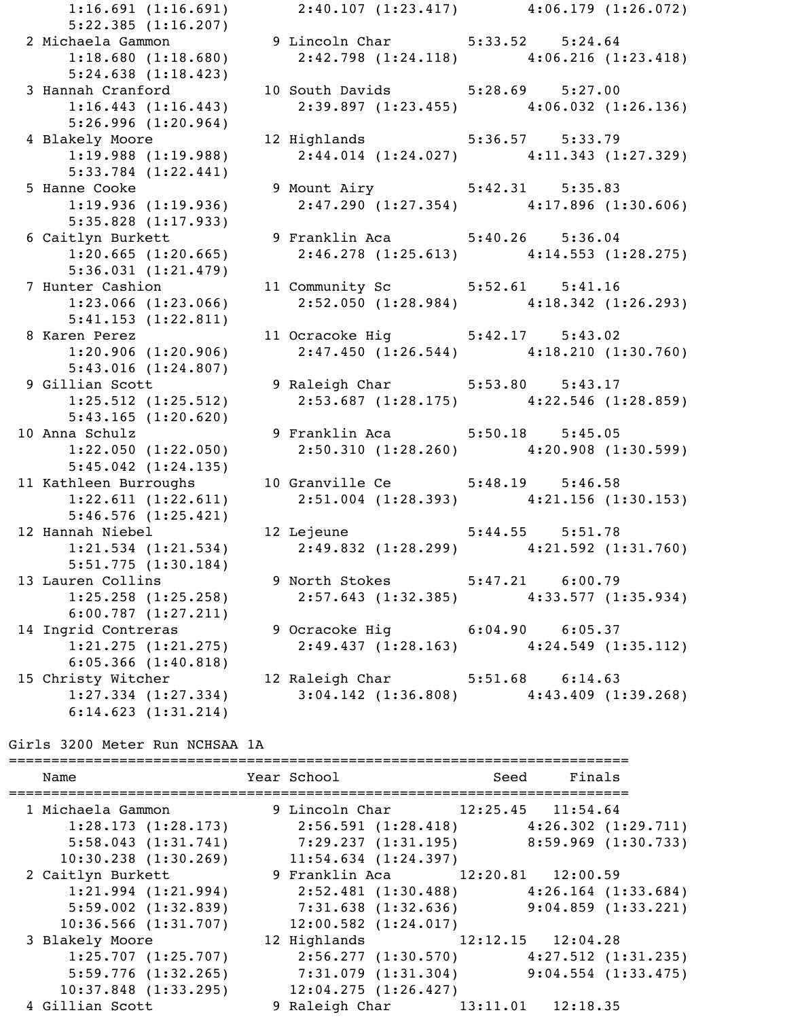5:22.385 (1:16.207) 5:24.638 (1:18.423) 5:26.996 (1:20.964) 5:33.784 (1:22.441) 5:35.828 (1:17.933) 5:36.031 (1:21.479) 5:41.153 (1:22.811) 5:43.016 (1:24.807) 5:43.165 (1:20.620) 5:45.042 (1:24.135) 5:46.576 (1:25.421) 5:51.775 (1:30.184) 6:00.787 (1:27.211) 6:05.366 (1:40.818)

 1:16.691 (1:16.691) 2:40.107 (1:23.417) 4:06.179 (1:26.072) 2 Michaela Gammon 9 Lincoln Char 5:33.52 5:24.64 1:18.680 (1:18.680) 2:42.798 (1:24.118) 4:06.216 (1:23.418) 3 Hannah Cranford 10 South Davids 5:28.69 5:27.00 1:16.443 (1:16.443) 2:39.897 (1:23.455) 4:06.032 (1:26.136) 4 Blakely Moore 12 Highlands 5:36.57 5:33.79 1:19.988 (1:19.988) 2:44.014 (1:24.027) 4:11.343 (1:27.329) 5 Hanne Cooke 19 Mount Airy 5:42.31 5:35.83 1:19.936 (1:19.936) 2:47.290 (1:27.354) 4:17.896 (1:30.606) 6 Caitlyn Burkett 9 Franklin Aca 5:40.26 5:36.04 1:20.665 (1:20.665) 2:46.278 (1:25.613) 4:14.553 (1:28.275) 7 Hunter Cashion 11 Community Sc 5:52.61 5:41.16 1:23.066 (1:23.066) 2:52.050 (1:28.984) 4:18.342 (1:26.293) 8 Karen Perez 11 Ocracoke Hig 5:42.17 5:43.02 1:20.906 (1:20.906) 2:47.450 (1:26.544) 4:18.210 (1:30.760) 9 Gillian Scott 9 Raleigh Char 5:53.80 5:43.17<br>1) 9 Gillian Scott 9 Raleigh Char 5:53.80 5:43.17 1:25.512 (1:25.512) 2:53.687 (1:28.175) 4:22.546 (1:28.859) 10 Anna Schulz (1120101), 9 Franklin Aca 5:50.18 5:45.05 1:22.050 (1:22.050) 2:50.310 (1:28.260) 4:20.908 (1:30.599) 11 Kathleen Burroughs (10 Granville Ce 5:48.19 5:46.58 1:22.611 (1:22.611) 2:51.004 (1:28.393) 4:21.156 (1:30.153) 12 Hannah Niebel 12 Lejeune 5:44.55 5:51.78 1:21.534 (1:21.534) 2:49.832 (1:28.299) 4:21.592 (1:31.760) 13 Lauren Collins 9 North Stokes 5:47.21 6:00.79 1:25.258 (1:25.258) 2:57.643 (1:32.385) 4:33.577 (1:35.934) 14 Ingrid Contreras 9 Ocracoke Hig 5:04.90 6:05.37 1:21.275 (1:21.275) 2:49.437 (1:28.163) 4:24.549 (1:35.112) 15 Christy Witcher 12 Raleigh Char 5:51.68 6:14.63 1:27.334 (1:27.334) 3:04.142 (1:36.808) 4:43.409 (1:39.268)

#### Girls 3200 Meter Run NCHSAA 1A

6:14.623 (1:31.214)

========================================================================= Name Tear School Seed Finals ========================================================================= 1 Michaela Gammon 9 Lincoln Char 12:25.45 11:54.64 1:28.173 (1:28.173) 2:56.591 (1:28.418) 4:26.302 (1:29.711) 5:58.043 (1:31.741) 7:29.237 (1:31.195) 8:59.969 (1:30.733) 10:30.238 (1:30.269) 11:54.634 (1:24.397) 2 Caitlyn Burkett 9 Franklin Aca 12:20.81 12:00.59 1:21.994 (1:21.994) 2:52.481 (1:30.488) 4:26.164 (1:33.684) 5:59.002 (1:32.839) 7:31.638 (1:32.636) 9:04.859 (1:33.221) 10:36.566 (1:31.707) 12:00.582 (1:24.017) 3 Blakely Moore 12 Highlands 12:12.15 12:04.28 1:25.707 (1:25.707) 2:56.277 (1:30.570) 4:27.512 (1:31.235) 5:59.776 (1:32.265) 7:31.079 (1:31.304) 9:04.554 (1:33.475) 10:37.848 (1:33.295) 12:04.275 (1:26.427) 4 Gillian Scott 9 Raleigh Char 13:11.01 12:18.35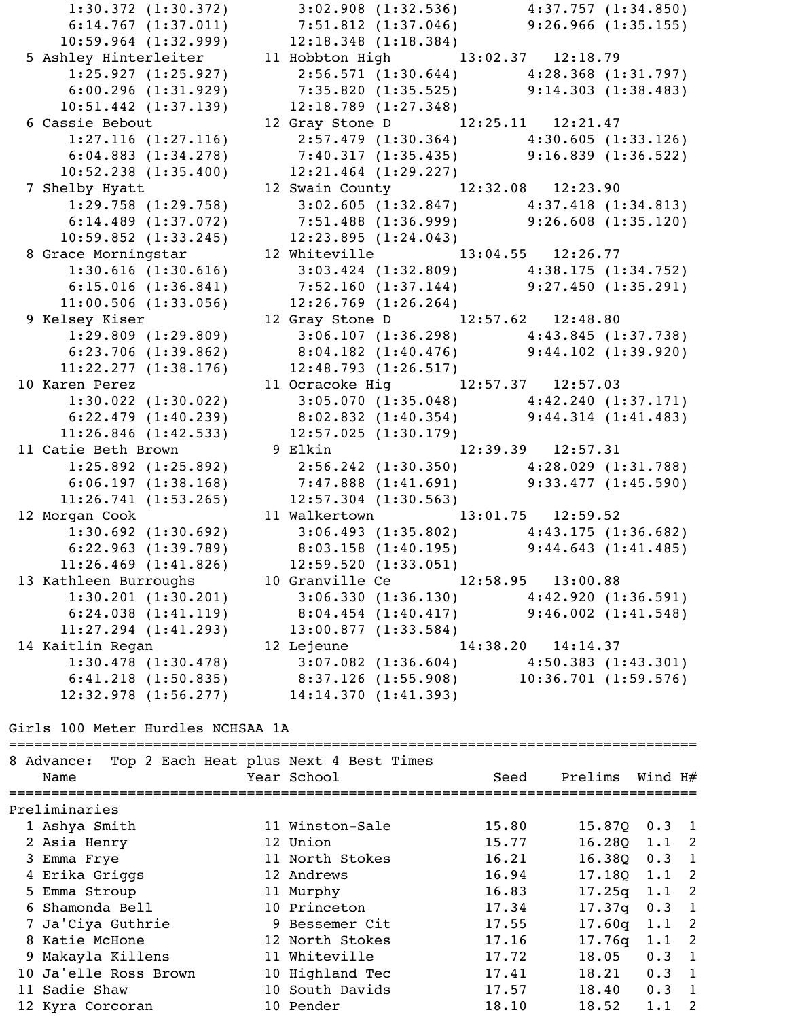1:30.372 (1:30.372) 3:02.908 (1:32.536) 4:37.757 (1:34.850) 6:14.767 (1:37.011) 7:51.812 (1:37.046) 9:26.966 (1:35.155) 10:59.964 (1:32.999) 12:18.348 (1:18.384) 5 Ashley Hinterleiter 11 Hobbton High 13:02.37 12:18.79 1:25.927 (1:25.927) 2:56.571 (1:30.644) 4:28.368 (1:31.797) 6:00.296 (1:31.929) 7:35.820 (1:35.525) 9:14.303 (1:38.483) 10:51.442 (1:37.139) 12:18.789 (1:27.348) 6 Cassie Bebout 12 Gray Stone D 12:25.11 12:21.47 1:27.116 (1:27.116) 2:57.479 (1:30.364) 4:30.605 (1:33.126) 6:04.883 (1:34.278) 7:40.317 (1:35.435) 9:16.839 (1:36.522) 10:52.238 (1:35.400) 12:21.464 (1:29.227) 7 Shelby Hyatt 12 Swain County 12:32.08 12:23.90 1:29.758 (1:29.758) 3:02.605 (1:32.847) 4:37.418 (1:34.813) 6:14.489 (1:37.072) 7:51.488 (1:36.999) 9:26.608 (1:35.120) 10:59.852 (1:33.245) 12:23.895 (1:24.043) 8 Grace Morningstar 12 Whiteville 13:04.55 12:26.77 1:30.616 (1:30.616) 3:03.424 (1:32.809) 4:38.175 (1:34.752) 6:15.016 (1:36.841) 7:52.160 (1:37.144) 9:27.450 (1:35.291) 11:00.506 (1:33.056) 12:26.769 (1:26.264) 9 Kelsey Kiser 12 Gray Stone D 12:57.62 12:48.80 1:29.809 (1:29.809) 3:06.107 (1:36.298) 4:43.845 (1:37.738) 6:23.706 (1:39.862) 8:04.182 (1:40.476) 9:44.102 (1:39.920) 11:22.277 (1:38.176) 12:48.793 (1:26.517) 10 Karen Perez 11 Ocracoke Hig 12:57.37 12:57.03 1:30.022 (1:30.022) 3:05.070 (1:35.048) 4:42.240 (1:37.171) 6:22.479 (1:40.239) 8:02.832 (1:40.354) 9:44.314 (1:41.483) 11:26.846 (1:42.533) 12:57.025 (1:30.179) 11 Catie Beth Brown 9 Elkin 12:39.39 12:57.31 1:25.892 (1:25.892) 2:56.242 (1:30.350) 4:28.029 (1:31.788) 6:06.197 (1:38.168) 7:47.888 (1:41.691) 9:33.477 (1:45.590) 11:26.741 (1:53.265) 12:57.304 (1:30.563) 12 Morgan Cook 11 Walkertown 13:01.75 12:59.52 1:30.692 (1:30.692) 3:06.493 (1:35.802) 4:43.175 (1:36.682) 6:22.963 (1:39.789) 8:03.158 (1:40.195) 9:44.643 (1:41.485) 11:26.469 (1:41.826) 12:59.520 (1:33.051) 13 Kathleen Burroughs 10 Granville Ce 12:58.95 13:00.88 1:30.201 (1:30.201) 3:06.330 (1:36.130) 4:42.920 (1:36.591) 6:24.038 (1:41.119) 8:04.454 (1:40.417) 9:46.002 (1:41.548) 11:27.294 (1:41.293) 13:00.877 (1:33.584) 14 Kaitlin Regan 12 Lejeune 14:38.20 14:14.37 1:30.478 (1:30.478) 3:07.082 (1:36.604) 4:50.383 (1:43.301) 6:41.218 (1:50.835) 8:37.126 (1:55.908) 10:36.701 (1:59.576) 12:32.978 (1:56.277) 14:14.370 (1:41.393)

### Girls 100 Meter Hurdles NCHSAA 1A

| 8 Advance:<br>Name    | Top 2 Each Heat plus Next 4 Best Times<br>Year School | Seed  | Prelims Wind $H#$ |               |     |
|-----------------------|-------------------------------------------------------|-------|-------------------|---------------|-----|
| Preliminaries         |                                                       |       |                   |               |     |
| 1 Ashya Smith         | 11 Winston-Sale                                       | 15.80 | 15.87Q            | $0.3$ 1       |     |
| 2 Asia Henry          | 12 Union                                              | 15.77 | 16.280            | $1.1 \quad 2$ |     |
| 3 Emma Frye           | 11 North Stokes                                       | 16.21 | 16.380            | 0.3           | -1  |
| 4 Erika Griggs        | 12 Andrews                                            | 16.94 | 17.180            | 1.1           | -2  |
| 5 Emma Stroup         | 11 Murphy                                             | 16.83 | 17.25q            | 1.1           | -2  |
| 6 Shamonda Bell       | 10 Princeton                                          | 17.34 | 17.37q            | 0.3           | - 1 |
| 7 Ja'Ciya Guthrie     | 9 Bessemer Cit                                        | 17.55 | 17.60q            | $1.1 \quad 2$ |     |
| 8 Katie McHone        | 12 North Stokes                                       | 17.16 | 17.76q            | 1.1           | -2  |
| 9 Makayla Killens     | 11 Whiteville                                         | 17.72 | 18.05             | 0.3           | - 1 |
| 10 Ja'elle Ross Brown | 10 Highland Tec                                       | 17.41 | 18.21             | $0.3 \quad 1$ |     |
| 11 Sadie Shaw         | 10 South Davids                                       | 17.57 | 18.40             | $0.3 \quad 1$ |     |
| 12 Kyra Corcoran      | 10 Pender                                             | 18.10 | 18.52             | 1.1           | 2   |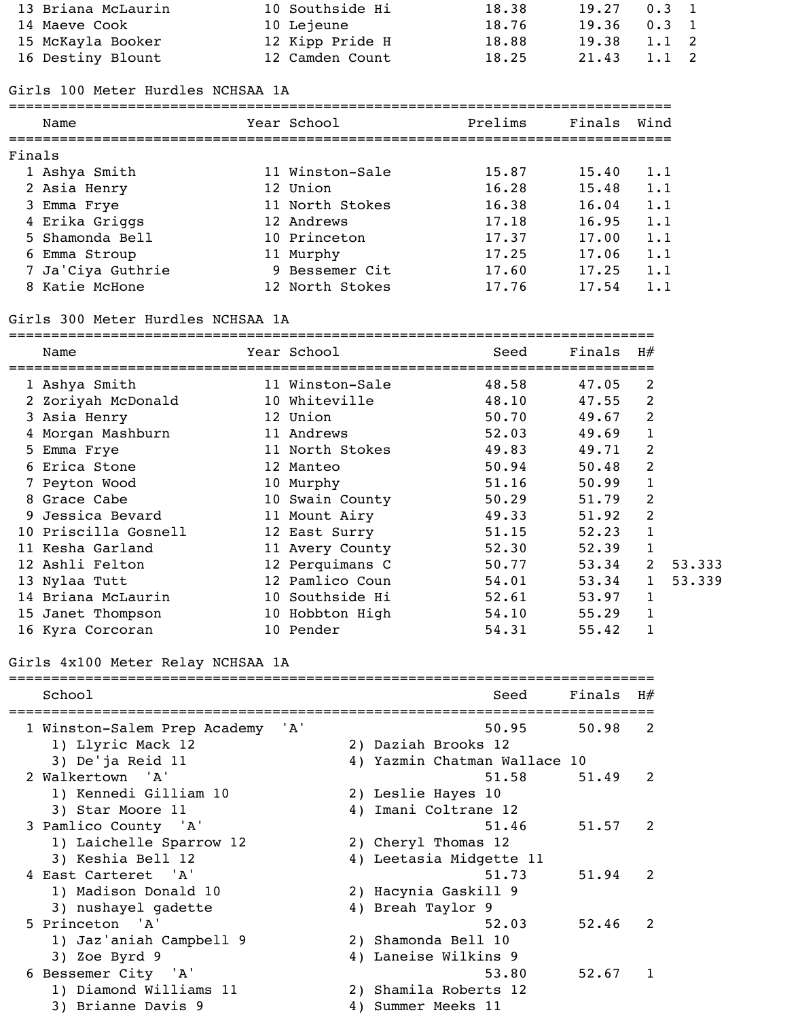| 13 Briana McLaurin | 10 Southside Hi | 18.38 | $19.27$ 0.3 1   |       |  |
|--------------------|-----------------|-------|-----------------|-------|--|
| 14 Maeve Cook      | 10 Lejeune      | 18.76 | $19.36$ 0.3 1   |       |  |
| 15 McKayla Booker  | 12 Kipp Pride H | 18.88 | $19.38$ $1.1$ 2 |       |  |
| 16 Destiny Blount  | 12 Camden Count | 18.25 | 21.43           | 1.1 2 |  |
|                    |                 |       |                 |       |  |

## Girls 100 Meter Hurdles NCHSAA 1A

|        | Name              | Year School     | Prelims | Finals | Wind |
|--------|-------------------|-----------------|---------|--------|------|
| Finals |                   |                 |         |        |      |
|        | 1 Ashya Smith     | 11 Winston-Sale | 15.87   | 15.40  | 1.1  |
|        | 2 Asia Henry      | 12 Union        | 16.28   | 15.48  | 1.1  |
|        | 3 Emma Frye       | 11 North Stokes | 16.38   | 16.04  | 1.1  |
|        | 4 Erika Griggs    | 12 Andrews      | 17.18   | 16.95  | 1.1  |
|        | 5 Shamonda Bell   | 10 Princeton    | 17.37   | 17.00  | 1.1  |
|        | 6 Emma Stroup     | 11 Murphy       | 17.25   | 17.06  | 1.1  |
|        | 7 Ja'Ciya Guthrie | 9 Bessemer Cit  | 17.60   | 17.25  | 1.1  |
|        | 8 Katie McHone    | 12 North Stokes | 17.76   | 17.54  | 1.1  |
|        |                   |                 |         |        |      |

### Girls 300 Meter Hurdles NCHSAA 1A

============================================================================

| Name                 | Year School     | Seed  | Finals | H#             |        |
|----------------------|-----------------|-------|--------|----------------|--------|
| 1 Ashya Smith        | 11 Winston-Sale | 48.58 | 47.05  | 2              |        |
| 2 Zoriyah McDonald   | 10 Whiteville   | 48.10 | 47.55  | $\overline{2}$ |        |
| 3 Asia Henry         | 12 Union        | 50.70 | 49.67  | $\overline{2}$ |        |
| 4 Morgan Mashburn    | 11 Andrews      | 52.03 | 49.69  |                |        |
| 5 Emma Frye          | 11 North Stokes | 49.83 | 49.71  | $\overline{2}$ |        |
| 6 Erica Stone        | 12 Manteo       | 50.94 | 50.48  | $\overline{2}$ |        |
| 7 Peyton Wood        | 10 Murphy       | 51.16 | 50.99  |                |        |
| 8 Grace Cabe         | 10 Swain County | 50.29 | 51.79  | 2              |        |
| 9 Jessica Bevard     | 11 Mount Airy   | 49.33 | 51.92  | 2              |        |
| 10 Priscilla Gosnell | 12 East Surry   | 51.15 | 52.23  |                |        |
| 11 Kesha Garland     | 11 Avery County | 52.30 | 52.39  |                |        |
| 12 Ashli Felton      | 12 Perquimans C | 50.77 | 53.34  | 2              | 53.333 |
| 13 Nylaa Tutt        | 12 Pamlico Coun | 54.01 | 53.34  |                | 53.339 |
| 14 Briana McLaurin   | 10 Southside Hi | 52.61 | 53.97  |                |        |
| 15 Janet Thompson    | 10 Hobbton High | 54.10 | 55.29  |                |        |
| 16 Kyra Corcoran     | 10 Pender       | 54.31 | 55.42  |                |        |

# Girls 4x100 Meter Relay NCHSAA 1A

| School                           |    | Seed                         | Finals | H#            |
|----------------------------------|----|------------------------------|--------|---------------|
| 1 Winston-Salem Prep Academy 'A' |    | 50.95                        | 50.98  | 2             |
| 1) Llyric Mack 12                |    | 2) Daziah Brooks 12          |        |               |
| 3) De'ja Reid 11                 |    | 4) Yazmin Chatman Wallace 10 |        |               |
| 2 Walkertown 'A'                 |    | 51.58                        | 51.49  | $\mathcal{L}$ |
| 1) Kennedi Gilliam 10            |    | 2) Leslie Hayes 10           |        |               |
| 3) Star Moore 11                 |    | 4) Imani Coltrane 12         |        |               |
| 3 Pamlico County 'A'             |    | 51.46                        | 51.57  | $\mathcal{L}$ |
| 1) Laichelle Sparrow 12          |    | 2) Cheryl Thomas 12          |        |               |
| 3) Keshia Bell 12                |    | 4) Leetasia Midgette 11      |        |               |
| 4 East Carteret 'A'              |    | 51.73                        | 51.94  | 2             |
| 1) Madison Donald 10             |    | 2) Hacynia Gaskill 9         |        |               |
| 3) nushayel gadette              |    | 4) Breah Taylor 9            |        |               |
| 5 Princeton 'A'                  |    | 52.03                        | 52.46  | $\mathcal{L}$ |
| 1) Jaz'aniah Campbell 9          |    | 2) Shamonda Bell 10          |        |               |
| 3) Zoe Byrd 9                    |    | 4) Laneise Wilkins 9         |        |               |
| 6 Bessemer City 'A'              |    | 53.80                        | 52.67  | 1             |
| 1) Diamond Williams 11           |    | 2) Shamila Roberts 12        |        |               |
| 3) Brianne Davis 9               | 4) | Summer Meeks 11              |        |               |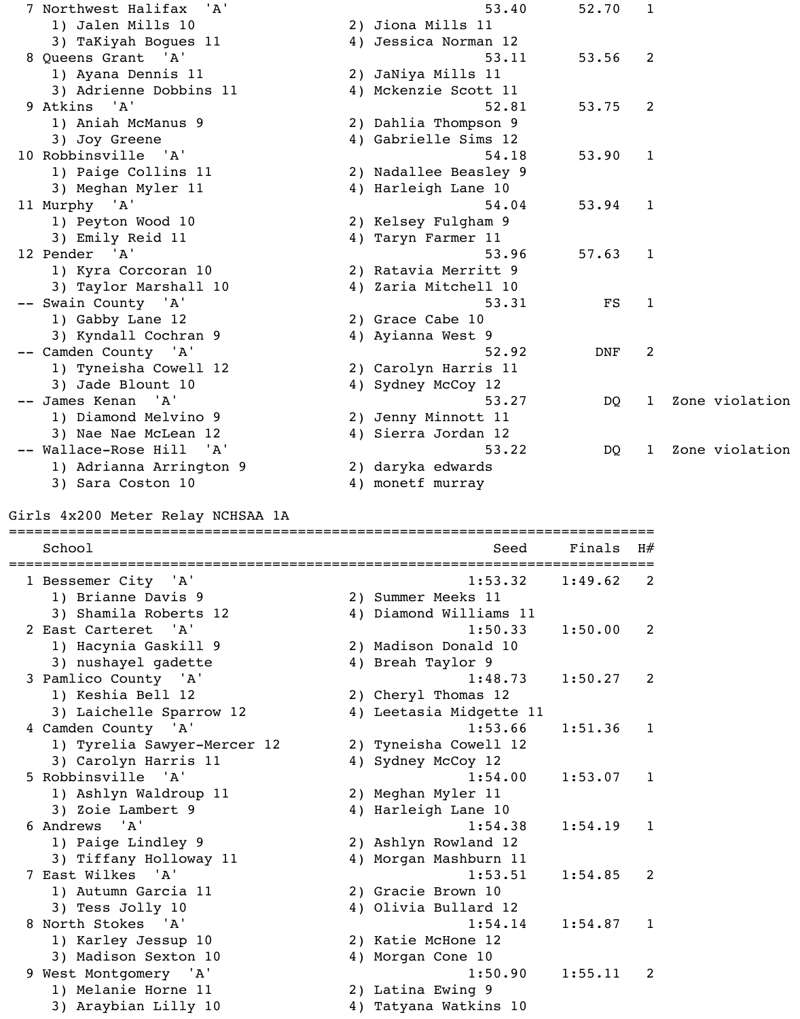7 Northwest Halifax 'A' 53.40 52.70 1 1) Jalen Mills 10 2) Jiona Mills 11 3) TaKiyah Bogues 11 (4) Jessica Norman 12 8 Queens Grant 'A' 53.11 53.56 2 1) Ayana Dennis 11 2) JaNiya Mills 11 3) Adrienne Dobbins 11 4) Mckenzie Scott 11 9 Atkins 'A' 53.75 2 1) Aniah McManus 9 2) Dahlia Thompson 9 3) Joy Greene 4) Gabrielle Sims 12 10 Robbinsville 'A' 54.18 53.90 1 1) Paige Collins 11 2) Nadallee Beasley 9 3) Meghan Myler 11 4) Harleigh Lane 10 11 Murphy 'A' 54.04 53.94 1 1) Peyton Wood 10 2) Kelsey Fulgham 9 3) Emily Reid 11 1 4) Taryn Farmer 11 12 Pender 'A' 53.96 57.63 1 1) Kyra Corcoran 10 2) Ratavia Merritt 9 3) Taylor Marshall 10 4) Zaria Mitchell 10 -- Swain County 'A' 53.31 FS 1 1) Gabby Lane 12 2) Grace Cabe 10 3) Kyndall Cochran 9 4) Ayianna West 9 -- Camden County 'A' 32.92 DNF 2 1) Tyneisha Cowell 12 2) Carolyn Harris 11 3) Jade Blount 10 4) Sydney McCoy 12 -- James Kenan 'A' 53.27 DQ 1 Zone violation 1) Diamond Melvino 9 2) Jenny Minnott 11 3) Nae Nae McLean 12 4) Sierra Jordan 12 -- Wallace-Rose Hill 'A' 33.22 DQ 1 Zone violation 1) Adrianna Arrington 9 2) daryka edwards 3) Sara Coston 10 4) monetf murray Girls 4x200 Meter Relay NCHSAA 1A ============================================================================ School Seed Finals H#

============================================================================ 1 Bessemer City 'A' 1) Brianne Davis 9 3) Shamila Roberts 12 2 East Carteret 'A' 1) Hacynia Gaskill 9 3) nushayel gadette 3 Pamlico County 'A' 1) Keshia Bell 12 3) Laichelle Sparrow 12 4 Camden County 'A' 1) Tyrelia Sawyer-Mercer 12 3) Carolyn Harris 11 5 Robbinsville 'A' 1) Ashlyn Waldroup 11 3) Zoie Lambert 9 6 Andrews 'A' 1) Paige Lindley 9 3) Tiffany Holloway 11 7 East Wilkes 'A' 1) Autumn Garcia 11 3) Tess Jolly 10 8 North Stokes 'A' 1) Karley Jessup 10 3) Madison Sexton 10 9 West Montgomery 'A' 1) Melanie Horne 11 3) Araybian Lilly 10

|    |                         | ======  |              |
|----|-------------------------|---------|--------------|
|    | 1:53.32                 | 1:49.62 | 2            |
|    | 2) Summer Meeks 11      |         |              |
|    | 4) Diamond Williams 11  |         |              |
|    | 1:50.33                 | 1:50.00 | 2            |
| 2) | Madison Donald 10       |         |              |
|    | 4) Breah Taylor 9       |         |              |
|    | 1:48.73                 | 1:50.27 | 2            |
| 2) | Cheryl Thomas 12        |         |              |
|    | 4) Leetasia Midgette 11 |         |              |
|    | 1:53.66                 | 1:51.36 | 1            |
|    | 2) Tyneisha Cowell 12   |         |              |
|    | 4) Sydney McCoy 12      |         |              |
|    | 1:54.00                 | 1:53.07 | $\mathbf{1}$ |
|    | 2) Meghan Myler 11      |         |              |
| 4) | Harleigh Lane 10        |         |              |
|    | 1:54.38                 | 1:54.19 | $\mathbf{1}$ |
|    | 2) Ashlyn Rowland 12    |         |              |
| 4) | Morgan Mashburn 11      |         |              |
|    | 1:53.51                 | 1:54.85 | 2            |
|    | 2) Gracie Brown 10      |         |              |
| 4) | Olivia Bullard 12       |         |              |
|    | 1:54.14                 | 1:54.87 | $\mathbf 1$  |
|    | 2) Katie McHone 12      |         |              |
| 4) | Morgan Cone 10          |         |              |
|    | 1:50.90                 | 1:55.11 | 2            |
| 2) | Latina Ewing 9          |         |              |
| 4) | Tatyana Watkins 10      |         |              |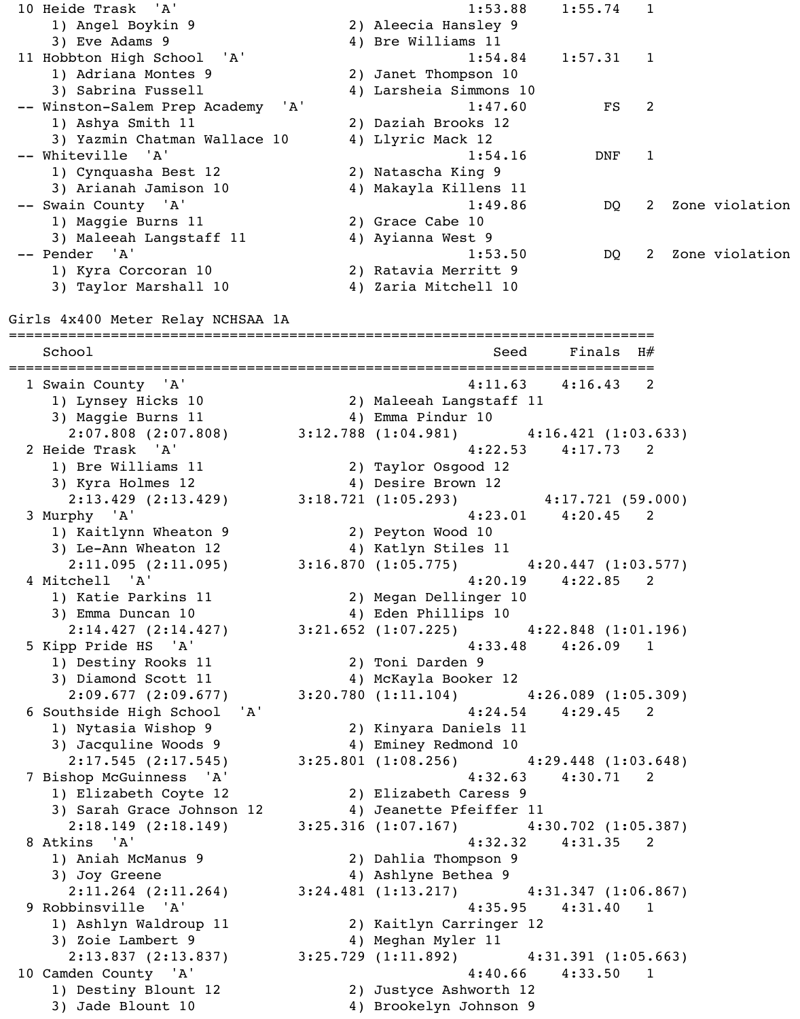1) Angel Boykin 9 2) Aleecia Hansley 9 3) Eve Adams 9 4) Bre Williams 11 11 Hobbton High School 'A' 1:54.84 1:57.31 1 1) Adriana Montes 9 2) Janet Thompson 10 3) Sabrina Fussell 4) Larsheia Simmons 10 -- Winston-Salem Prep Academy 'A' 1:47.60 FS 2 1) Ashya Smith 11 2) Daziah Brooks 12 3) Yazmin Chatman Wallace 10 4) Llyric Mack 12 -- Whiteville 'A' 1:54.16 DNF 1 1) Cynquasha Best 12 2) Natascha King 9 3) Arianah Jamison 10 4) Makayla Killens 11 -- Swain County 'A' 1:49.86 DQ 2 Zone violation 1) Maggie Burns 11 2) Grace Cabe 10 3) Maleeah Langstaff 11 4) Ayianna West 9 -- Pender 'A' 1:53.50 DQ 2 Zone violation 1) Kyra Corcoran 10 2) Ratavia Merritt 9 3) Taylor Marshall 10 4) Zaria Mitchell 10 Girls 4x400 Meter Relay NCHSAA 1A ============================================================================ School School Seed Finals H# ============================================================================ 1 Swain County 'A' 4:11.63 4:16.43 2 1) Lynsey Hicks 10 2) Maleeah Langstaff 11 3) Maggie Burns 11 4) Emma Pindur 10  $2:07.808$  (2:07.808)  $3:12.788$  (1:04.981)  $4:16.421$  (1:03.633) 2 Heide Trask 'A' 4:22.53 4:17.73 2 1) Bre Williams 11 2) Taylor Osgood 12 3) Kyra Holmes 12 4) Desire Brown 12 2:13.429 (2:13.429) 3:18.721 (1:05.293) 4:17.721 (59.000) 3 Murphy 'A' 4:23.01 4:20.45 2 1) Kaitlynn Wheaton 9 2) Peyton Wood 10 3) Le-Ann Wheaton 12 (4) Katlyn Stiles 11 2:11.095 (2:11.095) 3:16.870 (1:05.775) 4:20.447 (1:03.577) 4 Mitchell 'A' 4:20.19 4:22.85 2 1) Katie Parkins 11 2) Megan Dellinger 10 3) Emma Duncan 10 4) Eden Phillips 10 2:14.427 (2:14.427) 3:21.652 (1:07.225) 4:22.848 (1:01.196) 5 Kipp Pride HS 'A' 4:33.48 4:26.09 1 1) Destiny Rooks 11 2) Toni Darden 9 3) Diamond Scott 11 4) McKayla Booker 12 2:09.677 (2:09.677) 3:20.780 (1:11.104) 4:26.089 (1:05.309) 6 Southside High School 'A' 4:24.54 4:29.45 2 1) Nytasia Wishop 9 2) Kinyara Daniels 11 3) Jacquline Woods 9 4) Eminey Redmond 10 2:17.545 (2:17.545) 3:25.801 (1:08.256) 4:29.448 (1:03.648) 7 Bishop McGuinness 'A' 4:32.63 4:30.71 2 1) Elizabeth Coyte 12 2) Elizabeth Caress 9 3) Sarah Grace Johnson 12 4) Jeanette Pfeiffer 11 2:18.149 (2:18.149) 3:25.316 (1:07.167) 4:30.702 (1:05.387) 8 Atkins 'A' 4:32.32 4:31.35 2 1) Aniah McManus 9 2) Dahlia Thompson 9 3) Joy Greene 4) Ashlyne Bethea 9 2:11.264 (2:11.264) 3:24.481 (1:13.217) 4:31.347 (1:06.867) 9 Robbinsville 'A' 4:35.95 4:31.40 1 1) Ashlyn Waldroup 11 2) Kaitlyn Carringer 12 3) Zoie Lambert 9 (4) Meghan Myler 11 2:13.837 (2:13.837) 3:25.729 (1:11.892) 4:31.391 (1:05.663) 10 Camden County 'A' 30.66 4:33.50 1 1) Destiny Blount 12 2) Justyce Ashworth 12 3) Jade Blount 10 4) Brookelyn Johnson 9

10 Heide Trask 'A' 1:53.88 1:55.74 1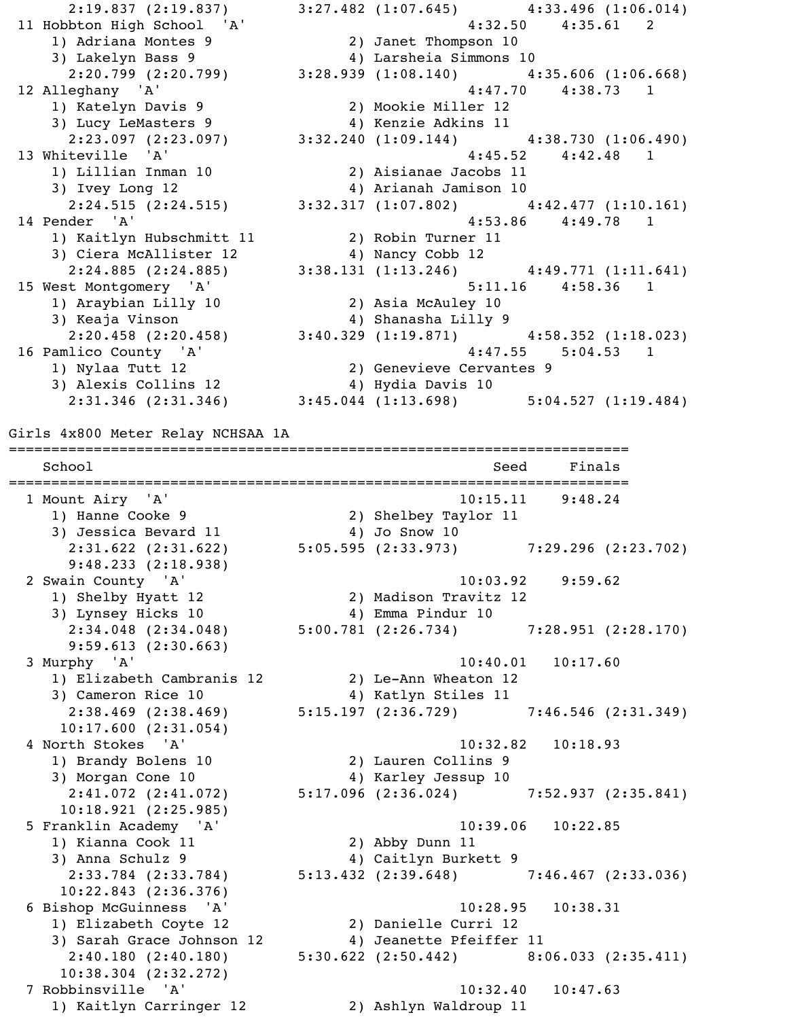2:19.837 (2:19.837) 3:27.482 (1:07.645) 4:33.496 (1:06.014) 11 Hobbton High School 'A' 4:32.50 4:35.61 2 1) Adriana Montes 9 2) Janet Thompson 10 3) Lakelyn Bass 9 4) Larsheia Simmons 10 2:20.799 (2:20.799) 3:28.939 (1:08.140) 4:35.606 (1:06.668) 12 Alleghany 'A' 4:47.70 4:38.73 1 1) Katelyn Davis 9 2) Mookie Miller 12 3) Lucy LeMasters 9 4) Kenzie Adkins 11 2:23.097 (2:23.097) 3:32.240 (1:09.144) 4:38.730 (1:06.490) 13 Whiteville 'A' 4:45.52 4:42.48 1 1) Lillian Inman 10 2) Aisianae Jacobs 11 3) Ivey Long 12 4) Arianah Jamison 10  $2:24.515 (2:24.515)$   $3:32.317 (1:07.802)$   $4:42.477 (1:10.161)$ 14 Pender 'A' 3.53.86 4:49.78 1 1) Kaitlyn Hubschmitt 11 2) Robin Turner 11 3) Ciera McAllister 12 (4) Nancy Cobb 12 2:24.885 (2:24.885) 3:38.131 (1:13.246) 4:49.771 (1:11.641) 15 West Montgomery 'A' 5:11.16 4:58.36 1 Vest Montgomery A<br>1) Araybian Lilly 10 2) Asia McAuley 10<br>20 20 11 2010 11 2010 11 2020 11 2021 3) Keaja Vinson 4) Shanasha Lilly 9 2:20.458 (2:20.458) 3:40.329 (1:19.871) 4:58.352 (1:18.023) 16 Pamlico County 'A' 31 1 20 20 21 22 23 24:47.55 5:04.53 1 1) Nylaa Tutt 12 2) Genevieve Cervantes 9 3) Alexis Collins 12 4) Hydia Davis 10 2:31.346 (2:31.346) 3:45.044 (1:13.698) 5:04.527 (1:19.484) Girls 4x800 Meter Relay NCHSAA 1A ========================================================================= School School Seed Finals ========================================================================= 1 Mount Airy 'A' 10:15.11 9:48.24 1) Hanne Cooke 9 2) Shelbey Taylor 11 3) Jessica Bevard 11  $\hskip10mm 4)$  Jo Snow 10 2:31.622 (2:31.622) 5:05.595 (2:33.973) 7:29.296 (2:23.702) 9:48.233 (2:18.938) 2 Swain County 'A' 10:03.92 9:59.62 1) Shelby Hyatt 12 2) Madison Travitz 12 3) Lynsey Hicks 10 4) Emma Pindur 10 2:34.048 (2:34.048) 5:00.781 (2:26.734) 7:28.951 (2:28.170) 9:59.613 (2:30.663) 3 Murphy 'A' 10:40.01 10:17.60 1) Elizabeth Cambranis 12 2) Le-Ann Wheaton 12<br>3) Cameron Rice 10 10 11 Katlyn Stiles 11 3) Cameron Rice 10 4) Katlyn Stiles 11 2:38.469 (2:38.469) 5:15.197 (2:36.729) 7:46.546 (2:31.349) 10:17.600 (2:31.054) 4 North Stokes 'A' 10:32.82 10:18.93 1) Brandy Bolens 10 2) Lauren Collins 9 3) Morgan Cone 10 4) Karley Jessup 10 2:41.072 (2:41.072) 5:17.096 (2:36.024) 7:52.937 (2:35.841) 10:18.921 (2:25.985) 5 Franklin Academy 'A' 10:39.06 10:22.85 1) Kianna Cook 11 2) Abby Dunn 11 3) Anna Schulz 9 4) Caitlyn Burkett 9 2:33.784 (2:33.784) 5:13.432 (2:39.648) 7:46.467 (2:33.036) 10:22.843 (2:36.376) 6 Bishop McGuinness 'A' 10:28.95 10:38.31 1) Elizabeth Coyte 12 2) Danielle Curri 12 3) Sarah Grace Johnson 12  $\hskip1cm 4$ ) Jeanette Pfeiffer 11 2:40.180 (2:40.180) 5:30.622 (2:50.442) 8:06.033 (2:35.411) 10:38.304 (2:32.272) 7 Robbinsville 'A' 10:32.40 10:47.63

1) Kaitlyn Carringer 12 2) Ashlyn Waldroup 11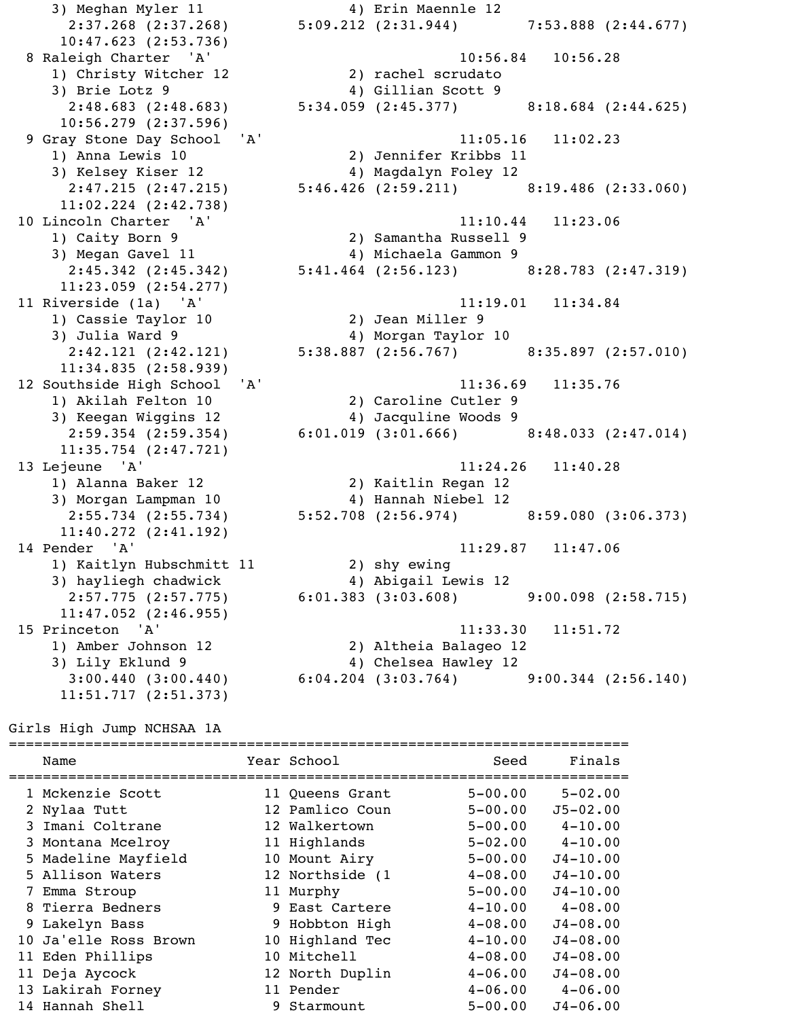3) Meghan Myler 11 4) Erin Maennle 12 10:47.623 (2:53.736) 1) Christy Witcher 12 2) rachel scrudato 3) Brie Lotz 9 4) Gillian Scott 9 10:56.279 (2:37.596) 1) Anna Lewis 10 2) Jennifer Kribbs 11 3) Kelsey Kiser 12 (2:47.215 (2:47.215) 4) Magdalyn Foley 12 11:02.224 (2:42.738) 1) Caity Born 9 2) Samantha Russell 9 3) Megan Gavel 11 4) Michaela Gammon 9 11:23.059 (2:54.277) 1) Cassie Taylor 10 2) Jean Miller 9 3) Julia Ward 9 4) Morgan Taylor 10 11:34.835 (2:58.939) 1) Akilah Felton 10 2) Caroline Cutler 9 3) Keegan Wiggins 12 4) Jacquline Woods 9 11:35.754 (2:47.721) 1) Alanna Baker 12 2) Kaitlin Regan 12 3) Morgan Lampman 10 4) Hannah Niebel 12 11:40.272 (2:41.192) 1) Kaitlyn Hubschmitt 11 2) shy ewing 3) hayliegh chadwick 4) Abigail Lewis 12 11:47.052 (2:46.955) 3) Lily Eklund 9 4) Chelsea Hawley 12

 2:37.268 (2:37.268) 5:09.212 (2:31.944) 7:53.888 (2:44.677) 8 Raleigh Charter 'A' 10:56.84 10:56.28 2:48.683 (2:48.683) 5:34.059 (2:45.377) 8:18.684 (2:44.625) 9 Gray Stone Day School 'A' 11:05.16 11:02.23 2:47.215 (2:47.215) 5:46.426 (2:59.211) 8:19.486 (2:33.060) 10 Lincoln Charter 'A' 11:10.44 11:23.06 2:45.342 (2:45.342) 5:41.464 (2:56.123) 8:28.783 (2:47.319) 11 Riverside (1a) 'A' 11:19.01 11:34.84 2:42.121 (2:42.121) 5:38.887 (2:56.767) 8:35.897 (2:57.010) 12 Southside High School 'A' 11:36.69 11:35.76 2:59.354 (2:59.354) 6:01.019 (3:01.666) 8:48.033 (2:47.014) 13 Lejeune 'A' 11:24.26 11:40.28 2:55.734 (2:55.734) 5:52.708 (2:56.974) 8:59.080 (3:06.373) 14 Pender 'A' 11:29.87 11:47.06 2:57.775 (2:57.775) 6:01.383 (3:03.608) 9:00.098 (2:58.715) 15 Princeton 'A' 11:33.30 11:51.72<br>11:33.30 11:51.72<br>2) Altheia Balageo 12 2) Altheia Balageo 12  $3:00.440$  (3:00.440) 6:04.204 (3:03.764) 9:00.344 (2:56.140)

Girls High Jump NCHSAA 1A

11:51.717 (2:51.373)

| Name                  | Year School     | Seed        | Finals       |
|-----------------------|-----------------|-------------|--------------|
| 1 Mckenzie Scott      | 11 Queens Grant | $5 - 00.00$ | $5 - 02.00$  |
| 2 Nylaa Tutt          | 12 Pamlico Coun | $5 - 00.00$ | $J5 - 02.00$ |
| 3 Imani Coltrane      | 12 Walkertown   | $5 - 00.00$ | $4 - 10.00$  |
| 3 Montana Mcelroy     | 11 Highlands    | $5 - 02.00$ | $4 - 10.00$  |
| 5 Madeline Mayfield   | 10 Mount Airy   | $5 - 00.00$ | $J4 - 10.00$ |
| 5 Allison Waters      | 12 Northside (1 | $4 - 08.00$ | $J4 - 10.00$ |
| 7 Emma Stroup         | 11 Murphy       | $5 - 00.00$ | $J4 - 10.00$ |
| 8 Tierra Bedners      | 9 East Cartere  | $4 - 10.00$ | $4 - 08.00$  |
| 9 Lakelyn Bass        | 9 Hobbton High  | $4 - 08.00$ | $J4 - 08.00$ |
| 10 Ja'elle Ross Brown | 10 Highland Tec | $4 - 10.00$ | $J4 - 08.00$ |
| 11 Eden Phillips      | 10 Mitchell     | $4 - 08.00$ | $J4 - 08.00$ |
| 11 Deja Aycock        | 12 North Duplin | $4 - 06.00$ | $J4 - 08.00$ |
| 13 Lakirah Forney     | 11 Pender       | $4 - 06.00$ | $4 - 06.00$  |
| 14 Hannah Shell       | 9 Starmount     | $5 - 00.00$ | $J4 - 06.00$ |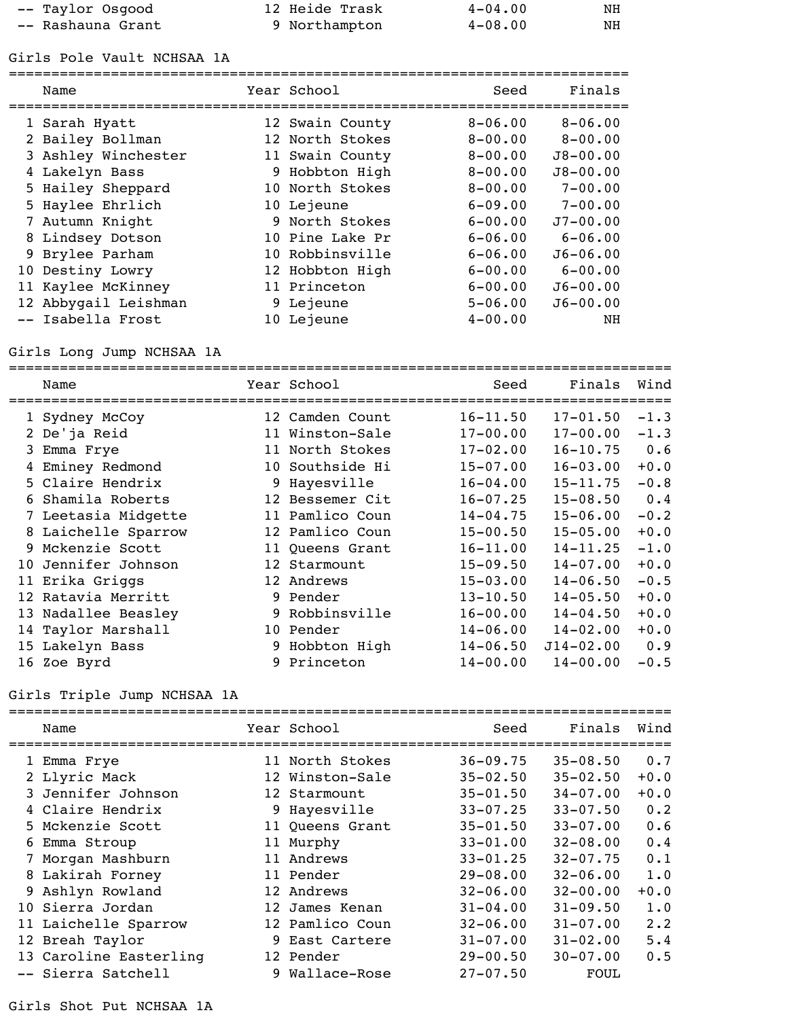| -- Taylor Osgood  | 12 Heide Trask | $4 - 04.00$ | NH |
|-------------------|----------------|-------------|----|
| -- Rashauna Grant | 9 Northampton  | $4 - 08.00$ | NH |

Girls Pole Vault NCHSAA 1A

| Name                 | Year School     | Seed        | Finals       |
|----------------------|-----------------|-------------|--------------|
|                      |                 |             |              |
| 1 Sarah Hyatt        | 12 Swain County | $8 - 06.00$ | $8 - 06.00$  |
| 2 Bailey Bollman     | 12 North Stokes | $8 - 00.00$ | $8 - 00.00$  |
| 3 Ashley Winchester  | 11 Swain County | $8 - 00.00$ | $J8 - 00.00$ |
| 4 Lakelyn Bass       | 9 Hobbton High  | $8 - 00.00$ | $J8 - 00.00$ |
| 5 Hailey Sheppard    | 10 North Stokes | $8 - 00.00$ | $7 - 00.00$  |
| 5 Haylee Ehrlich     | 10 Lejeune      | $6 - 09.00$ | $7 - 00.00$  |
| 7 Autumn Knight      | 9 North Stokes  | $6 - 00.00$ | $J7 - 00.00$ |
| 8 Lindsey Dotson     | 10 Pine Lake Pr | $6 - 06.00$ | $6 - 06.00$  |
| 9 Brylee Parham      | 10 Robbinsville | $6 - 06.00$ | $J6 - 06.00$ |
| 10 Destiny Lowry     | 12 Hobbton High | $6 - 00.00$ | $6 - 00.00$  |
| 11 Kaylee McKinney   | 11 Princeton    | $6 - 00.00$ | $J6 - 00.00$ |
| 12 Abbygail Leishman | 9 Lejeune       | $5 - 06.00$ | $J6 - 00.00$ |
| -- Isabella Frost    | 10 Lejeune      | $4 - 00.00$ | NH           |

# Girls Long Jump NCHSAA 1A

|    | Name                | Year School     | Seed         | Finals        | Wind   |
|----|---------------------|-----------------|--------------|---------------|--------|
|    | 1 Sydney McCoy      | 12 Camden Count | $16 - 11.50$ | $17 - 01.50$  | $-1.3$ |
|    | 2 De'ja Reid        | 11 Winston-Sale | $17 - 00.00$ | $17 - 00.00$  | $-1.3$ |
|    | 3 Emma Frye         | 11 North Stokes | $17 - 02.00$ | $16 - 10.75$  | 0.6    |
| 4  | Eminey Redmond      | 10 Southside Hi | $15 - 07.00$ | $16 - 03.00$  | $+0.0$ |
|    | 5 Claire Hendrix    | 9 Hayesville    | $16 - 04.00$ | $15 - 11.75$  | $-0.8$ |
|    | 6 Shamila Roberts   | 12 Bessemer Cit | $16 - 07.25$ | $15 - 08.50$  | 0.4    |
|    | 7 Leetasia Midgette | 11 Pamlico Coun | $14 - 04.75$ | $15 - 06.00$  | $-0.2$ |
|    | 8 Laichelle Sparrow | 12 Pamlico Coun | $15 - 00.50$ | $15 - 05.00$  | $+0.0$ |
| 9. | Mckenzie Scott      | 11 Queens Grant | $16 - 11.00$ | $14 - 11.25$  | $-1.0$ |
| 10 | Jennifer Johnson    | 12 Starmount    | $15 - 09.50$ | $14 - 07.00$  | $+0.0$ |
|    | 11 Erika Griggs     | 12 Andrews      | $15 - 03.00$ | $14 - 06.50$  | $-0.5$ |
|    | 12 Ratavia Merritt  | 9 Pender        | $13 - 10.50$ | $14 - 05.50$  | $+0.0$ |
|    | 13 Nadallee Beasley | 9 Robbinsville  | $16 - 00.00$ | $14 - 04.50$  | $+0.0$ |
|    | 14 Taylor Marshall  | 10 Pender       | $14 - 06.00$ | $14 - 02.00$  | $+0.0$ |
|    | 15 Lakelyn Bass     | 9 Hobbton High  | $14 - 06.50$ | $J14 - 02.00$ | 0.9    |
|    | 16 Zoe Byrd         | 9 Princeton     | $14 - 00.00$ | $14 - 00.00$  | $-0.5$ |

# Girls Triple Jump NCHSAA 1A

| Name                   | Year School     | Seed         | Finals       | Wind        |
|------------------------|-----------------|--------------|--------------|-------------|
|                        |                 |              |              |             |
| 1 Emma Frye            | 11 North Stokes | $36 - 09.75$ | $35 - 08.50$ | 0.7         |
| 2 Llyric Mack          | 12 Winston-Sale | $35 - 02.50$ | $35 - 02.50$ | $+0.0$      |
| 3 Jennifer Johnson     | 12 Starmount    | $35 - 01.50$ | $34 - 07.00$ | $+0.0$      |
| 4 Claire Hendrix       | 9 Hayesville    | $33 - 07.25$ | $33 - 07.50$ | 0.2         |
| 5 Mckenzie Scott       | 11 Queens Grant | $35 - 01.50$ | $33 - 07.00$ | 0.6         |
| 6 Emma Stroup          | 11 Murphy       | $33 - 01.00$ | $32 - 08.00$ | 0.4         |
| Morgan Mashburn        | 11 Andrews      | $33 - 01.25$ | $32 - 07.75$ | 0.1         |
| 8 Lakirah Forney       | 11 Pender       | $29 - 08.00$ | $32 - 06.00$ | 1.0         |
| 9 Ashlyn Rowland       | 12 Andrews      | $32 - 06.00$ | $32 - 00.00$ | $+0.0$      |
| 10 Sierra Jordan       | 12 James Kenan  | $31 - 04.00$ | $31 - 09.50$ | 1.0         |
| 11 Laichelle Sparrow   | 12 Pamlico Coun | $32 - 06.00$ | $31 - 07.00$ | $2 \cdot 2$ |
| 12 Breah Taylor        | 9 East Cartere  | $31 - 07.00$ | $31 - 02.00$ | 5.4         |
| 13 Caroline Easterling | 12 Pender       | $29 - 00.50$ | $30 - 07.00$ | 0.5         |
| -- Sierra Satchell     | 9 Wallace-Rose  | $27 - 07.50$ | FOUL         |             |

Girls Shot Put NCHSAA 1A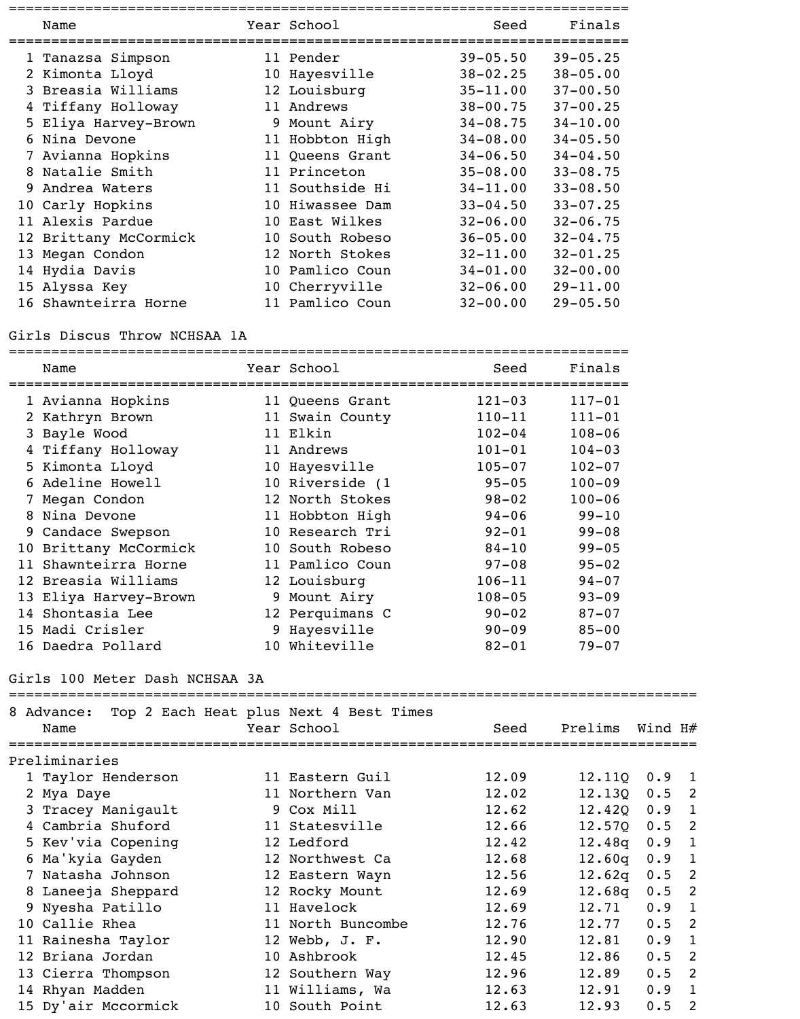| Name                  | Year School     | Seed         | Finals       |
|-----------------------|-----------------|--------------|--------------|
| 1 Tanazsa Simpson     | 11 Pender       | $39 - 05.50$ | $39 - 05.25$ |
| 2 Kimonta Lloyd       | 10 Hayesville   | $38 - 02.25$ | $38 - 05.00$ |
| 3 Breasia Williams    | 12 Louisburg    | $35 - 11.00$ | $37 - 00.50$ |
| 4 Tiffany Holloway    | 11 Andrews      | $38 - 00.75$ | $37 - 00.25$ |
| 5 Eliya Harvey-Brown  | 9 Mount Airy    | $34 - 08.75$ | $34 - 10.00$ |
| 6 Nina Devone         | 11 Hobbton High | $34 - 08.00$ | $34 - 05.50$ |
| 7 Avianna Hopkins     | 11 Queens Grant | $34 - 06.50$ | $34 - 04.50$ |
| 8 Natalie Smith       | 11 Princeton    | $35 - 08.00$ | $33 - 08.75$ |
| 9 Andrea Waters       | 11 Southside Hi | $34 - 11.00$ | $33 - 08.50$ |
| 10 Carly Hopkins      | 10 Hiwassee Dam | $33 - 04.50$ | $33 - 07.25$ |
| 11 Alexis Pardue      | 10 East Wilkes  | $32 - 06.00$ | $32 - 06.75$ |
| 12 Brittany McCormick | 10 South Robeso | $36 - 05.00$ | $32 - 04.75$ |
| 13 Megan Condon       | 12 North Stokes | $32 - 11.00$ | $32 - 01.25$ |
| 14 Hydia Davis        | 10 Pamlico Coun | $34 - 01.00$ | $32 - 00.00$ |
| 15 Alyssa Key         | 10 Cherryville  | $32 - 06.00$ | $29 - 11.00$ |
| 16 Shawnteirra Horne  | 11 Pamlico Coun | $32 - 00.00$ | $29 - 05.50$ |

#### Girls Discus Throw NCHSAA 1A

| Name                  | Year School     | Seed       | Finals     |
|-----------------------|-----------------|------------|------------|
| 1 Avianna Hopkins     | 11 Queens Grant | $121 - 03$ | $117 - 01$ |
| 2 Kathryn Brown       | 11 Swain County | $110 - 11$ | $111 - 01$ |
| 3 Bayle Wood          | 11 Elkin        | $102 - 04$ | $108 - 06$ |
| 4 Tiffany Holloway    | 11 Andrews      | $101 - 01$ | $104 - 03$ |
| 5 Kimonta Lloyd       | 10 Hayesville   | $105 - 07$ | $102 - 07$ |
| 6 Adeline Howell      | 10 Riverside (1 | $95 - 05$  | $100 - 09$ |
| 7 Megan Condon        | 12 North Stokes | $98 - 02$  | $100 - 06$ |
| 8 Nina Devone         | 11 Hobbton High | $94 - 06$  | $99 - 10$  |
| 9 Candace Swepson     | 10 Research Tri | $92 - 01$  | $99 - 08$  |
| 10 Brittany McCormick | 10 South Robeso | $84 - 10$  | $99 - 05$  |
| 11 Shawnteirra Horne  | 11 Pamlico Coun | $97 - 08$  | $95 - 02$  |
| 12 Breasia Williams   | 12 Louisburg    | $106 - 11$ | $94 - 07$  |
| 13 Eliya Harvey-Brown | 9 Mount Airy    | $108 - 05$ | $93 - 09$  |
| 14 Shontasia Lee      | 12 Perquimans C | $90 - 02$  | $87 - 07$  |
| 15 Madi Crisler       | 9 Hayesville    | $90 - 09$  | $85 - 00$  |
| 16 Daedra Pollard     | 10 Whiteville   | $82 - 01$  | $79 - 07$  |

### Girls 100 Meter Dash NCHSAA 3A

| 8 Advance:<br>Name  | Top 2 Each Heat plus Next 4 Best Times<br>Year School | Seed  | Prelims      | Wind H# |              |
|---------------------|-------------------------------------------------------|-------|--------------|---------|--------------|
| Preliminaries       |                                                       |       |              |         |              |
| 1 Taylor Henderson  | 11 Eastern Guil                                       | 12.09 | 12.11Q       | 0.9     | -1           |
| 2 Mya Daye          | 11 Northern Van                                       | 12.02 | 12.130       | 0.5     | -2           |
| 3 Tracey Maniqault  | 9 Cox Mill                                            | 12.62 | $12.420$ 0.9 |         | 1            |
| 4 Cambria Shuford   | 11 Statesville                                        | 12.66 | 12.57Q       | 0.5     | 2            |
| 5 Kev'via Copening  | 12 Ledford                                            | 12.42 | 12.48q       | 0.9     | 1            |
| 6 Ma'kyia Gayden    | 12 Northwest Ca                                       | 12.68 | 12.60q       | 0.9     | 1            |
| 7 Natasha Johnson   | 12 Eastern Wayn                                       | 12.56 | 12.62q       | 0.5     | -2           |
| 8 Laneeja Sheppard  | 12 Rocky Mount                                        | 12.69 | 12.68q       | 0.5     | 2            |
| 9 Nyesha Patillo    | 11 Havelock                                           | 12.69 | 12.71        | 0.9     | $\mathbf{1}$ |
| 10 Callie Rhea      | 11 North Buncombe                                     | 12.76 | 12.77        | 0.5     | -2           |
| 11 Rainesha Taylor  | 12 Webb, J. F.                                        | 12.90 | 12.81        | 0.9     | 1            |
| 12 Briana Jordan    | 10 Ashbrook                                           | 12.45 | 12.86        | 0.5     | 2            |
| 13 Cierra Thompson  | 12 Southern Way                                       | 12.96 | 12.89        | 0.5     | - 2          |
| 14 Rhyan Madden     | 11 Williams, Wa                                       | 12.63 | 12.91        | 0.9     | $\mathbf{1}$ |
| 15 Dy'air Mccormick | 10 South Point                                        | 12.63 | 12.93        | 0.5     | 2            |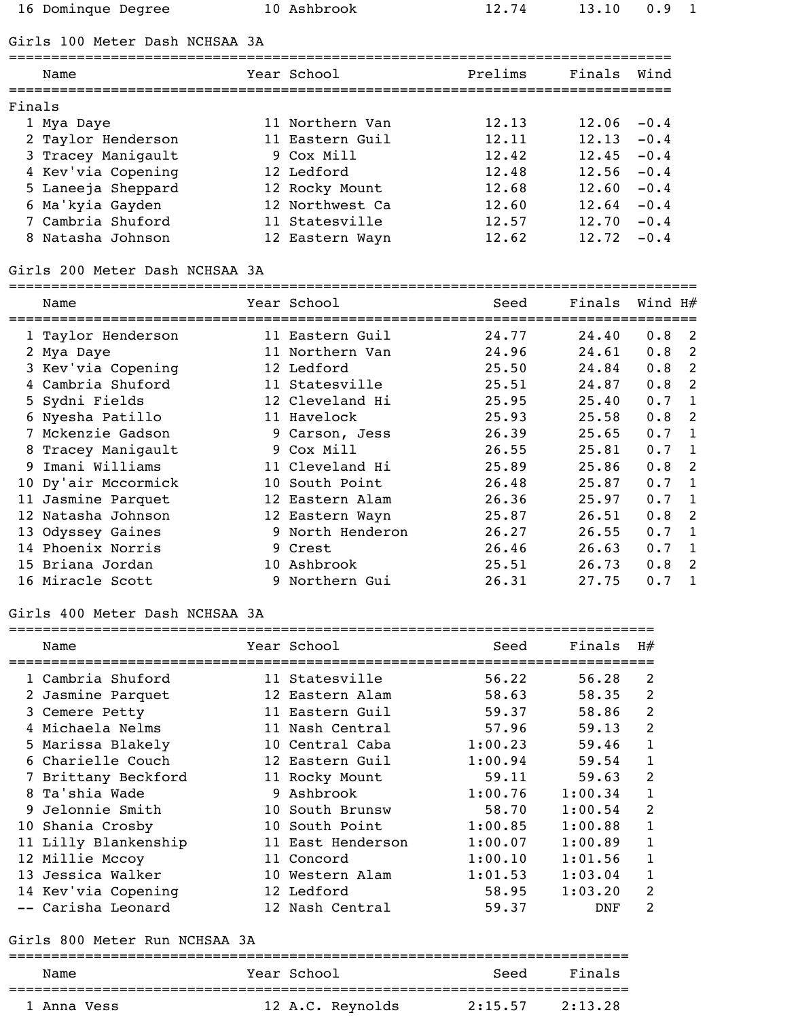16 Dominque Degree 10 Ashbrook 12.74 13.10 0.9 1

## Girls 100 Meter Dash NCHSAA 3A

|        | Name               | Year School     | Prelims | Finals | Wind   |
|--------|--------------------|-----------------|---------|--------|--------|
| Finals |                    |                 |         |        |        |
|        | 1 Mya Daye         | 11 Northern Van | 12.13   | 12.06  | $-0.4$ |
|        | 2 Taylor Henderson | 11 Eastern Guil | 12.11   | 12.13  | $-0.4$ |
|        | 3 Tracey Manigault | 9 Cox Mill      | 12.42   | 12.45  | $-0.4$ |
|        | 4 Kev'via Copening | 12 Ledford      | 12.48   | 12.56  | $-0.4$ |
|        | 5 Laneeja Sheppard | 12 Rocky Mount  | 12.68   | 12.60  | $-0.4$ |
|        | 6 Ma'kyia Gayden   | 12 Northwest Ca | 12.60   | 12.64  | $-0.4$ |
|        | 7 Cambria Shuford  | 11 Statesville  | 12.57   | 12.70  | $-0.4$ |
| 8      | Natasha Johnson    | 12 Eastern Wayn | 12.62   | 12.72  | $-0.4$ |

### Girls 200 Meter Dash NCHSAA 3A

#### =================================================================================

|    | Name                | Year School      | Seed  | Finals | Wind $H#$ |              |
|----|---------------------|------------------|-------|--------|-----------|--------------|
|    | 1 Taylor Henderson  | 11 Eastern Guil  | 24.77 | 24.40  | 0.8       | - 2          |
|    | 2 Mya Daye          | 11 Northern Van  | 24.96 | 24.61  | 0.8       | 2            |
|    | 3 Kev'via Copening  | 12 Ledford       | 25.50 | 24.84  | 0.8       | -2           |
|    | 4 Cambria Shuford   | 11 Statesville   | 25.51 | 24.87  | 0.8       | 2            |
|    | 5 Sydni Fields      | 12 Cleveland Hi  | 25.95 | 25.40  | 0.7       | $\mathbf{1}$ |
|    | 6 Nyesha Patillo    | 11 Havelock      | 25.93 | 25.58  | 0.8       | 2            |
|    | 7 Mckenzie Gadson   | 9 Carson, Jess   | 26.39 | 25.65  | 0.7       | -1           |
|    | 8 Tracey Manigault  | 9 Cox Mill       | 26.55 | 25.81  | 0.7       | $\mathbf{1}$ |
| 9. | Imani Williams      | 11 Cleveland Hi  | 25.89 | 25.86  | 0.8       | 2            |
|    | 10 Dy'air Mccormick | 10 South Point   | 26.48 | 25.87  | 0.7       | -1           |
|    | 11 Jasmine Parquet  | 12 Eastern Alam  | 26.36 | 25.97  | 0.7       | 1            |
|    | 12 Natasha Johnson  | 12 Eastern Wayn  | 25.87 | 26.51  | 0.8       | 2            |
|    | 13 Odyssey Gaines   | 9 North Henderon | 26.27 | 26.55  | 0.7       | $\mathbf{1}$ |
|    | 14 Phoenix Norris   | 9 Crest          | 26.46 | 26.63  | 0.7       | $\mathbf{1}$ |
|    | 15 Briana Jordan    | 10 Ashbrook      | 25.51 | 26.73  | 0.8       | 2            |
|    | 16 Miracle Scott    | 9 Northern Gui   | 26.31 | 27.75  | 0.7       |              |

#### Girls 400 Meter Dash NCHSAA 3A

| Name                 | Year School       | Seed    | Finals  | H#             |
|----------------------|-------------------|---------|---------|----------------|
| 1 Cambria Shuford    | 11 Statesville    | 56.22   | 56.28   | 2              |
| 2 Jasmine Parquet    | 12 Eastern Alam   | 58.63   | 58.35   | $\overline{2}$ |
| 3 Cemere Petty       | 11 Eastern Guil   | 59.37   | 58.86   | 2              |
| 4 Michaela Nelms     | 11 Nash Central   | 57.96   | 59.13   | 2              |
| 5 Marissa Blakely    | 10 Central Caba   | 1:00.23 | 59.46   | 1              |
| 6 Charielle Couch    | 12 Eastern Guil   | 1:00.94 | 59.54   | $\mathbf{1}$   |
| 7 Brittany Beckford  | 11 Rocky Mount    | 59.11   | 59.63   | $\overline{2}$ |
| 8 Ta'shia Wade       | 9 Ashbrook        | 1:00.76 | 1:00.34 | 1              |
| 9 Jelonnie Smith     | 10 South Brunsw   | 58.70   | 1:00.54 | 2              |
| 10 Shania Crosby     | 10 South Point    | 1:00.85 | 1:00.88 | 1              |
| 11 Lilly Blankenship | 11 East Henderson | 1:00.07 | 1:00.89 | $\mathbf{1}$   |
| 12 Millie Mccoy      | 11 Concord        | 1:00.10 | 1:01.56 | 1              |
| 13 Jessica Walker    | 10 Western Alam   | 1:01.53 | 1:03.04 | 1              |
| 14 Kev'via Copening  | 12 Ledford        | 58.95   | 1:03.20 | $\mathcal{L}$  |
| -- Carisha Leonard   | 12 Nash Central   | 59.37   | DNF     | $\mathfrak{D}$ |

### Girls 800 Meter Run NCHSAA 3A

| Name        | Year School      | Seed    | Finals  |
|-------------|------------------|---------|---------|
| 1 Anna Vess | 12 A.C. Reynolds | 2:15.57 | 2:13.28 |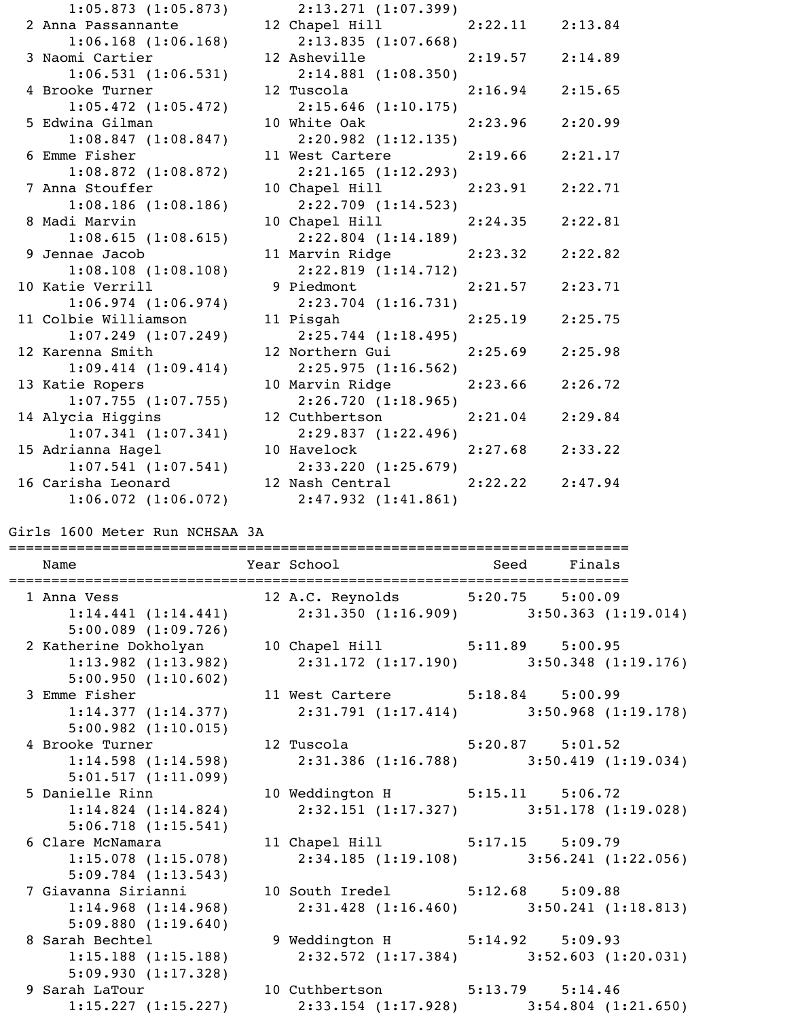| 1:05.873(1:05.873)      | 2:13.271 (1:07.399)             |                     |         |
|-------------------------|---------------------------------|---------------------|---------|
| 2 Anna Passannante      | 12 Chapel Hill                  | $2:22.11$ $2:13.84$ |         |
| $1:06.168$ $(1:06.168)$ | 2:13.835(1:07.668)              |                     |         |
| 3 Naomi Cartier         | 12 Asheville                    | $2:19.57$ $2:14.89$ |         |
| 1:06.531(1:06.531)      | $2:14.881$ (1:08.350)           |                     |         |
| 4 Brooke Turner         | 12 Tuscola <b>Santa</b>         | $2:16.94$ $2:15.65$ |         |
| 1:05.472(1:05.472)      | 2:15.646(1:10.175)              |                     |         |
| 5 Edwina Gilman         | 10 White Oak                    | 2:23.96             | 2:20.99 |
| 1:08.847(1:08.847)      | 2:20.982(1:12.135)              |                     |         |
| 6 Emme Fisher           | 11 West Cartere                 | $2:19.66$ $2:21.17$ |         |
| $1:08.872$ $(1:08.872)$ | 2:21.165(1:12.293)              |                     |         |
| 7 Anna Stouffer         | 10 Chapel Hill                  | 2:23.91             | 2:22.71 |
| 1:08.186(1:08.186)      | 2:22.709(1:14.523)              |                     |         |
| 8 Madi Marvin           | 10 Chapel Hill                  | $2:24.35$ $2:22.81$ |         |
| 1:08.615(1:08.615)      | $2:22.804$ $(1:14.189)$         |                     |         |
| 9 Jennae Jacob          | 11 Marvin Ridge                 | $2:23.32$ $2:22.82$ |         |
| 1:08.108(1:08.108)      | 2:22.819(1:14.712)              |                     |         |
| 10 Katie Verrill        | 9 Piedmont                      | 2:21.57             | 2:23.71 |
| 1:06.974(1:06.974)      | 2:23.704 (1:16.731)             |                     |         |
| 11 Colbie Williamson    | 11 Pisgah banda dan sebagai ke  | $2:25.19$ $2:25.75$ |         |
| $1:07.249$ $(1:07.249)$ | 2:25.744(1:18.495)              |                     |         |
| 12 Karenna Smith        | 12 Northern Gui                 | 2:25.69             | 2:25.98 |
| 1:09.414(1:09.414)      | 2:25.975(1:16.562)              |                     |         |
| 13 Katie Ropers         | 10 Marvin Ridge                 | $2:23.66$ $2:26.72$ |         |
| 1:07.755(1:07.755)      | 2:26.720 (1:18.965)             |                     |         |
| 14 Alycia Higgins       | 12 Cuthbertson                  | $2:21.04$ $2:29.84$ |         |
| 1:07.341(1:07.341)      | 2:29.837 (1:22.496)             |                     |         |
| 15 Adrianna Hagel       | 10 Havelock and the material    | 2:27.68             | 2:33.22 |
| 1:07.541(1:07.541)      | 2:33.220 (1:25.679)             |                     |         |
| 16 Carisha Leonard      | 12 Nash Central 2:22.22 2:47.94 |                     |         |
| $1:06.072$ $(1:06.072)$ | 2:47.932(1:41.861)              |                     |         |

Girls 1600 Meter Run NCHSAA 3A

| ===================================                                                     | ======================================                            |  |
|-----------------------------------------------------------------------------------------|-------------------------------------------------------------------|--|
| 1 Anna Vess                                                                             | 12 A.C. Reynolds 5:20.75 5:00.09                                  |  |
| 5:00.089(1:09.726)                                                                      | $1:14.441$ (1:14.441) $2:31.350$ (1:16.909) $3:50.363$ (1:19.014) |  |
| 2 Katherine Dokholyan 10 Chapel Hill 5:11.89 5:00.95                                    |                                                                   |  |
| $1:13.982$ $(1:13.982)$                                                                 | $2:31.172$ (1:17.190) 3:50.348 (1:19.176)                         |  |
| 5:00.950(1:10.602)                                                                      |                                                                   |  |
| 3 Emme Fisher 11 West Cartere 5:18.84 5:00.99                                           |                                                                   |  |
| $1:14.377$ (1:14.377) $2:31.791$ (1:17.414) $3:50.968$ (1:19.178)<br>5:00.982(1:10.015) |                                                                   |  |
| 4 Brooke Turner 12 Tuscola 5:20.87 5:01.52                                              |                                                                   |  |
| $1:14.598$ $(1:14.598)$                                                                 | $2:31.386$ (1:16.788) 3:50.419 (1:19.034)                         |  |
| 5:01.517(1:11.099)                                                                      |                                                                   |  |
| 5 Danielle Rinn 10 Weddington H 5:15.11 5:06.72                                         |                                                                   |  |
| $1:14.824$ $(1:14.824)$                                                                 | $2:32.151$ (1:17.327) 3:51.178 (1:19.028)                         |  |
| 5:06.718(1:15.541)                                                                      |                                                                   |  |
| 6 Clare McNamara 11 Chapel Hill 5:17.15 5:09.79                                         |                                                                   |  |
| 1:15.078(1:15.078)                                                                      | $2:34.185$ (1:19.108) 3:56.241 (1:22.056)                         |  |
| 5:09.784(1:13.543)                                                                      |                                                                   |  |
| 7 Giavanna Sirianni (10 South Iredel (5:12.68 5:09.88)                                  |                                                                   |  |
| $1:14.968$ (1:14.968) $2:31.428$ (1:16.460) $3:50.241$ (1:18.813)                       |                                                                   |  |
| 5:09.880(1:19.640)                                                                      |                                                                   |  |
| 8 Sarah Bechtel 9 Weddington H 5:14.92 5:09.93                                          |                                                                   |  |
| $1:15.188$ (1:15.188) $2:32.572$ (1:17.384) $3:52.603$ (1:20.031)                       |                                                                   |  |
| 5:09.930(1:17.328)                                                                      |                                                                   |  |
| 9 Sarah LaTour 10 Cuthbertson 5:13.79 5:14.46                                           |                                                                   |  |
|                                                                                         | 1:15.227 (1:15.227) 2:33.154 (1:17.928) 3:54.804 (1:21.650)       |  |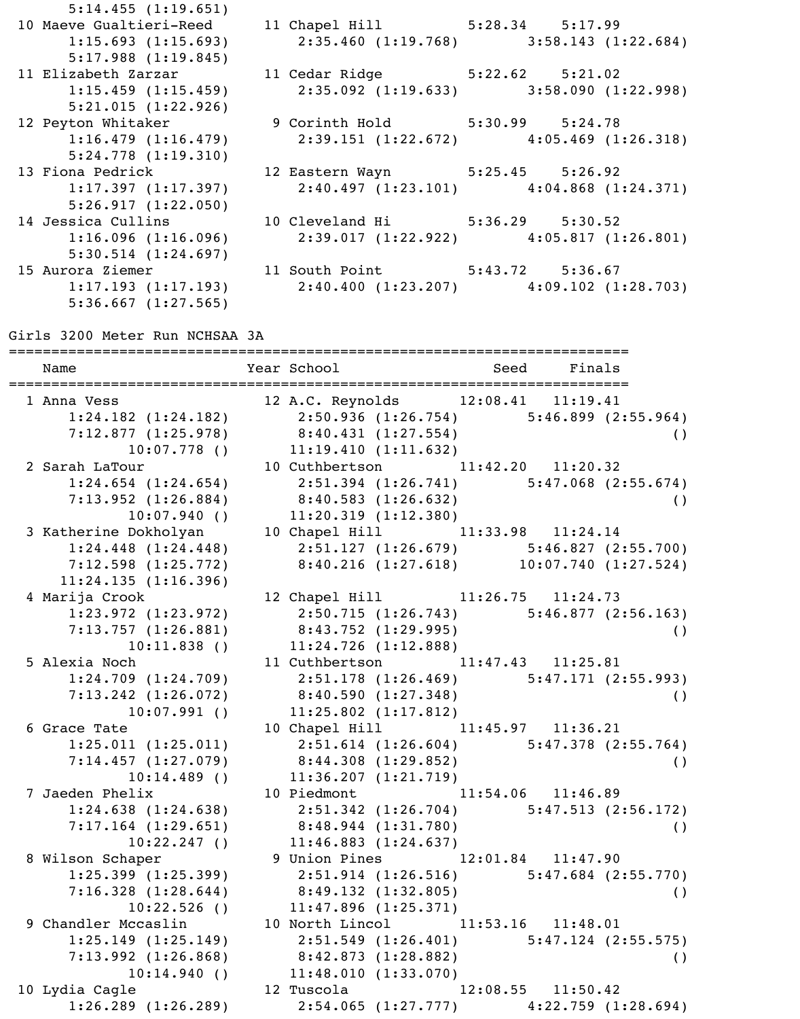|                                 | $2:35.460$ (1:19.768) 3:58.143 (1:22.684)                                                                                                                                                                                                                                                                                 |
|---------------------------------|---------------------------------------------------------------------------------------------------------------------------------------------------------------------------------------------------------------------------------------------------------------------------------------------------------------------------|
|                                 |                                                                                                                                                                                                                                                                                                                           |
|                                 |                                                                                                                                                                                                                                                                                                                           |
|                                 | $2:35.092$ (1:19.633) 3:58.090 (1:22.998)                                                                                                                                                                                                                                                                                 |
|                                 |                                                                                                                                                                                                                                                                                                                           |
|                                 |                                                                                                                                                                                                                                                                                                                           |
|                                 | $2:39.151(1:22.672)$ $4:05.469(1:26.318)$                                                                                                                                                                                                                                                                                 |
|                                 |                                                                                                                                                                                                                                                                                                                           |
| 12 Eastern Wayn 5:25.45 5:26.92 |                                                                                                                                                                                                                                                                                                                           |
|                                 | $2:40.497$ (1:23.101) $4:04.868$ (1:24.371)                                                                                                                                                                                                                                                                               |
|                                 |                                                                                                                                                                                                                                                                                                                           |
|                                 |                                                                                                                                                                                                                                                                                                                           |
|                                 | $1:16.096$ (1:16.096) 2:39.017 (1:22.922) 4:05.817 (1:26.801)                                                                                                                                                                                                                                                             |
|                                 |                                                                                                                                                                                                                                                                                                                           |
|                                 |                                                                                                                                                                                                                                                                                                                           |
|                                 | $1:17.193$ (1:17.193) $2:40.400$ (1:23.207) $4:09.102$ (1:28.703)                                                                                                                                                                                                                                                         |
|                                 |                                                                                                                                                                                                                                                                                                                           |
|                                 | 10 Maeve Gualtieri-Reed 11 Chapel Hill 5:28.34 5:17.99<br>11 Elizabeth Zarzar 11 Cedar Ridge 5:22.62 5:21.02<br>$1:15.459$ $(1:15.459)$<br>12 Peyton Whitaker 9 Corinth Hold 5:30.99 5:24.78<br>13 Fiona Pedrick<br>14 Jessica Cullins 10 Cleveland Hi 5:36.29 5:30.52<br>15 Aurora Ziemer 11 South Point 5:43.72 5:36.67 |

Girls 3200 Meter Run NCHSAA 3A

| ========================<br>Name                              | =================================<br>Year School The Management of the Management of the Management of the Management of the Management of the Management of the Management of the Management of the Management of the Management of the Management of the Manageme | Seed Finals           |                    |
|---------------------------------------------------------------|---------------------------------------------------------------------------------------------------------------------------------------------------------------------------------------------------------------------------------------------------------------------|-----------------------|--------------------|
| 1 Anna Vess                                                   | 12 A.C. Reynolds 12:08.41 11:19.41                                                                                                                                                                                                                                  |                       |                    |
| $1:24.182$ $(1:24.182)$                                       | $2:50.936$ (1:26.754) 5:46.899 (2:55.964)                                                                                                                                                                                                                           |                       |                    |
| $7:12.877$ (1:25.978) 8:40.431 (1:27.554)                     |                                                                                                                                                                                                                                                                     |                       | $\left( \ \right)$ |
|                                                               | $10:07.778$ () $11:19.410$ (1:11.632)                                                                                                                                                                                                                               |                       |                    |
| 2 Sarah LaTour                                                | 10 Cuthbertson 11:42.20 11:20.32                                                                                                                                                                                                                                    |                       |                    |
| $1:24.654$ $(1:24.654)$                                       | $2:51.394$ (1:26.741) $5:47.068$ (2:55.674)                                                                                                                                                                                                                         |                       |                    |
| $7:13.952$ (1:26.884) 8:40.583 (1:26.632)                     |                                                                                                                                                                                                                                                                     |                       | $\left( \ \right)$ |
|                                                               | $10:07.940$ () $11:20.319$ (1:12.380)                                                                                                                                                                                                                               |                       |                    |
| 3 Katherine Dokholyan 10 Chapel Hill 11:33.98 11:24.14        |                                                                                                                                                                                                                                                                     |                       |                    |
| 1:24.448(1:24.448)                                            | $2:51.127$ (1:26.679) 5:46.827 (2:55.700)                                                                                                                                                                                                                           |                       |                    |
| 7:12.598 (1:25.772) 8:40.216 (1:27.618) 10:07.740 (1:27.524)  |                                                                                                                                                                                                                                                                     |                       |                    |
| 11:24.135(1:16.396)                                           |                                                                                                                                                                                                                                                                     |                       |                    |
| 4 Marija Crook                                                | 12 Chapel Hill 11:26.75 11:24.73                                                                                                                                                                                                                                    |                       |                    |
| $1:23.972$ $(1:23.972)$                                       | 2:50.715 (1:26.743) 5:46.877 (2:56.163)                                                                                                                                                                                                                             |                       |                    |
| $7:13.757$ (1:26.881) 8:43.752 (1:29.995)                     |                                                                                                                                                                                                                                                                     |                       | $\left( \ \right)$ |
| 10:11.838(                                                    | $11:24.726$ (1:12.888)                                                                                                                                                                                                                                              |                       |                    |
| 5 Alexia Noch                                                 | 11 Cuthbertson 11:47.43 11:25.81                                                                                                                                                                                                                                    |                       |                    |
| 1:24.709(1:24.709)                                            | $2:51.178$ (1:26.469) $5:47.171$ (2:55.993)                                                                                                                                                                                                                         |                       |                    |
| $7:13.242$ (1:26.072) 8:40.590 (1:27.348)                     |                                                                                                                                                                                                                                                                     |                       | $\left( \ \right)$ |
| $10:07.991$ ()                                                | $11:25.802$ $(1:17.812)$                                                                                                                                                                                                                                            |                       |                    |
| 6 Grace Tate                                                  | 10 Chapel Hill 11:45.97 11:36.21                                                                                                                                                                                                                                    |                       |                    |
| 1:25.011(1:25.011)                                            | $2:51.614$ (1:26.604) $5:47.378$ (2:55.764)                                                                                                                                                                                                                         |                       |                    |
| $7:14.457$ (1:27.079) 8:44.308 (1:29.852)                     |                                                                                                                                                                                                                                                                     |                       | $\left( \ \right)$ |
|                                                               | $10:14.489$ () $11:36.207$ (1:21.719)                                                                                                                                                                                                                               |                       |                    |
| 7 Jaeden Phelix 10 Piedmont 11:54.06 11:46.89                 |                                                                                                                                                                                                                                                                     |                       |                    |
| $1:24.638$ (1:24.638) 2:51.342 (1:26.704) 5:47.513 (2:56.172) |                                                                                                                                                                                                                                                                     |                       |                    |
| $7:17.164$ (1:29.651) 8:48.944 (1:31.780)                     |                                                                                                                                                                                                                                                                     |                       | $\left( \ \right)$ |
| 10:22.247(                                                    | 11:46.883(1:24.637)                                                                                                                                                                                                                                                 |                       |                    |
| 8 Wilson Schaper                                              | 9 Union Pines 12:01.84 11:47.90                                                                                                                                                                                                                                     |                       |                    |
| 1:25.399(1:25.399)                                            | $2:51.914$ $(1:26.516)$ $5:47.684$ $(2:55.770)$                                                                                                                                                                                                                     |                       |                    |
| 7:16.328(1:28.644)                                            | 8:49.132(1:32.805)                                                                                                                                                                                                                                                  |                       | $\left( \ \right)$ |
| $10:22.526$ ()                                                | 11:47.896(1:25.371)                                                                                                                                                                                                                                                 |                       |                    |
| 9 Chandler Mccaslin                                           | 10 North Lincol 11:53.16 11:48.01                                                                                                                                                                                                                                   |                       |                    |
| 1:25.149(1:25.149)                                            | $2:51.549$ (1:26.401) $5:47.124$ (2:55.575)                                                                                                                                                                                                                         |                       |                    |
| 7:13.992(1:26.868)                                            | 8:42.873 (1:28.882)                                                                                                                                                                                                                                                 |                       | $\left( \ \right)$ |
| 10:14.940(                                                    | 11:48.010(1:33.070)                                                                                                                                                                                                                                                 |                       |                    |
| 10 Lydia Cagle                                                | 12 Tuscola                                                                                                                                                                                                                                                          | $12:08.55$ $11:50.42$ |                    |
| $1:26.289$ $(1:26.289)$                                       | $2:54.065$ (1:27.777) $4:22.759$ (1:28.694)                                                                                                                                                                                                                         |                       |                    |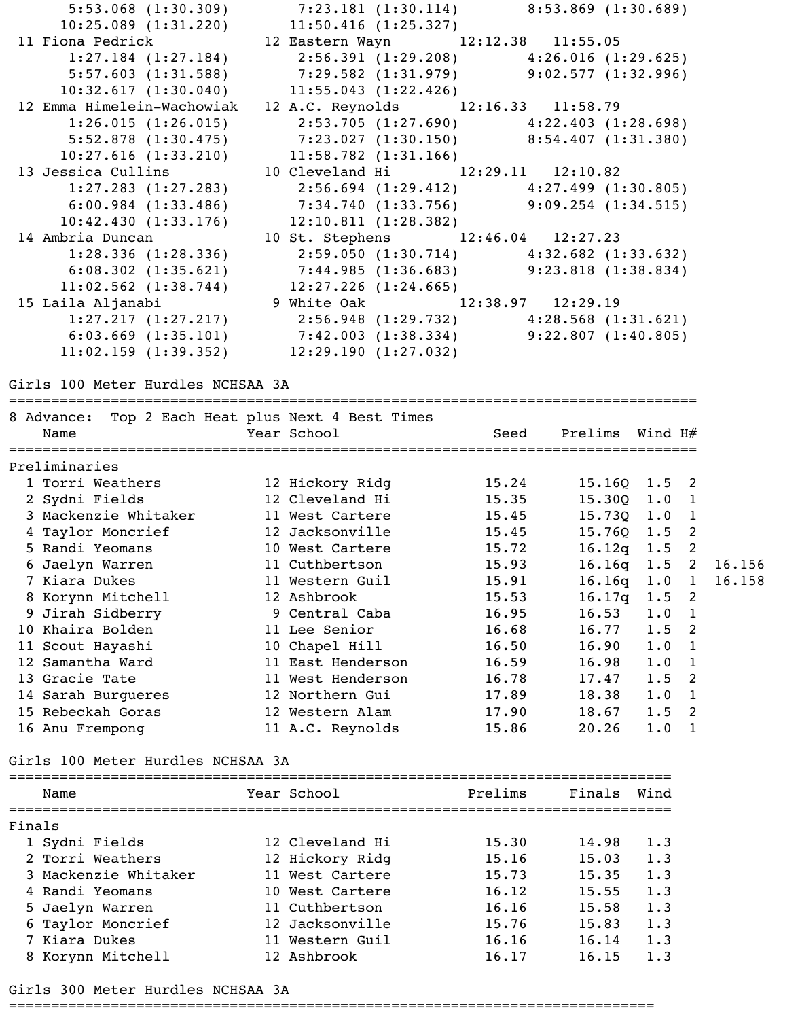5:53.068 (1:30.309) 7:23.181 (1:30.114) 8:53.869 (1:30.689) 10:25.089 (1:31.220) 11:50.416 (1:25.327) 11 Fiona Pedrick 12 Eastern Wayn 12:12.38 11:55.05 1:27.184 (1:27.184) 2:56.391 (1:29.208) 4:26.016 (1:29.625) 5:57.603 (1:31.588) 7:29.582 (1:31.979) 9:02.577 (1:32.996) 10:32.617 (1:30.040) 11:55.043 (1:22.426) 12 Emma Himelein-Wachowiak 12 A.C. Reynolds 12:16.33 11:58.79 1:26.015 (1:26.015) 2:53.705 (1:27.690) 4:22.403 (1:28.698) 5:52.878 (1:30.475) 7:23.027 (1:30.150) 8:54.407 (1:31.380) 10:27.616 (1:33.210) 11:58.782 (1:31.166) 13 Jessica Cullins 10 Cleveland Hi 12:29.11 12:10.82 1:27.283 (1:27.283) 2:56.694 (1:29.412) 4:27.499 (1:30.805) 6:00.984 (1:33.486) 7:34.740 (1:33.756) 9:09.254 (1:34.515) 10:42.430 (1:33.176) 12:10.811 (1:28.382) 14 Ambria Duncan 10 St. Stephens 12:46.04 12:27.23 1:28.336 (1:28.336) 2:59.050 (1:30.714) 4:32.682 (1:33.632) 6:08.302 (1:35.621) 7:44.985 (1:36.683) 9:23.818 (1:38.834) 11:02.562 (1:38.744) 12:27.226 (1:24.665) 15 Laila Aljanabi 9 White Oak 12:38.97 12:29.19 1:27.217 (1:27.217) 2:56.948 (1:29.732) 4:28.568 (1:31.621) 6:03.669 (1:35.101) 7:42.003 (1:38.334) 9:22.807 (1:40.805) 11:02.159 (1:39.352) 12:29.190 (1:27.032) Girls 100 Meter Hurdles NCHSAA 3A ================================================================================= 8 Advance: Top 2 Each Heat plus Next 4 Best Times Name  $Year School$   $Year School$   $Seed$   $Prelims$   $Wind$   $H#$ ================================================================================= Preliminaries 1 Torri Weathers 12 Hickory Ridg 15.24 15.16Q 1.5 2 2 Sydni Fields 12 Cleveland Hi 15.35 15.30Q 1.0 1 3 Mackenzie Whitaker 11 West Cartere 15.45 15.73Q 1.0 1 4 Taylor Moncrief 12 Jacksonville 15.45 15.76Q 1.5 2 5 Randi Yeomans 10 West Cartere 15.72 16.12q 1.5 2 6 Jaelyn Warren 11 Cuthbertson 15.93 16.16q 1.5 2 16.156 7 Kiara Dukes 11 Western Guil 15.91 16.16q 1.0 1 16.158 8 Korynn Mitchell 12 Ashbrook 15.53 16.17q 1.5 2 9 Jirah Sidberry 9 Central Caba 16.95 16.53 1.0 1 10 Khaira Bolden 11 Lee Senior 16.68 16.77 1.5 2 11 Scout Hayashi 10 Chapel Hill 16.50 16.90 1.0 1 12 Samantha Ward 11 East Henderson 16.59 16.98 1.0 1 13 Gracie Tate 11 West Henderson 16.78 17.47 1.5 2 14 Sarah Burgueres 12 Northern Gui 17.89 18.38 1.0 1 15 Rebeckah Goras 12 Western Alam 17.90 18.67 1.5 2 16 Anu Frempong 11 A.C. Reynolds 15.86 20.26 1.0 1 Girls 100 Meter Hurdles NCHSAA 3A

|        | Name                 | Year School     | Prelims | Finals | Wind |
|--------|----------------------|-----------------|---------|--------|------|
| Finals |                      |                 |         |        |      |
|        | 1 Sydni Fields       | 12 Cleveland Hi | 15.30   | 14.98  | 1.3  |
|        | 2 Torri Weathers     | 12 Hickory Ridq | 15.16   | 15.03  | 1.3  |
|        | 3 Mackenzie Whitaker | 11 West Cartere | 15.73   | 15.35  | 1.3  |
|        | 4 Randi Yeomans      | 10 West Cartere | 16.12   | 15.55  | 1.3  |
|        | 5 Jaelyn Warren      | 11 Cuthbertson  | 16.16   | 15.58  | 1.3  |
|        | 6 Taylor Moncrief    | 12 Jacksonville | 15.76   | 15.83  | 1.3  |
|        | 7 Kiara Dukes        | 11 Western Guil | 16.16   | 16.14  | 1.3  |
|        | 8 Korynn Mitchell    | 12 Ashbrook     | 16.17   | 16.15  | 1.3  |

Girls 300 Meter Hurdles NCHSAA 3A

============================================================================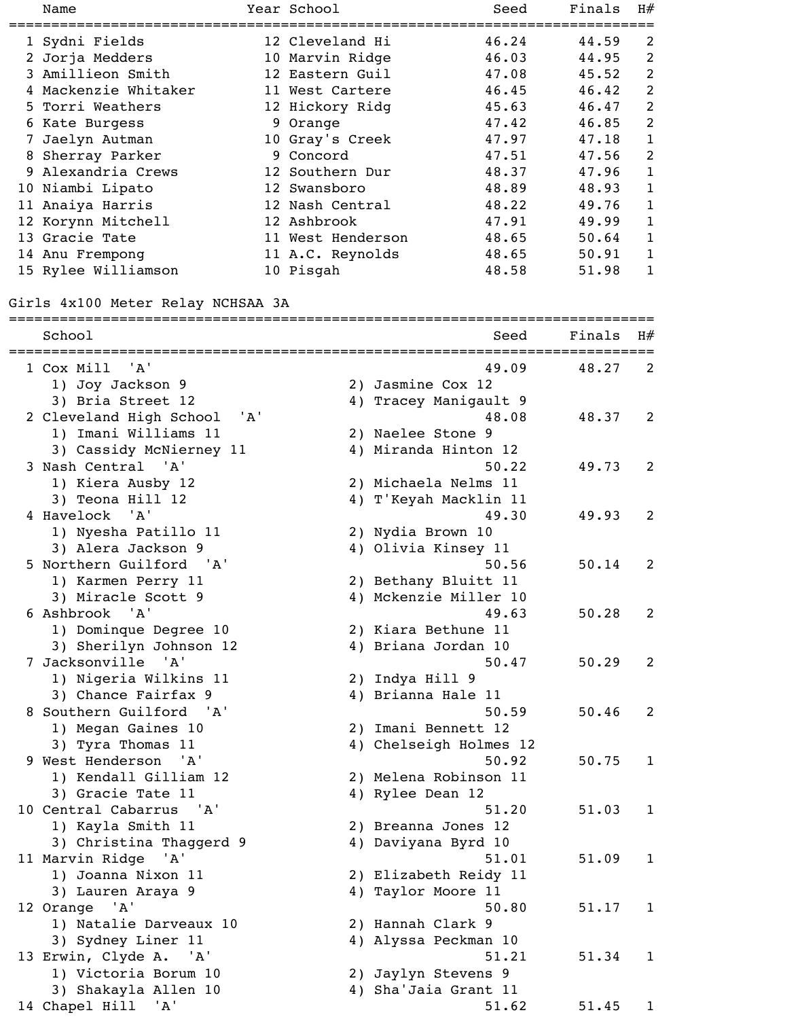|   | Name                              |  | Year School       | Seed                           | Finals | H#             |  |  |  |
|---|-----------------------------------|--|-------------------|--------------------------------|--------|----------------|--|--|--|
|   |                                   |  |                   |                                |        |                |  |  |  |
|   | 1 Sydni Fields                    |  | 12 Cleveland Hi   | 46.24                          | 44.59  | 2              |  |  |  |
|   | 2 Jorja Medders                   |  | 10 Marvin Ridge   | 46.03                          | 44.95  | 2              |  |  |  |
|   | 3 Amillieon Smith                 |  | 12 Eastern Guil   | 47.08                          | 45.52  | 2              |  |  |  |
|   | 4 Mackenzie Whitaker              |  | 11 West Cartere   | 46.45                          | 46.42  | $\overline{2}$ |  |  |  |
|   | 5 Torri Weathers                  |  | 12 Hickory Ridg   | 45.63                          | 46.47  | 2              |  |  |  |
|   | 6 Kate Burgess                    |  | 9 Orange          | 47.42                          | 46.85  | $\overline{2}$ |  |  |  |
| 7 | Jaelyn Autman                     |  | 10 Gray's Creek   | 47.97                          | 47.18  | $\mathbf{1}$   |  |  |  |
|   | 8 Sherray Parker                  |  | 9 Concord         | 47.51                          | 47.56  | $\overline{2}$ |  |  |  |
|   | 9 Alexandria Crews                |  | 12 Southern Dur   | 48.37                          | 47.96  | $\mathbf{1}$   |  |  |  |
|   | 10 Niambi Lipato                  |  | 12 Swansboro      | 48.89                          | 48.93  | $\mathbf{1}$   |  |  |  |
|   | 11 Anaiya Harris                  |  | 12 Nash Central   | 48.22                          | 49.76  | 1              |  |  |  |
|   | 12 Korynn Mitchell                |  | 12 Ashbrook       | 47.91                          | 49.99  | $\mathbf{1}$   |  |  |  |
|   | 13 Gracie Tate                    |  | 11 West Henderson | 48.65                          | 50.64  | $\mathbf{1}$   |  |  |  |
|   | 14 Anu Frempong                   |  | 11 A.C. Reynolds  | 48.65                          | 50.91  | $\mathbf{1}$   |  |  |  |
|   | 15 Rylee Williamson               |  | 10 Pisgah         | 48.58                          | 51.98  | 1              |  |  |  |
|   |                                   |  |                   |                                |        |                |  |  |  |
|   | Girls 4x100 Meter Relay NCHSAA 3A |  |                   |                                |        |                |  |  |  |
|   |                                   |  |                   |                                |        |                |  |  |  |
|   | School                            |  |                   | Seed                           | Finals | H#             |  |  |  |
|   | 1 Cox Mill<br>' A '               |  |                   | 49.09                          | 48.27  | 2              |  |  |  |
|   |                                   |  |                   | 2) Jasmine Cox 12              |        |                |  |  |  |
|   | 1) Joy Jackson 9                  |  |                   |                                |        |                |  |  |  |
|   | 3) Bria Street 12                 |  |                   | 4) Tracey Manigault 9<br>48.08 |        |                |  |  |  |
|   | 2 Cleveland High School<br>'A'    |  |                   |                                | 48.37  | 2              |  |  |  |
|   | 1) Imani Williams 11              |  |                   | 2) Naelee Stone 9              |        |                |  |  |  |
|   | 3) Cassidy McNierney 11           |  |                   | 4) Miranda Hinton 12           |        |                |  |  |  |
|   | 3 Nash Central 'A'                |  |                   | 50.22                          | 49.73  | 2              |  |  |  |
|   | 1) Kiera Ausby 12                 |  |                   | 2) Michaela Nelms 11           |        |                |  |  |  |
|   | 3) Teona Hill 12                  |  |                   | 4) T'Keyah Macklin 11          |        |                |  |  |  |
|   | 4 Havelock 'A'                    |  |                   | 49.30                          | 49.93  | 2              |  |  |  |
|   | 1) Nyesha Patillo 11              |  |                   | 2) Nydia Brown 10              |        |                |  |  |  |
|   | 3) Alera Jackson 9                |  |                   | 4) Olivia Kinsey 11            |        |                |  |  |  |
|   | 5 Northern Guilford 'A'           |  |                   | 50.56                          | 50.14  | 2              |  |  |  |
|   | 1) Karmen Perry 11                |  |                   | 2) Bethany Bluitt 11           |        |                |  |  |  |
|   | 3) Miracle Scott 9                |  |                   | 4) Mckenzie Miller 10          |        |                |  |  |  |
|   | 6 Ashbrook 'A'                    |  |                   | 49.63                          | 50.28  | 2              |  |  |  |
|   | 1) Dominque Degree 10             |  |                   | 2) Kiara Bethune 11            |        |                |  |  |  |
|   | 3) Sherilyn Johnson 12            |  |                   | 4) Briana Jordan 10            |        |                |  |  |  |
|   | 7 Jacksonville 'A'                |  |                   | 50.47                          | 50.29  | 2              |  |  |  |
|   | 1) Nigeria Wilkins 11             |  |                   | 2) Indya Hill 9                |        |                |  |  |  |
|   | 3) Chance Fairfax 9               |  |                   | 4) Brianna Hale 11             |        |                |  |  |  |
|   | 8 Southern Guilford 'A'           |  |                   | 50.59                          | 50.46  | 2              |  |  |  |
|   | 1) Megan Gaines 10                |  |                   | 2) Imani Bennett 12            |        |                |  |  |  |
|   | 3) Tyra Thomas 11                 |  |                   | 4) Chelseigh Holmes 12         |        |                |  |  |  |
|   | 9 West Henderson 'A'              |  |                   | 50.92                          | 50.75  | $\mathbf{1}$   |  |  |  |
|   | 1) Kendall Gilliam 12             |  |                   | 2) Melena Robinson 11          |        |                |  |  |  |
|   | 3) Gracie Tate 11                 |  |                   | 4) Rylee Dean 12               |        |                |  |  |  |
|   | 10 Central Cabarrus 'A'           |  |                   | 51.20                          | 51.03  | $\mathbf{1}$   |  |  |  |
|   | 1) Kayla Smith 11                 |  |                   | 2) Breanna Jones 12            |        |                |  |  |  |
|   | 3) Christina Thaggerd 9           |  |                   | 4) Daviyana Byrd 10            |        |                |  |  |  |
|   | 11 Marvin Ridge 'A'               |  |                   | 51.01                          | 51.09  | $\mathbf{1}$   |  |  |  |
|   | 1) Joanna Nixon 11                |  |                   | 2) Elizabeth Reidy 11          |        |                |  |  |  |
|   | 3) Lauren Araya 9                 |  |                   | 4) Taylor Moore 11             |        |                |  |  |  |
|   | 12 Orange 'A'                     |  |                   | 50.80                          | 51.17  | $\mathbf{1}$   |  |  |  |
|   | 1) Natalie Darveaux 10            |  |                   | 2) Hannah Clark 9              |        |                |  |  |  |
|   | 3) Sydney Liner 11                |  |                   | 4) Alyssa Peckman 10           |        |                |  |  |  |
|   | 13 Erwin, Clyde A. 'A'            |  |                   | 51.21                          | 51.34  | $\mathbf{1}$   |  |  |  |
|   | 1) Victoria Borum 10              |  |                   | 2) Jaylyn Stevens 9            |        |                |  |  |  |
|   | 3) Shakayla Allen 10              |  |                   | 4) Sha'Jaia Grant 11           |        |                |  |  |  |
|   | 14 Chapel Hill<br>'A'             |  |                   | 51.62                          | 51.45  | $\mathbf{1}$   |  |  |  |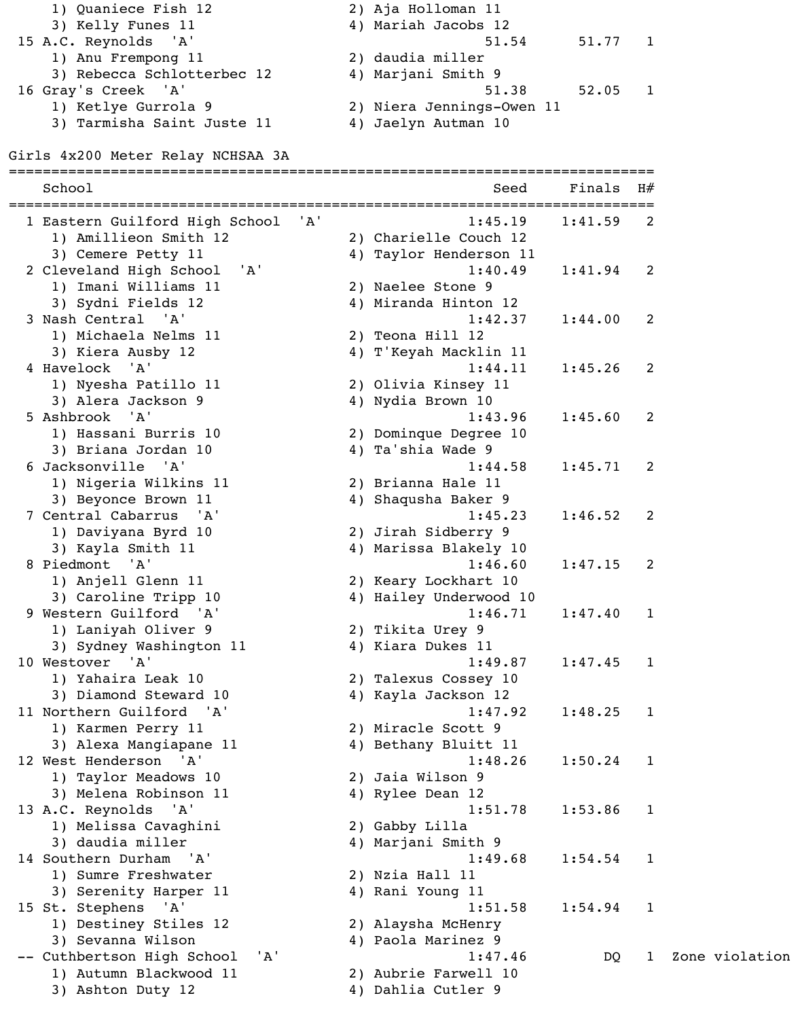| 1) Quaniece Fish 12        | 2) Aja Holloman 11        |
|----------------------------|---------------------------|
| 3) Kelly Funes 11          | 4) Mariah Jacobs 12       |
| 15 A.C. Reynolds 'A'       | 51.54                     |
| 1) Anu Frempong 11         | 2) daudia miller          |
| 3) Rebecca Schlotterbec 12 | 4) Marjani Smith 9        |
| 16 Gray's Creek 'A'        | 51.38                     |
| 1) Ketlye Gurrola 9        | 2) Niera Jennings-Owen 11 |
| 3) Tarmisha Saint Juste 11 | 4) Jaelyn Autman 10       |

| 1) Quaniece Fish 12        | 2) Aja Holloman II        |
|----------------------------|---------------------------|
| 3) Kelly Funes 11          | 4) Mariah Jacobs 12       |
| 15 A.C. Reynolds 'A'       | 51.77<br>51.54            |
| 1) Anu Frempong 11         | 2) daudia miller          |
| 3) Rebecca Schlotterbec 12 | 4) Marjani Smith 9        |
| 16 Gray's Creek 'A'        | 52.05<br>51.38            |
| 1) Ketlye Gurrola 9        | 2) Niera Jennings-Owen 11 |
| 3) Tarmisha Saint Juste 11 | 4) Jaelyn Autman 10       |

# Girls 4x200 Meter Relay NCHSAA 3A

| School                                                                  |     | ===============================<br>Seed              | Finals  | H#                       |
|-------------------------------------------------------------------------|-----|------------------------------------------------------|---------|--------------------------|
| 1 Eastern Guilford High School<br>1) Amillieon Smith 12                 | 'A' | 1:45.19<br>2) Charielle Couch 12                     | 1:41.59 | $\overline{\phantom{a}}$ |
| 3) Cemere Petty 11<br>2 Cleveland High School 'A'                       |     | 4) Taylor Henderson 11<br>1:40.49                    | 1:41.94 | 2                        |
| 1) Imani Williams 11<br>3) Sydni Fields 12                              |     | 2) Naelee Stone 9<br>4) Miranda Hinton 12            |         |                          |
| 3 Nash Central 'A'<br>1) Michaela Nelms 11                              |     | 1:42.37<br>2) Teona Hill 12                          | 1:44.00 | 2                        |
| 3) Kiera Ausby 12<br>4 Havelock 'A'                                     |     | 4) T'Keyah Macklin 11<br>1:44.11                     | 1:45.26 | 2                        |
| 1) Nyesha Patillo 11<br>3) Alera Jackson 9<br>5 Ashbrook 'A'            |     | 2) Olivia Kinsey 11<br>4) Nydia Brown 10<br>1:43.96  | 1:45.60 |                          |
| 1) Hassani Burris 10<br>3) Briana Jordan 10                             |     | 2) Dominque Degree 10<br>4) Ta'shia Wade 9           |         | 2                        |
| 6 Jacksonville 'A'<br>1) Nigeria Wilkins 11                             |     | 1:44.58<br>2) Brianna Hale 11                        | 1:45.71 | 2                        |
| 3) Beyonce Brown 11<br>7 Central Cabarrus 'A'                           |     | 4) Shaqusha Baker 9<br>1:45.23                       | 1:46.52 | 2                        |
| 1) Daviyana Byrd 10<br>3) Kayla Smith 11                                |     | 2) Jirah Sidberry 9<br>4) Marissa Blakely 10         |         |                          |
| 8 Piedmont 'A'<br>1) Anjell Glenn 11                                    |     | 1:46.60<br>2) Keary Lockhart 10                      | 1:47.15 | 2                        |
| 3) Caroline Tripp 10<br>9 Western Guilford 'A'                          |     | 4) Hailey Underwood 10<br>1:46.71                    | 1:47.40 | 1                        |
| 1) Laniyah Oliver 9<br>3) Sydney Washington 11                          |     | 2) Tikita Urey 9<br>4) Kiara Dukes 11                |         |                          |
| 10 Westover 'A'<br>1) Yahaira Leak 10                                   |     | 1:49.87<br>2) Talexus Cossey 10                      | 1:47.45 | $\mathbf 1$              |
| 3) Diamond Steward 10<br>11 Northern Guilford 'A'<br>1) Karmen Perry 11 |     | 4) Kayla Jackson 12<br>1:47.92<br>2) Miracle Scott 9 | 1:48.25 | $\overline{\phantom{0}}$ |
| 3) Alexa Mangiapane 11<br>12 West Henderson 'A'                         |     | 4) Bethany Bluitt 11<br>1:48.26                      | 1:50.24 | $\mathbf 1$              |
| 1) Taylor Meadows 10<br>3) Melena Robinson 11                           |     | 2) Jaia Wilson 9<br>4) Rylee Dean 12                 |         |                          |
| 13 A.C. Reynolds 'A'<br>1) Melissa Cavaghini                            |     | 1:51.78<br>2) Gabby Lilla                            | 1:53.86 | $\mathbf{1}$             |
| 3) daudia miller<br>14 Southern Durham 'A'                              |     | 4) Marjani Smith 9<br>1:49.68                        | 1:54.54 | $\mathbf{1}$             |
| 1) Sumre Freshwater<br>3) Serenity Harper 11                            |     | 2) Nzia Hall 11<br>4) Rani Young 11                  |         |                          |
| 15 St. Stephens 'A'<br>1) Destiney Stiles 12<br>3) Sevanna Wilson       |     | 1:51.58<br>2) Alaysha McHenry<br>4) Paola Marinez 9  | 1:54.94 | $\overline{1}$           |
| -- Cuthbertson High School<br>'A'<br>1) Autumn Blackwood 11             |     | 1:47.46<br>2) Aubrie Farwell 10                      | DQ      | $\mathbf{1}$             |
| 3) Ashton Duty 12                                                       |     | 4) Dahlia Cutler 9                                   |         |                          |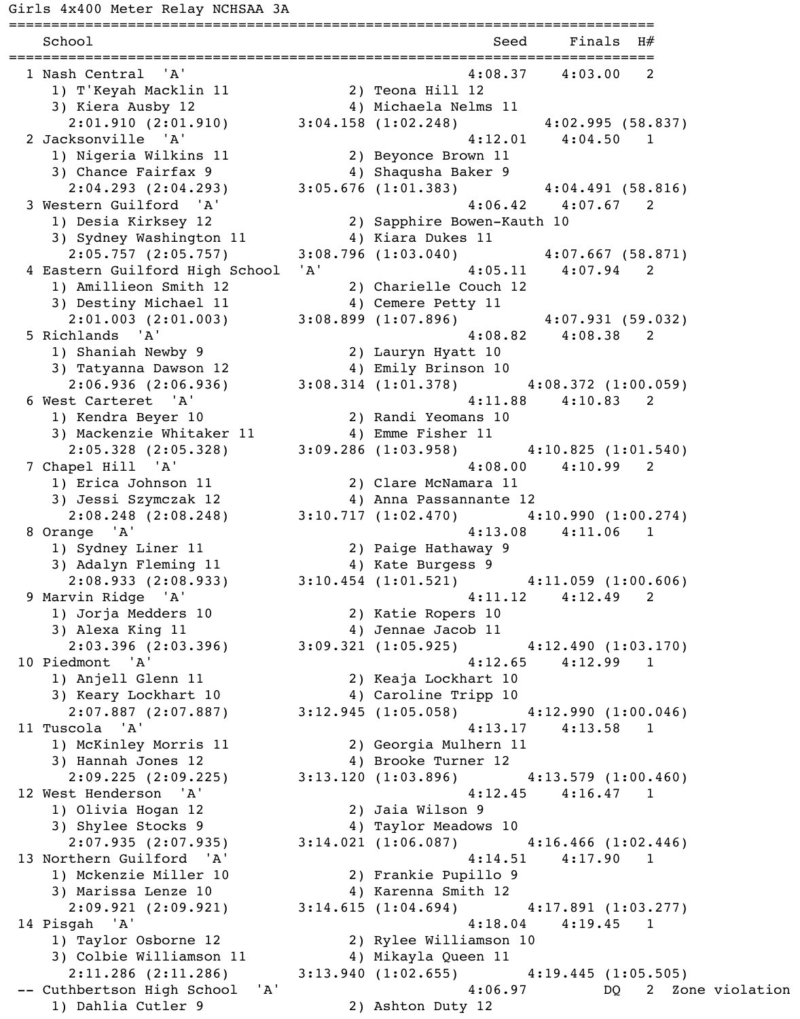============================================================================ School Seed Finals H# ============================================================================ 1 Nash Central 'A' 4:08.37 4:03.00 2 1) T'Keyah Macklin 11 2) Teona Hill 12 3) Kiera Ausby 12 4) Michaela Nelms 11 2:01.910 (2:01.910) 3:04.158 (1:02.248) 4:02.995 (58.837) 2 Jacksonville 'A' 4:12.01 4:04.50 1 1) Nigeria Wilkins 11 2) Beyonce Brown 11 3) Chance Fairfax 9 4) Shaqusha Baker 9 2:04.293 (2:04.293) 3:05.676 (1:01.383) 4:04.491 (58.816) 3 Western Guilford 'A' 4:06.42 4:07.67 2 1) Desia Kirksey 12 2) Sapphire Bowen-Kauth 10 3) Sydney Washington 11 4) Kiara Dukes 11 2:05.757 (2:05.757) 3:08.796 (1:03.040) 4:07.667 (58.871) 4 Eastern Guilford High School 'A' 4:05.11 4:07.94 2 1) Amillieon Smith 12 2) Charielle Couch 12 3) Destiny Michael 11 4) Cemere Petty 11 2:01.003 (2:01.003) 3:08.899 (1:07.896) 4:07.931 (59.032) 5 Richlands 'A' 4:08.82 4:08.38 2 1) Shaniah Newby 9 2) Lauryn Hyatt 10 3) Tatyanna Dawson 12 4) Emily Brinson 10 2:06.936 (2:06.936) 3:08.314 (1:01.378) 4:08.372 (1:00.059) 6 West Carteret 'A' 4:11.88 4:10.83 2 1) Kendra Beyer 10 2) Randi Yeomans 10 3) Mackenzie Whitaker 11 4) Emme Fisher 11 2:05.328 (2:05.328) 3:09.286 (1:03.958) 4:10.825 (1:01.540) 7 Chapel Hill 'A' 4:08.00 4:10.99 2 1) Erica Johnson 11 2) Clare McNamara 11 3) Jessi Szymczak 12 4) Anna Passannante 12 2:08.248 (2:08.248) 3:10.717 (1:02.470) 4:10.990 (1:00.274) 8 Orange 'A' 4:13.08 4:11.06 1 1) Sydney Liner 11 2) Paige Hathaway 9 3) Adalyn Fleming 11 4) Kate Burgess 9 2:08.933 (2:08.933) 3:10.454 (1:01.521) 4:11.059 (1:00.606) 9 Marvin Ridge 'A' 4:11.12 4:12.49 2 1) Jorja Medders 10 2) Katie Ropers 10 3) Alexa King 11 4) Jennae Jacob 11 2:03.396 (2:03.396) 3:09.321 (1:05.925) 4:12.490 (1:03.170) 10 Piedmont 'A' 4:12.65 4:12.99 1 1) Anjell Glenn 11 2) Keaja Lockhart 10 3) Keary Lockhart 10 4) Caroline Tripp 10 2:07.887 (2:07.887) 3:12.945 (1:05.058) 4:12.990 (1:00.046) 11 Tuscola 'A' 4:13.17 4:13.58 1 1) McKinley Morris 11 2) Georgia Mulhern 11 3) Hannah Jones 12 (2008) 4) Brooke Turner 12 2:09.225 (2:09.225) 3:13.120 (1:03.896) 4:13.579 (1:00.460) 12 West Henderson 'A' 312.45 4:12.45 4:16.47 1 1) Olivia Hogan 12 2) Jaia Wilson 9 3) Shylee Stocks 9 4) Taylor Meadows 10 2:07.935 (2:07.935) 3:14.021 (1:06.087) 4:16.466 (1:02.446) 13 Northern Guilford 'A' 4:14.51 4:17.90 1 1) Mckenzie Miller 10 2) Frankie Pupillo 9 3) Marissa Lenze 10 (4) Karenna Smith 12 2:09.921 (2:09.921) 3:14.615 (1:04.694) 4:17.891 (1:03.277) 14 Pisgah 'A' 4:18.04 4:19.45 1 1) Taylor Osborne 12 2) Rylee Williamson 10 3) Colbie Williamson 11 4) Mikayla Queen 11 2:11.286 (2:11.286) 3:13.940 (1:02.655) 4:19.445 (1:05.505) -- Cuthbertson High School 'A' 1:06.97 DQ 2 Zone violation 1) Dahlia Cutler 9 2) Ashton Duty 12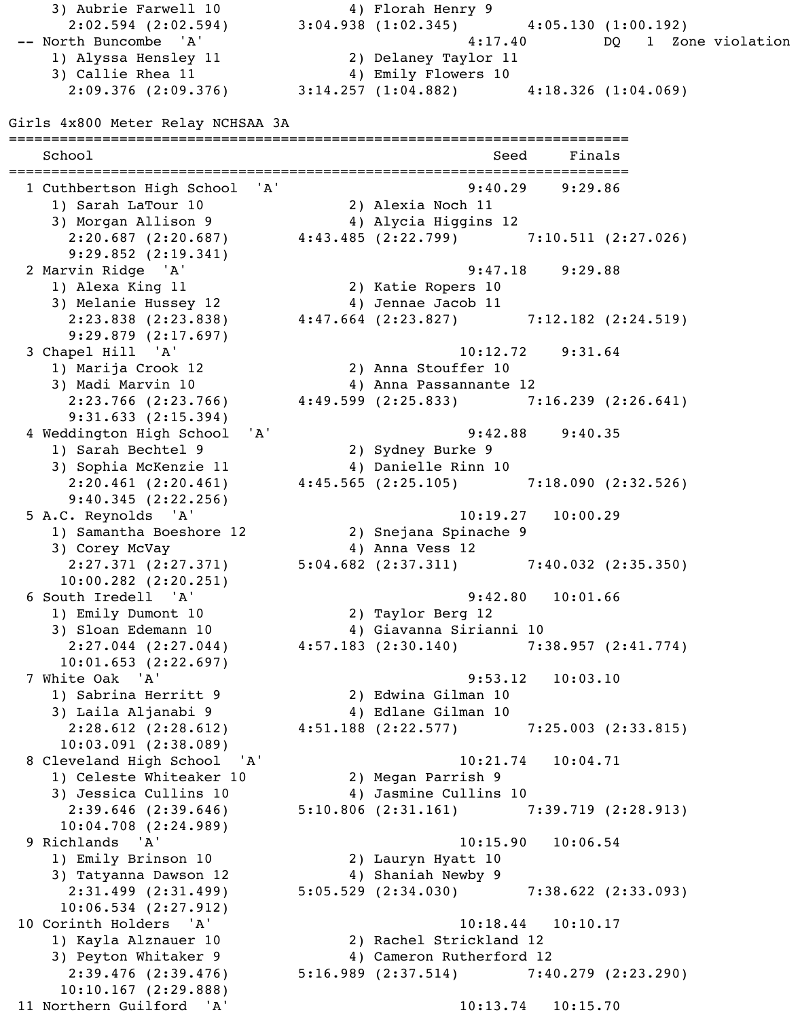2:02.594 (2:02.594) 3:04.938 (1:02.345) 4:05.130 (1:00.192) -- North Buncombe 'A' <br>
4:17.40 DQ 1 Zone violation 1) Alyssa Hensley 11 2) Delaney Taylor 11 3) Callie Rhea 11 4) Emily Flowers 10 2:09.376 (2:09.376) 3:14.257 (1:04.882) 4:18.326 (1:04.069) Girls 4x800 Meter Relay NCHSAA 3A ========================================================================= School School Seed Finals ========================================================================= 1 Cuthbertson High School 'A' 9:40.29 9:29.86 1) Sarah LaTour 10 2) Alexia Noch 11 3) Morgan Allison 9 4) Alycia Higgins 12 2:20.687 (2:20.687) 4:43.485 (2:22.799) 7:10.511 (2:27.026) 9:29.852 (2:19.341) 2 Marvin Ridge 'A' 9:47.18 9:29.88 1) Alexa King 11 2) Katie Ropers 10 and the case of the contract of the term of the term of the term of the term of the term of the term of the te<br>
13) Melanie Hussey 12 (14) Jennae Jacob 11 2:23.838 (2:23.838) 4:47.664 (2:23.827) 7:12.182 (2:24.519) 9:29.879 (2:17.697) 3 Chapel Hill 'A' 10:12.72 9:31.64 1) Marija Crook 12 2) Anna Stouffer 10 3) Madi Marvin 10 (2008) 4) Anna Passannante 12 2:23.766 (2:23.766) 4:49.599 (2:25.833) 7:16.239 (2:26.641) 9:31.633 (2:15.394) 4 Weddington High School 'A' 9:42.88 9:40.35 1) Sarah Bechtel 9 2) Sydney Burke 9 3) Sophia McKenzie 11 (4) Danielle Rinn 10 2:20.461 (2:20.461) 4:45.565 (2:25.105) 7:18.090 (2:32.526) 9:40.345 (2:22.256) 5 A.C. Reynolds 'A' 10:19.27 10:00.29 1) Samantha Boeshore 12 2) Snejana Spinache 9 3) Corey McVay (2008) 2008 4) Anna Vess 12 2:27.371 (2:27.371) 5:04.682 (2:37.311) 7:40.032 (2:35.350) 10:00.282 (2:20.251) 6 South Iredell 'A' 9:42.80 10:01.66 1) Emily Dumont 10 2) Taylor Berg 12 1) Emily Dumont 10<br>3) Sloan Edemann 10 4) Giavanna Sirianni 10 2:27.044 (2:27.044) 4:57.183 (2:30.140) 7:38.957 (2:41.774) 10:01.653 (2:22.697) 7 White Oak 'A' 9:53.12 10:03.10 1) Sabrina Herritt 9 2) Edwina Gilman 10 3) Laila Aljanabi 9 4) Edlane Gilman 10 2:28.612 (2:28.612) 4:51.188 (2:22.577) 7:25.003 (2:33.815) 10:03.091 (2:38.089) 8 Cleveland High School 'A' 10:21.74 10:04.71 1) Celeste Whiteaker 10 2) Megan Parrish 9 3) Jessica Cullins 10 4) Jasmine Cullins 10 2:39.646 (2:39.646) 5:10.806 (2:31.161) 7:39.719 (2:28.913) 10:04.708 (2:24.989) 9 Richlands 'A' 10:15.90 10:06.54 1) Emily Brinson 10 2) Lauryn Hyatt 10 3) Tatyanna Dawson 12 4) Shaniah Newby 9 2:31.499 (2:31.499) 5:05.529 (2:34.030) 7:38.622 (2:33.093) 10:06.534 (2:27.912) 10 Corinth Holders 'A' 10:18.44 10:10.17 1) Kayla Alznauer 10 2) Rachel Strickland 12 3) Peyton Whitaker 9 4) Cameron Rutherford 12 2:39.476 (2:39.476) 5:16.989 (2:37.514) 7:40.279 (2:23.290) 10:10.167 (2:29.888) 11 Northern Guilford 'A' 10:13.74 10:15.70

3) Aubrie Farwell 10 4) Florah Henry 9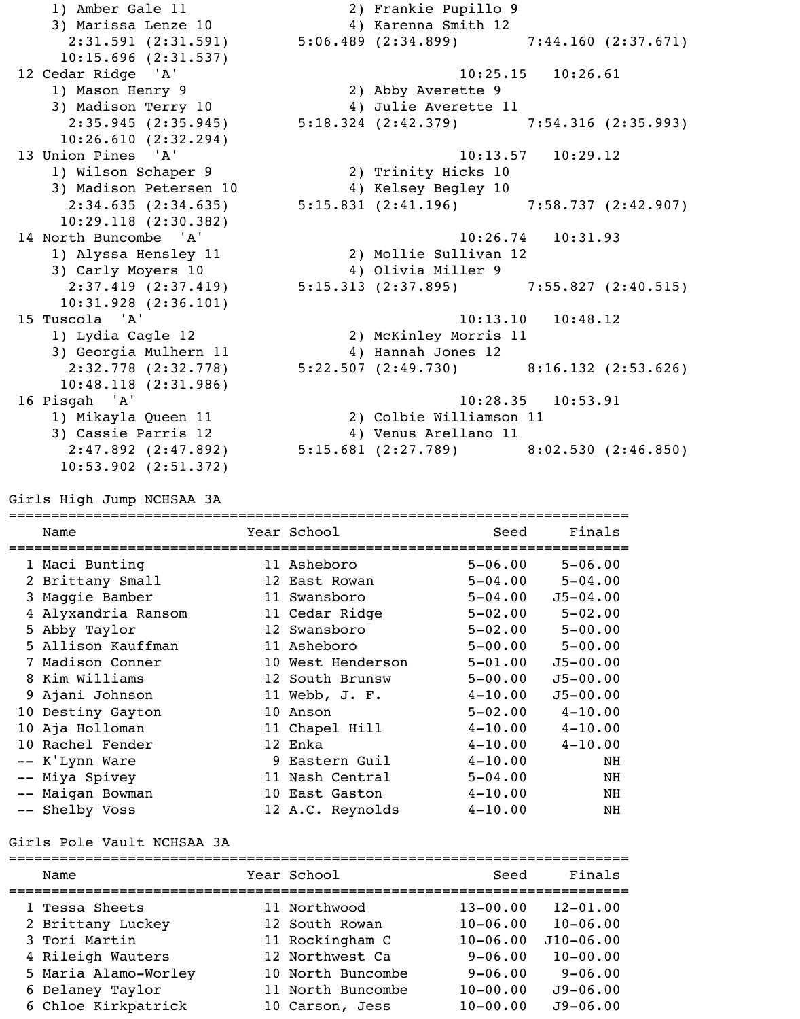1) Amber Gale 11 2) Frankie Pupillo 9 3) Marissa Lenze 10 (4) Karenna Smith 12 2:31.591 (2:31.591) 5:06.489 (2:34.899) 7:44.160 (2:37.671) 10:15.696 (2:31.537) 12 Cedar Ridge 'A' 10:25.15 10:26.61 1) Mason Henry 9 2) Abby Averette 9 3) Madison Terry 10 4) Julie Averette 11 2:35.945 (2:35.945) 5:18.324 (2:42.379) 7:54.316 (2:35.993) 10:26.610 (2:32.294) 13 Union Pines 'A' 10:13.57 10:29.12 1) Wilson Schaper 9 2) Trinity Hicks 10 3) Madison Petersen 10 4) Kelsey Begley 10 2:34.635 (2:34.635) 5:15.831 (2:41.196) 7:58.737 (2:42.907) 10:29.118 (2:30.382) 14 North Buncombe 'A' 10:26.74 10:31.93 1) Alyssa Hensley 11 2) Mollie Sullivan 12 3) Carly Moyers 10 4) Olivia Miller 9 2:37.419 (2:37.419) 5:15.313 (2:37.895) 7:55.827 (2:40.515) 10:31.928 (2:36.101) 15 Tuscola 'A' 10:13.10 10:48.12 1) Lydia Cagle 12 2) McKinley Morris 11 3) Georgia Mulhern 11 4) Hannah Jones 12 2:32.778 (2:32.778) 5:22.507 (2:49.730) 8:16.132 (2:53.626) 10:48.118 (2:31.986) 16 Pisgah 'A' 10:28.35 10:53.91 1) Mikayla Queen 11 2) Colbie Williamson 11 3) Cassie Parris 12 4) Venus Arellano 11 2:47.892 (2:47.892) 5:15.681 (2:27.789) 8:02.530 (2:46.850) 10:53.902 (2:51.372)

Girls High Jump NCHSAA 3A

| Name                | Year School       | Seed        | Finals       |
|---------------------|-------------------|-------------|--------------|
| 1 Maci Bunting      | 11 Asheboro       | $5 - 06.00$ | $5 - 06.00$  |
| 2 Brittany Small    | 12 East Rowan     | $5 - 04.00$ | $5 - 04.00$  |
| 3 Maggie Bamber     | 11 Swansboro      | $5 - 04.00$ | $J5 - 04.00$ |
| 4 Alyxandria Ransom | 11 Cedar Ridge    | $5 - 02.00$ | $5 - 02.00$  |
| 5 Abby Taylor       | 12 Swansboro      | $5 - 02.00$ | $5 - 00.00$  |
| 5 Allison Kauffman  | 11 Asheboro       | $5 - 00.00$ | $5 - 00.00$  |
| 7 Madison Conner    | 10 West Henderson | $5 - 01.00$ | $J5 - 00.00$ |
| 8 Kim Williams      | 12 South Brunsw   | $5 - 00.00$ | $J5 - 00.00$ |
| 9 Ajani Johnson     | 11 Webb, J. F.    | $4 - 10.00$ | $J5 - 00.00$ |
| 10 Destiny Gayton   | 10 Anson          | $5 - 02.00$ | $4 - 10.00$  |
| 10 Aja Holloman     | 11 Chapel Hill    | $4 - 10.00$ | $4 - 10.00$  |
| 10 Rachel Fender    | 12 Enka           | $4 - 10.00$ | $4 - 10.00$  |
| -- K'Lynn Ware      | 9 Eastern Guil    | $4 - 10.00$ | NH           |
| -- Miya Spivey      | 11 Nash Central   | $5 - 04.00$ | NH           |
| -- Maigan Bowman    | 10 East Gaston    | $4 - 10.00$ | NH           |
| -- Shelby Voss      | 12 A.C. Reynolds  | $4 - 10.00$ | NH           |

Girls Pole Vault NCHSAA 3A

| Name                 | Year School       | Seed         | Finals       |
|----------------------|-------------------|--------------|--------------|
| 1 Tessa Sheets       | 11 Northwood      | $13 - 00.00$ | $12 - 01.00$ |
| 2 Brittany Luckey    | 12 South Rowan    | $10 - 06.00$ | $10 - 06.00$ |
| 3 Tori Martin        | 11 Rockingham C   | $10 - 06.00$ | $J10-06.00$  |
| 4 Rileigh Wauters    | 12 Northwest Ca   | $9 - 06.00$  | $10 - 00.00$ |
| 5 Maria Alamo-Worley | 10 North Buncombe | $9 - 06.00$  | $9 - 06.00$  |
| 6 Delaney Taylor     | 11 North Buncombe | $10 - 00.00$ | $J9 - 06.00$ |
| 6 Chloe Kirkpatrick  | 10 Carson, Jess   | $10 - 00.00$ | $J9 - 06.00$ |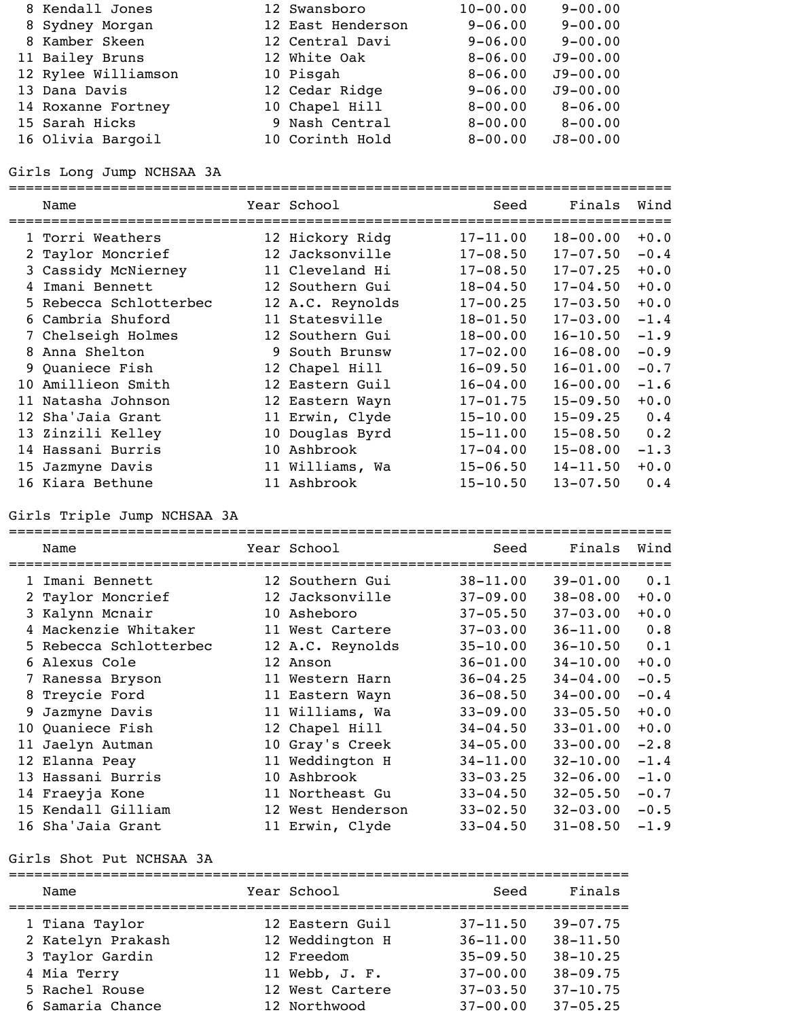| 8 Kendall Jones     | 12 Swansboro      | $10 - 00.00$ | $9 - 00.00$  |
|---------------------|-------------------|--------------|--------------|
| 8 Sydney Morgan     | 12 East Henderson | $9 - 06.00$  | $9 - 00.00$  |
| 8 Kamber Skeen      | 12 Central Davi   | $9 - 06.00$  | $9 - 00.00$  |
| 11 Bailey Bruns     | 12 White Oak      | $8 - 06.00$  | $J9 - 00.00$ |
| 12 Rylee Williamson | 10 Pisgah         | $8 - 06.00$  | $J9 - 00.00$ |
| 13 Dana Davis       | 12 Cedar Ridge    | $9 - 06.00$  | $J9 - 00.00$ |
| 14 Roxanne Fortney  | 10 Chapel Hill    | $8 - 00.00$  | $8 - 06.00$  |
| 15 Sarah Hicks      | 9 Nash Central    | $8 - 00.00$  | $8 - 00.00$  |
| 16 Olivia Bargoil   | 10 Corinth Hold   | $8 - 00.00$  | $J8 - 00.00$ |

Girls Long Jump NCHSAA 3A

|    | Name                   |    | Year School      | Seed         | Finals       | Wind   |
|----|------------------------|----|------------------|--------------|--------------|--------|
|    | 1 Torri Weathers       |    | 12 Hickory Ridg  | $17 - 11.00$ | $18 - 00.00$ | $+0.0$ |
|    | 2 Taylor Moncrief      |    | 12 Jacksonville  | $17 - 08.50$ | $17 - 07.50$ | $-0.4$ |
|    | 3 Cassidy McNierney    |    | 11 Cleveland Hi  | $17 - 08.50$ | $17 - 07.25$ | $+0.0$ |
| 4  | Imani Bennett          |    | 12 Southern Gui  | $18 - 04.50$ | $17 - 04.50$ | $+0.0$ |
|    | 5 Rebecca Schlotterbec |    | 12 A.C. Reynolds | $17 - 00.25$ | $17 - 03.50$ | $+0.0$ |
|    | 6 Cambria Shuford      |    | 11 Statesville   | $18 - 01.50$ | $17 - 03.00$ | $-1.4$ |
|    | 7 Chelseigh Holmes     |    | 12 Southern Gui  | $18 - 00.00$ | $16 - 10.50$ | $-1.9$ |
| 8  | Anna Shelton           |    | 9 South Brunsw   | $17 - 02.00$ | $16 - 08.00$ | $-0.9$ |
|    | 9 Quaniece Fish        |    | 12 Chapel Hill   | $16 - 09.50$ | $16 - 01.00$ | $-0.7$ |
| 10 | Amillieon Smith        |    | 12 Eastern Guil  | $16 - 04.00$ | $16 - 00.00$ | $-1.6$ |
| 11 | Natasha Johnson        |    | 12 Eastern Wayn  | $17 - 01.75$ | $15 - 09.50$ | $+0.0$ |
|    | 12 Sha'Jaia Grant      |    | 11 Erwin, Clyde  | $15 - 10.00$ | $15 - 09.25$ | 0.4    |
|    | 13 Zinzili Kelley      |    | 10 Douglas Byrd  | $15 - 11.00$ | $15 - 08.50$ | 0.2    |
|    | 14 Hassani Burris      | 10 | Ashbrook         | $17 - 04.00$ | $15 - 08.00$ | $-1.3$ |
|    | 15 Jazmyne Davis       |    | 11 Williams, Wa  | $15 - 06.50$ | $14 - 11.50$ | $+0.0$ |
|    | 16 Kiara Bethune       |    | 11 Ashbrook      | $15 - 10.50$ | $13 - 07.50$ | 0.4    |

Girls Triple Jump NCHSAA 3A

|    | Name                   |    | Year School       | Seed         | Finals       | Wind   |
|----|------------------------|----|-------------------|--------------|--------------|--------|
|    | 1 Imani Bennett        |    | 12 Southern Gui   | $38 - 11.00$ | $39 - 01.00$ | 0.1    |
|    | 2 Taylor Moncrief      |    | 12 Jacksonville   | $37 - 09.00$ | $38 - 08.00$ | $+0.0$ |
|    | 3 Kalynn Mcnair        |    | 10 Asheboro       | $37 - 05.50$ | $37 - 03.00$ | $+0.0$ |
|    | Mackenzie Whitaker     |    | 11 West Cartere   | $37 - 03.00$ | $36 - 11.00$ | 0.8    |
|    | 5 Rebecca Schlotterbec |    | 12 A.C. Reynolds  | $35 - 10.00$ | $36 - 10.50$ | 0.1    |
|    | 6 Alexus Cole          |    | 12 Anson          | $36 - 01.00$ | $34 - 10.00$ | $+0.0$ |
|    | 7 Ranessa Bryson       |    | 11 Western Harn   | $36 - 04.25$ | $34 - 04.00$ | $-0.5$ |
|    | 8 Treycie Ford         |    | 11 Eastern Wayn   | $36 - 08.50$ | $34 - 00.00$ | $-0.4$ |
| 9. | Jazmyne Davis          |    | 11 Williams, Wa   | $33 - 09.00$ | $33 - 05.50$ | $+0.0$ |
|    | 10 Quaniece Fish       |    | 12 Chapel Hill    | $34 - 04.50$ | $33 - 01.00$ | $+0.0$ |
| 11 | Jaelyn Autman          |    | 10 Gray's Creek   | $34 - 05.00$ | $33 - 00.00$ | $-2.8$ |
|    | 12 Elanna Peay         |    | 11 Weddington H   | $34 - 11.00$ | $32 - 10.00$ | $-1.4$ |
|    | 13 Hassani Burris      | 10 | Ashbrook          | $33 - 03.25$ | $32 - 06.00$ | $-1.0$ |
|    | 14 Fraeyja Kone        |    | 11 Northeast Gu   | $33 - 04.50$ | $32 - 05.50$ | $-0.7$ |
|    | 15 Kendall Gilliam     |    | 12 West Henderson | $33 - 02.50$ | $32 - 03.00$ | $-0.5$ |
|    | 16 Sha'Jaia Grant      |    | 11 Erwin, Clyde   | $33 - 04.50$ | $31 - 08.50$ | $-1.9$ |

Girls Shot Put NCHSAA 3A

| Name              | Year School     | Seed         | Finals       |
|-------------------|-----------------|--------------|--------------|
| 1 Tiana Taylor    | 12 Eastern Guil | $37 - 11.50$ | $39 - 07.75$ |
| 2 Katelyn Prakash | 12 Weddington H | $36 - 11.00$ | $38 - 11.50$ |
| 3 Taylor Gardin   | 12 Freedom      | $35 - 09.50$ | $38 - 10.25$ |
| 4 Mia Terry       | 11 Webb, J. F.  | $37 - 00.00$ | $38 - 09.75$ |
| 5 Rachel Rouse    | 12 West Cartere | $37 - 03.50$ | $37 - 10.75$ |
| 6 Samaria Chance  | 12 Northwood    | $37 - 00.00$ | $37 - 05.25$ |
|                   |                 |              |              |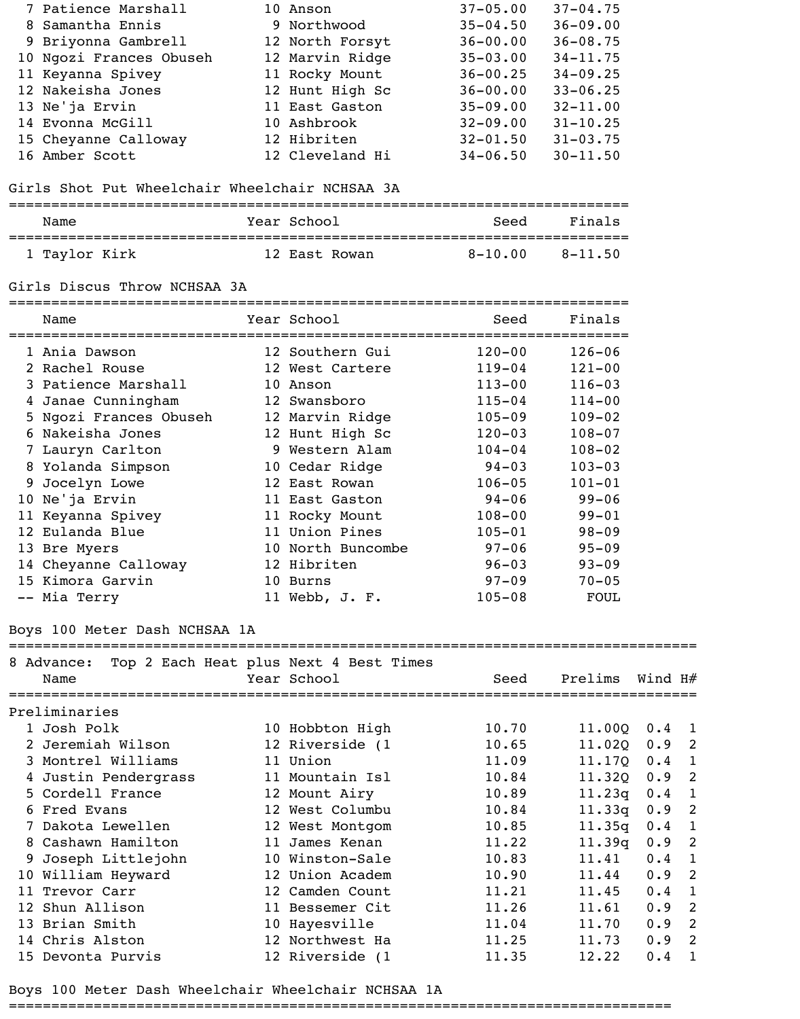| 7 Patience Marshall     | 10 Anson        | $37 - 05.00$ | $37 - 04.75$ |
|-------------------------|-----------------|--------------|--------------|
| 8 Samantha Ennis        | 9 Northwood     | $35 - 04.50$ | $36 - 09.00$ |
| 9 Briyonna Gambrell     | 12 North Forsyt | $36 - 00.00$ | $36 - 08.75$ |
| 10 Ngozi Frances Obuseh | 12 Marvin Ridge | $35 - 03.00$ | $34 - 11.75$ |
| 11 Keyanna Spivey       | 11 Rocky Mount  | $36 - 00.25$ | $34 - 09.25$ |
| 12 Nakeisha Jones       | 12 Hunt High Sc | $36 - 00.00$ | $33 - 06.25$ |
| 13 Ne'ja Ervin          | 11 East Gaston  | $35 - 09.00$ | $32 - 11.00$ |
| 14 Evonna McGill        | 10 Ashbrook     | $32 - 09.00$ | $31 - 10.25$ |
| 15 Cheyanne Calloway    | 12 Hibriten     | $32 - 01.50$ | $31 - 03.75$ |
| 16 Amber Scott          | 12 Cleveland Hi | $34 - 06.50$ | $30 - 11.50$ |

### Girls Shot Put Wheelchair Wheelchair NCHSAA 3A

| Name          | Year School   | Seed        | Finals      |
|---------------|---------------|-------------|-------------|
| 1 Taylor Kirk | 12 East Rowan | $8 - 10.00$ | $8 - 11.50$ |

#### Girls Discus Throw NCHSAA 3A

=========================================================================

| Name                   | Year School       | Seed       | Finals     |
|------------------------|-------------------|------------|------------|
| 1 Ania Dawson          | 12 Southern Gui   | $120 - 00$ | $126 - 06$ |
| 2 Rachel Rouse         | 12 West Cartere   | $119 - 04$ | $121 - 00$ |
| 3 Patience Marshall    | 10 Anson          | $113 - 00$ | $116 - 03$ |
| 4 Janae Cunningham     | 12 Swansboro      | $115 - 04$ | $114 - 00$ |
| 5 Ngozi Frances Obuseh | 12 Marvin Ridge   | $105 - 09$ | $109 - 02$ |
| 6 Nakeisha Jones       | 12 Hunt High Sc   | $120 - 03$ | $108 - 07$ |
| 7 Lauryn Carlton       | 9 Western Alam    | $104 - 04$ | $108 - 02$ |
| 8 Yolanda Simpson      | 10 Cedar Ridge    | $94 - 03$  | $103 - 03$ |
| 9 Jocelyn Lowe         | 12 East Rowan     | $106 - 05$ | $101 - 01$ |
| 10 Ne'ja Ervin         | 11 East Gaston    | $94 - 06$  | $99 - 06$  |
| 11 Keyanna Spivey      | 11 Rocky Mount    | $108 - 00$ | $99 - 01$  |
| 12 Eulanda Blue        | 11 Union Pines    | $105 - 01$ | $98 - 09$  |
| 13 Bre Myers           | 10 North Buncombe | $97 - 06$  | $95 - 09$  |
| 14 Cheyanne Calloway   | 12 Hibriten       | $96 - 03$  | $93 - 09$  |
| 15 Kimora Garvin       | 10 Burns          | $97 - 09$  | $70 - 05$  |
| -- Mia Terry           | 11 Webb, J. F.    | $105 - 08$ | FOUL       |

#### Boys 100 Meter Dash NCHSAA 1A

#### =================================================================================

| 8 Advance:<br>Name   | Top 2 Each Heat plus Next 4 Best Times<br>Year School | Seed  | Prelims | Wind H# |   |
|----------------------|-------------------------------------------------------|-------|---------|---------|---|
| Preliminaries        |                                                       |       |         |         |   |
| 1 Josh Polk          | 10 Hobbton High                                       | 10.70 | 11.00Q  | 0.4     |   |
| 2 Jeremiah Wilson    | 12 Riverside (1                                       | 10.65 | 11.020  | 0.9     | 2 |
| 3 Montrel Williams   | 11 Union                                              | 11.09 | 11.170  | 0.4     |   |
| 4 Justin Pendergrass | 11 Mountain Isl                                       | 10.84 | 11.320  | 0.9     | 2 |
| 5 Cordell France     | 12 Mount Airy                                         | 10.89 | 11.23q  | 0.4     |   |
| 6 Fred Evans         | 12 West Columbu                                       | 10.84 | 11.33q  | 0.9     | 2 |
| 7 Dakota Lewellen    | 12 West Montgom                                       | 10.85 | 11.35q  | 0.4     | 1 |
| 8 Cashawn Hamilton   | 11 James Kenan                                        | 11.22 | 11.39q  | 0.9     | 2 |
| 9 Joseph Littlejohn  | 10 Winston-Sale                                       | 10.83 | 11.41   | 0.4     | 1 |
| 10 William Heyward   | 12 Union Academ                                       | 10.90 | 11.44   | 0.9     | 2 |
| 11 Trevor Carr       | 12 Camden Count                                       | 11.21 | 11.45   | 0.4     | 1 |
| 12 Shun Allison      | 11 Bessemer Cit                                       | 11.26 | 11.61   | 0.9     | 2 |
| 13 Brian Smith       | 10 Hayesville                                         | 11.04 | 11.70   | 0.9     | 2 |
| 14 Chris Alston      | 12 Northwest Ha                                       | 11.25 | 11.73   | 0.9     | 2 |
| 15 Devonta Purvis    | 12 Riverside (1                                       | 11.35 | 12.22   | 0.4     |   |

Boys 100 Meter Dash Wheelchair Wheelchair NCHSAA 1A

==============================================================================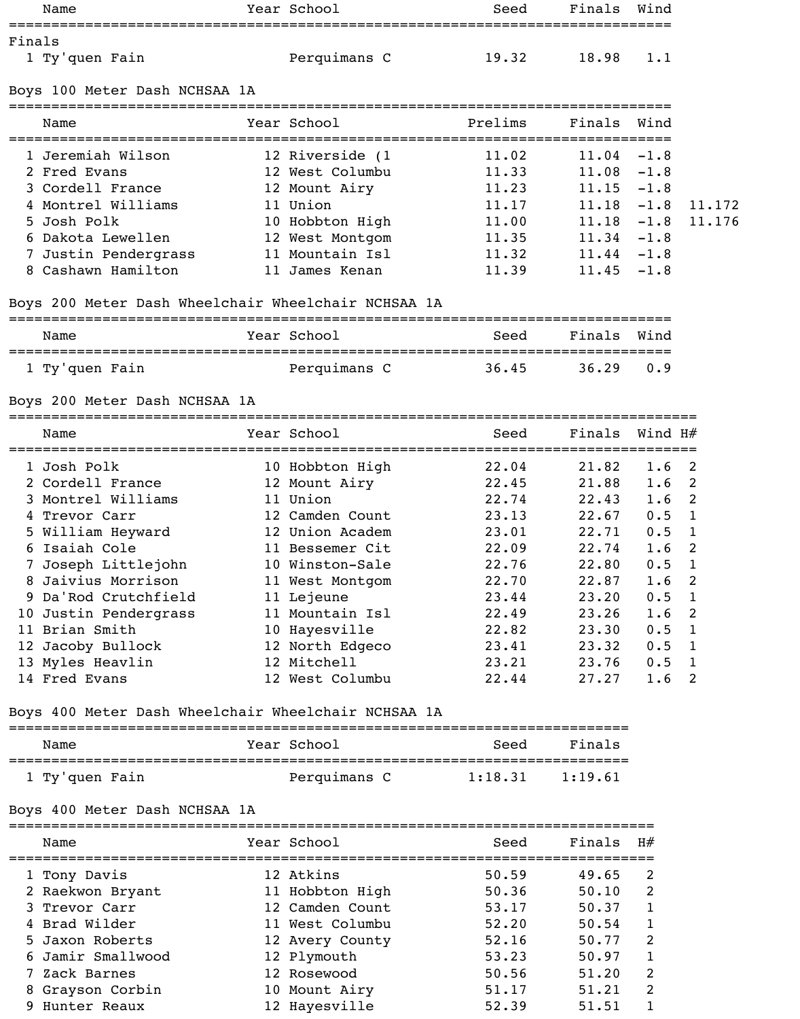|        | Name                                                | Year School           | Seed                                       | Finals                               | Wind             |        |
|--------|-----------------------------------------------------|-----------------------|--------------------------------------------|--------------------------------------|------------------|--------|
|        |                                                     |                       |                                            |                                      |                  |        |
| Finals | 1 Ty'quen Fain                                      | Perquimans C          | 19.32                                      | 18.98                                | 1.1              |        |
|        | Boys 100 Meter Dash NCHSAA 1A                       |                       |                                            |                                      |                  |        |
|        | ===========================                         |                       |                                            |                                      |                  |        |
|        | Name                                                | Year School           | Prelims                                    | Finals                               | Wind             |        |
|        | 1 Jeremiah Wilson                                   | 12 Riverside (1       | 11.02                                      | ===================<br>$11.04 - 1.8$ |                  |        |
|        | 2 Fred Evans                                        | 12 West Columbu       | 11.33                                      | $11.08 - 1.8$                        |                  |        |
|        | 3 Cordell France                                    | 12 Mount Airy         | 11.23                                      | $11.15 - 1.8$                        |                  |        |
|        | 4 Montrel Williams                                  | 11 Union              | 11.17                                      | $11.18 - 1.8$                        |                  | 11.172 |
|        | 5 Josh Polk                                         | 10 Hobbton High       | 11.00                                      | $11.18 - 1.8$                        |                  | 11.176 |
|        | 6 Dakota Lewellen                                   | 12 West Montgom       | 11.35                                      | $11.34 - 1.8$                        |                  |        |
|        | 7 Justin Pendergrass                                | 11 Mountain Isl       | 11.32                                      | $11.44 - 1.8$                        |                  |        |
|        | 8 Cashawn Hamilton                                  | 11 James Kenan        | 11.39                                      | $11.45 - 1.8$                        |                  |        |
|        | Boys 200 Meter Dash Wheelchair Wheelchair NCHSAA 1A |                       |                                            |                                      |                  |        |
|        | Name                                                | Year School           | -=================================<br>Seed | Finals                               | Wind             |        |
|        | 1 Ty'quen Fain                                      | Perquimans C          | 36.45                                      | 36.29                                | 0.9              |        |
|        | Boys 200 Meter Dash NCHSAA 1A                       |                       |                                            |                                      |                  |        |
|        | Name                                                | Year School           | Seed                                       | Finals                               | Wind H#          |        |
|        | 1 Josh Polk                                         | 10 Hobbton High       | 22.04                                      | 21.82                                | 1.6 <sub>2</sub> |        |
|        | 2 Cordell France                                    | 12 Mount Airy         | 22.45                                      | 21.88                                | 1.6              | 2      |
|        | 3 Montrel Williams                                  | 11 Union              | 22.74                                      | 22.43                                | 1.6              | 2      |
|        | 4 Trevor Carr                                       | 12 Camden Count       | 23.13                                      | 22.67                                | $0.5 \quad 1$    |        |
|        | 5 William Heyward                                   | 12 Union Academ       | 23.01                                      | 22.71                                | $0.5 \quad 1$    |        |
|        | 6 Isaiah Cole                                       | 11 Bessemer Cit       | 22.09                                      | 22.74                                | 1.6              | 2      |
|        | 7 Joseph Littlejohn                                 | 10 Winston-Sale       | 22.76                                      | 22.80                                | $0.5 \quad 1$    |        |
|        | 8 Jaivius Morrison                                  | 11 West Montgom       | 22.70                                      | 22.87                                | 1.6              | 2      |
|        | 9 Da'Rod Crutchfield                                | 11 Lejeune            | 23.44                                      | 23.20                                | $0.5$ 1          |        |
|        | 10 Justin Pendergrass                               | 11 Mountain Isl       | 22.49                                      | 23.26                                | 1.6              | 2      |
|        | 11 Brian Smith                                      | 10 Hayesville         | 22.82                                      | 23.30                                | $0.5 \quad 1$    |        |
|        | 12 Jacoby Bullock                                   | 12 North Edgeco       | 23.41                                      | 23.32                                | $0.5 \quad 1$    |        |
|        | 13 Myles Heavlin                                    | 12 Mitchell           | 23.21                                      | 23.76                                | 0.5 1            |        |
|        | 14 Fred Evans                                       | 12 West Columbu       | 22.44                                      | 27.27                                | $1.6 \quad 2$    |        |
|        | Boys 400 Meter Dash Wheelchair Wheelchair NCHSAA 1A |                       |                                            |                                      |                  |        |
|        | Name                                                | Year School           | Seed                                       | Finals                               |                  |        |
|        | 1 Ty'quen Fain                                      | Perquimans C          | 1:18.31                                    | 1:19.61                              |                  |        |
|        | Boys 400 Meter Dash NCHSAA 1A                       |                       |                                            |                                      |                  |        |
|        | Name                                                | Year School           | Seed                                       | Finals                               | H#               |        |
|        | 1 Tony Davis                                        | 12 Atkins             | 50.59                                      | 49.65                                | 2                |        |
|        | 2 Raekwon Bryant                                    | 11 Hobbton High       | 50.36                                      | 50.10                                | 2                |        |
|        | 3 Trevor Carr                                       | 12 Camden Count       | 53.17                                      | 50.37                                | 1                |        |
|        | 4 Brad Wilder                                       | 11 West Columbu       | 52.20                                      | 50.54                                | 1                |        |
|        | 5 Jaxon Roberts                                     | 12 Avery County 52.16 |                                            | 50.77                                | 2                |        |
|        | 6 Jamir Smallwood                                   | 12 Plymouth           | 53.23                                      | 50.97                                | 1                |        |
|        | 7 Zack Barnes                                       | 12 Rosewood           | 50.56                                      | 51.20                                | 2                |        |
|        | 8 Grayson Corbin                                    | 10 Mount Airy         | 51.17                                      | 51.21                                | 2                |        |
|        | 9 Hunter Reaux                                      | 12 Hayesville         | 52.39                                      | 51.51                                | 1                |        |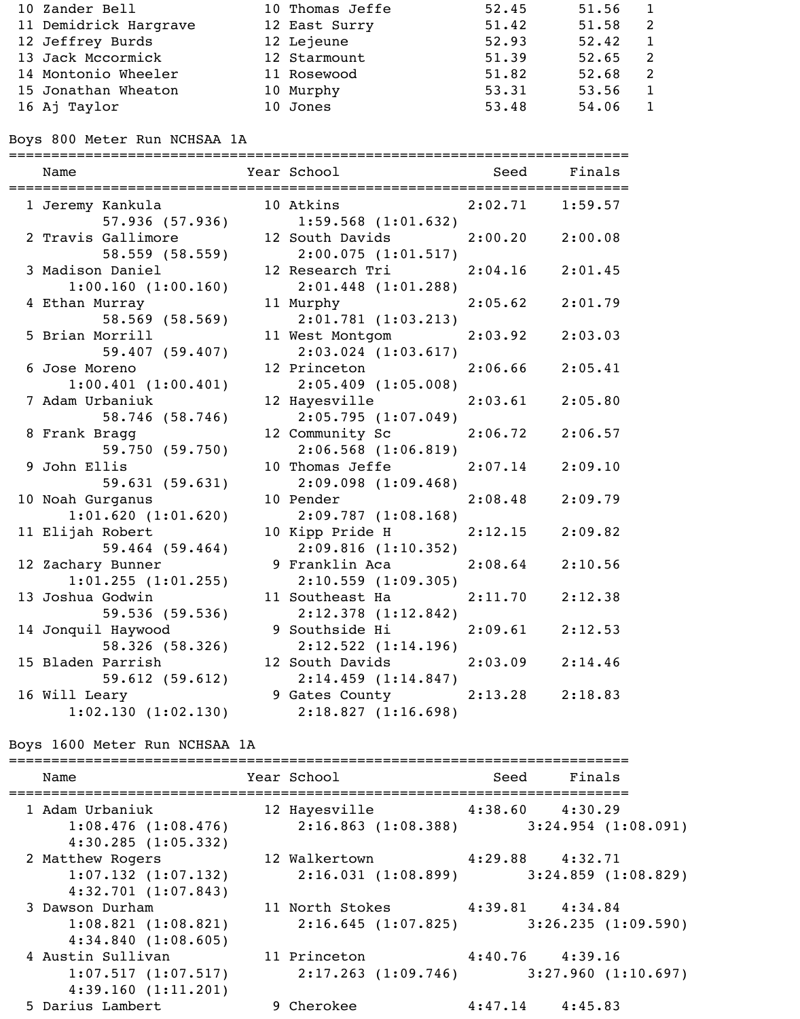| 10 Zander Bell        | 10 Thomas Jeffe | 52.45 | 51.56 |   |
|-----------------------|-----------------|-------|-------|---|
| 11 Demidrick Hargrave | 12 East Surry   | 51.42 | 51.58 | 2 |
| 12 Jeffrey Burds      | 12 Lejeune      | 52.93 | 52.42 |   |
| 13 Jack Mccormick     | 12 Starmount    | 51.39 | 52.65 |   |
| 14 Montonio Wheeler   | 11 Rosewood     | 51.82 | 52.68 | 2 |
| 15 Jonathan Wheaton   | 10 Murphy       | 53.31 | 53.56 |   |
| 16 Aj Taylor          | 10 Jones        | 53.48 | 54.06 |   |

Boys 800 Meter Run NCHSAA 1A

| Name                                       | Year School                                                                                                                          | <b>Seed</b> Seed | Finals  |
|--------------------------------------------|--------------------------------------------------------------------------------------------------------------------------------------|------------------|---------|
| 1 Jeremy Kankula<br>57.936 (57.936)        | 10 Atkins 2:02.71 1:59.57<br>$1:59.568$ $(1:01.632)$                                                                                 |                  |         |
| 2 Travis Gallimore<br>58.559 (58.559)      | 12 South Davids<br>2:00.075(1:01.517)                                                                                                | 2:00.20          | 2:00.08 |
| 3 Madison Daniel<br>1:00.160(1:00.160)     | 12 Research Tri 2:04.16<br>$2:01.448$ (1:01.288)                                                                                     |                  | 2:01.45 |
| 4 Ethan Murray<br>58.569 (58.569)          | 11 Murphy<br>2:01.781(1:03.213)                                                                                                      | 2:05.62          | 2:01.79 |
| 5 Brian Morrill<br>59.407 (59.407)         | 11 West Montgom<br>$2:03.024$ $(1:03.617)$                                                                                           | 2:03.92          | 2:03.03 |
| 6 Jose Moreno<br>1:00.401(1:00.401)        | 12 Princeton<br>2:05.409(1:05.008)                                                                                                   | 2:06.66          | 2:05.41 |
| 7 Adam Urbaniuk<br>58.746 (58.746)         | 12 Hayesville<br>2:05.795(1:07.049)                                                                                                  | 2:03.61          | 2:05.80 |
| 8 Frank Bragg<br>59.750 (59.750)           | 12 Community Sc<br>2:06.568(1:06.819)                                                                                                | 2:06.72          | 2:06.57 |
| 9 John Ellis<br>59.631 (59.631)            | 10 Thomas Jeffe 2:07.14<br>$2:09.098$ $(1:09.468)$                                                                                   |                  | 2:09.10 |
| 10 Noah Gurganus<br>1:01.620(1:01.620)     | 10 Pender and the state of the state of the state of the state of the state of the state of the state of the s<br>2:09.787(1:08.168) | 2:08.48          | 2:09.79 |
| 11 Elijah Robert<br>$59.464$ (59.464)      | 10 Kipp Pride H<br>$2:09.816$ (1:10.352)                                                                                             | 2:12.15          | 2:09.82 |
| 12 Zachary Bunner<br>$1:01.255$ (1:01.255) | 9 Franklin Aca<br>$2:10.559$ (1:09.305)                                                                                              | 2:08.64          | 2:10.56 |
| 13 Joshua Godwin<br>59.536 (59.536)        | 11 Southeast Ha 2:11.70<br>2:12.378(1:12.842)                                                                                        |                  | 2:12.38 |
| 14 Jonquil Haywood<br>58.326 (58.326)      | 9 Southside Hi 2:09.61 2:12.53<br>2:12.522(1:14.196)                                                                                 |                  |         |
| 15 Bladen Parrish<br>59.612(59.612)        | 12 South Davids<br>2:14.459(1:14.847)                                                                                                | 2:03.09          | 2:14.46 |
| 16 Will Leary<br>1:02.130(1:02.130)        | 9 Gates County<br>2:18.827(1:16.698)                                                                                                 | 2:13.28          | 2:18.83 |

# Boys 1600 Meter Run NCHSAA 1A

| Name                                                                   | Year School                                                                  | Seed Finals         |  |
|------------------------------------------------------------------------|------------------------------------------------------------------------------|---------------------|--|
| 1 Adam Urbaniuk<br>$1:08.476$ $(1:08.476)$<br>4:30.285(1:05.332)       | 12 Hayesville 4:38.60 4:30.29<br>$2:16.863$ (1:08.388) $3:24.954$ (1:08.091) |                     |  |
| 2 Matthew Rogers<br>$1:07.132$ $(1:07.132)$<br>$4:32.701$ $(1:07.843)$ | 12 Walkertown 4:29.88 4:32.71<br>$2:16.031$ (1:08.899) 3:24.859 (1:08.829)   |                     |  |
| 3 Dawson Durham<br>1:08.821(1:08.821)<br>4:34.840(1:08.605)            | 11 North Stokes 4:39.81 4:34.84<br>$2:16.645$ (1:07.825) 3:26.235 (1:09.590) |                     |  |
| 4 Austin Sullivan<br>1:07.517(1:07.517)<br>4:39.160(1:11.201)          | 11 Princeton 4:40.76 4:39.16<br>$2:17.263$ (1:09.746) 3:27.960 (1:10.697)    |                     |  |
| 5 Darius Lambert                                                       | 9 Cherokee                                                                   | $4:47.14$ $4:45.83$ |  |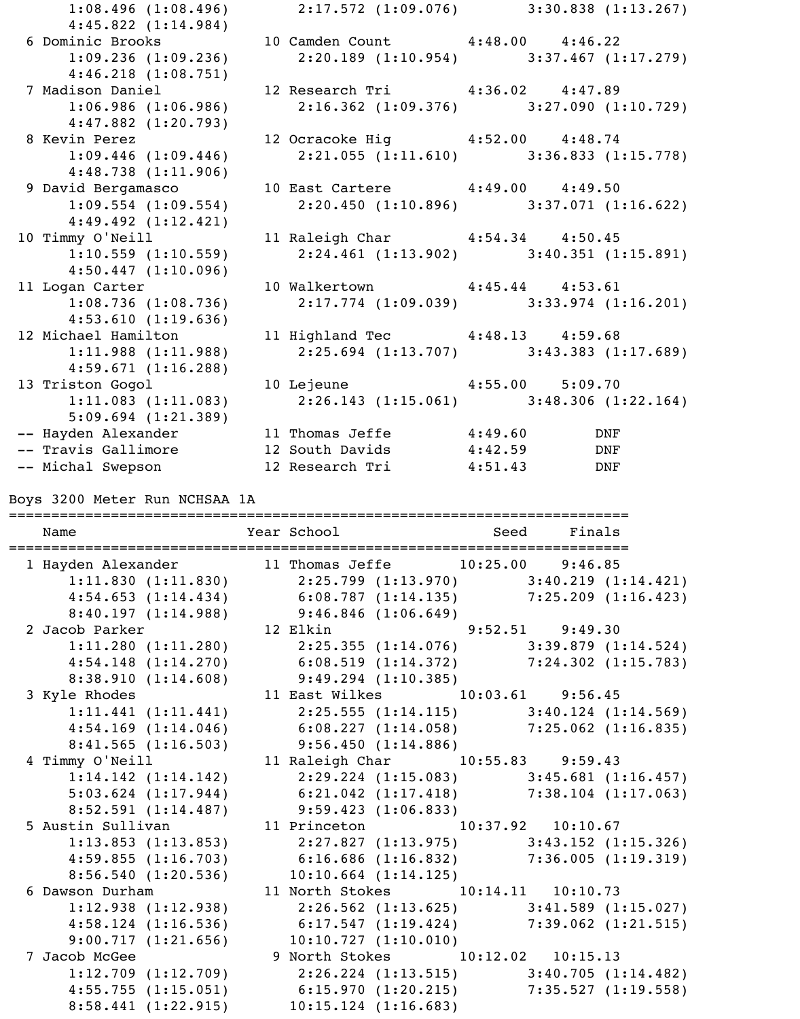| $1:08.496$ (1:08.496) 2:17.572 (1:09.076) 3:30.838 (1:13.267)<br>4:45.822(1:14.984) |                                           |  |  |
|-------------------------------------------------------------------------------------|-------------------------------------------|--|--|
| 6 Dominic Brooks 10 Camden Count 4:48.00 4:46.22                                    |                                           |  |  |
| $1:09.236$ (1:09.236) $2:20.189$ (1:10.954) $3:37.467$ (1:17.279)                   |                                           |  |  |
| $4:46.218$ $(1:08.751)$                                                             |                                           |  |  |
| 7 Madison Daniel 12 Research Tri 4:36.02 4:47.89                                    |                                           |  |  |
| $1:06.986$ (1:06.986) $2:16.362$ (1:09.376) $3:27.090$ (1:10.729)                   |                                           |  |  |
| $4:47.882$ (1:20.793)                                                               |                                           |  |  |
| 8 Kevin Perez                                                                       | 12 Ocracoke Hig   4:52.00   4:48.74       |  |  |
| $1:09.446$ $(1:09.446)$                                                             | $2:21.055$ (1:11.610) 3:36.833 (1:15.778) |  |  |
| 4:48.738(1:11.906)                                                                  |                                           |  |  |
| 9 David Bergamasco 10 East Cartere 4:49.00 4:49.50                                  |                                           |  |  |
| $1:09.554$ (1:09.554) $2:20.450$ (1:10.896) $3:37.071$ (1:16.622)                   |                                           |  |  |
| $4:49.492$ $(1:12.421)$                                                             |                                           |  |  |
| 10 Timmy O'Neill 11 Raleigh Char 4:54.34 4:50.45                                    |                                           |  |  |
| $1:10.559$ (1:10.559) $2:24.461$ (1:13.902) $3:40.351$ (1:15.891)                   |                                           |  |  |
| 4:50.447(1:10.096)                                                                  |                                           |  |  |
| 11 Logan Carter 10 Walkertown 4:45.44 4:53.61                                       |                                           |  |  |
| $1:08.736$ (1:08.736) $2:17.774$ (1:09.039) 3:33.974 (1:16.201)                     |                                           |  |  |
| 4:53.610(1:19.636)                                                                  |                                           |  |  |
| 12 Michael Hamilton 11 Highland Tec 4:48.13 4:59.68                                 |                                           |  |  |
| $1:11.988$ (1:11.988) $2:25.694$ (1:13.707) $3:43.383$ (1:17.689)                   |                                           |  |  |
| 4:59.671(1:16.288)                                                                  |                                           |  |  |
| 13 Triston Gogol                                                                    | 10 Lejeune   4:55.00   5:09.70            |  |  |
| $1:11.083$ (1:11.083) $2:26.143$ (1:15.061) $3:48.306$ (1:22.164)                   |                                           |  |  |
| $5:09.694$ (1:21.389)                                                               |                                           |  |  |
| -- Hayden Alexander 11 Thomas Jeffe 4:49.60 DNF                                     |                                           |  |  |
|                                                                                     |                                           |  |  |
|                                                                                     |                                           |  |  |
|                                                                                     |                                           |  |  |

Boys 3200 Meter Run NCHSAA 1A<br>===============================

| -----------------------------------<br>Name                                        |  | =====================================<br>Year School and Seed Finals |  |  |
|------------------------------------------------------------------------------------|--|----------------------------------------------------------------------|--|--|
| 1 Hayden Alexander 11 Thomas Jeffe 10:25.00 9:46.85                                |  |                                                                      |  |  |
| $1:11.830$ (1:11.830) $2:25.799$ (1:13.970) $3:40.219$ (1:14.421)                  |  |                                                                      |  |  |
| 4:54.653 (1:14.434) 6:08.787 (1:14.135) 7:25.209 (1:16.423)                        |  |                                                                      |  |  |
|                                                                                    |  |                                                                      |  |  |
| 8:40.197 (1:14.988) 9:46.846 (1:06.649)<br>2 Jacob Parker 12 Elkin 9:52.51 9:49.30 |  |                                                                      |  |  |
| 1:11.280 (1:11.280) 2:25.355 (1:14.076) 3:39.879 (1:14.524)                        |  |                                                                      |  |  |
| 4:54.148 (1:14.270) 6:08.519 (1:14.372) 7:24.302 (1:15.783)                        |  |                                                                      |  |  |
| $8:38.910(1:14.608)$ $9:49.294(1:10.385)$                                          |  |                                                                      |  |  |
| 3 Kyle Rhodes 11 East Wilkes 10:03.61 9:56.45                                      |  |                                                                      |  |  |
| 1:11.441 (1:11.441) 2:25.555 (1:14.115) 3:40.124 (1:14.569)                        |  |                                                                      |  |  |
| $4:54.169$ (1:14.046) 6:08.227 (1:14.058) 7:25.062 (1:16.835)                      |  |                                                                      |  |  |
| $8:41.565$ (1:16.503) 9:56.450 (1:14.886)                                          |  |                                                                      |  |  |
| 4 Timmy O'Neill 11 Raleigh Char 10:55.83 9:59.43                                   |  |                                                                      |  |  |
| 1:14.142 (1:14.142) 2:29.224 (1:15.083) 3:45.681 (1:16.457)                        |  |                                                                      |  |  |
| 5:03.624 (1:17.944) 6:21.042 (1:17.418) 7:38.104 (1:17.063)                        |  |                                                                      |  |  |
| 8:52.591 (1:14.487) 9:59.423 (1:06.833)                                            |  |                                                                      |  |  |
| 5 Austin Sullivan (10:37.92 10:10.67)                                              |  |                                                                      |  |  |
| $1:13.853$ (1:13.853) $2:27.827$ (1:13.975) $3:43.152$ (1:15.326)                  |  |                                                                      |  |  |
| 4:59.855(1:16.703)                                                                 |  | $6:16.686$ (1:16.832) $7:36.005$ (1:19.319)                          |  |  |
| $8:56.540$ (1:20.536) 10:10.664 (1:14.125)                                         |  |                                                                      |  |  |
| 6 Dawson Durham 11 North Stokes 10:14.11 10:10.73                                  |  |                                                                      |  |  |
| 1:12.938 (1:12.938) 2:26.562 (1:13.625) 3:41.589 (1:15.027)                        |  |                                                                      |  |  |
| $4:58.124$ (1:16.536) 6:17.547 (1:19.424) 7:39.062 (1:21.515)                      |  |                                                                      |  |  |
| $9:00.717(1:21.656)$ 10:10.727 $(1:10.010)$                                        |  |                                                                      |  |  |
| 7 Jacob McGee                                                                      |  | 9 North Stokes 10:12.02 10:15.13                                     |  |  |
| $1:12.709$ (1:12.709) 2:26.224 (1:13.515) 3:40.705 (1:14.482)                      |  |                                                                      |  |  |
| $4:55.755$ (1:15.051) 6:15.970 (1:20.215) 7:35.527 (1:19.558)                      |  |                                                                      |  |  |
| 8:58.441 (1:22.915) 10:15.124 (1:16.683)                                           |  |                                                                      |  |  |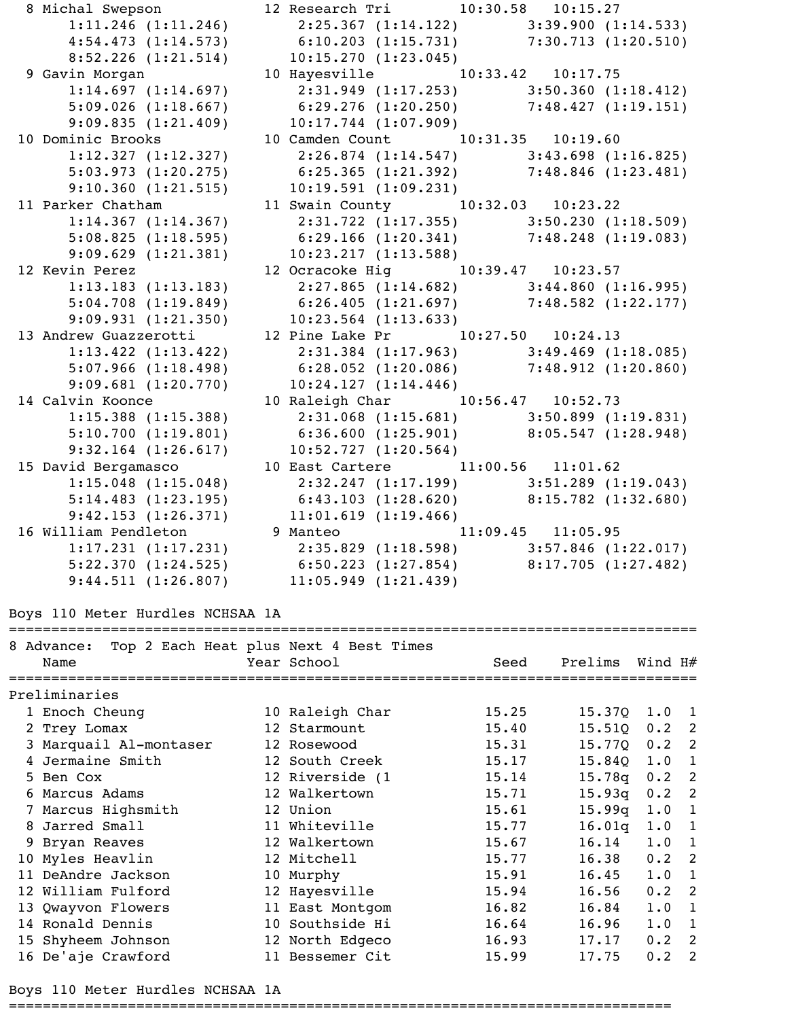8 Michal Swepson 12 Research Tri 10:30.58 10:15.27 1:11.246 (1:11.246) 2:25.367 (1:14.122) 3:39.900 (1:14.533) 4:54.473 (1:14.573) 6:10.203 (1:15.731) 7:30.713 (1:20.510) 8:52.226 (1:21.514) 10:15.270 (1:23.045) 9 Gavin Morgan 10 Hayesville 10:33.42 10:17.75 1:14.697 (1:14.697) 2:31.949 (1:17.253) 3:50.360 (1:18.412) 5:09.026 (1:18.667) 6:29.276 (1:20.250) 7:48.427 (1:19.151) 9:09.835 (1:21.409) 10:17.744 (1:07.909) 10 Dominic Brooks 10 Camden Count 10:31.35 10:19.60 1:12.327 (1:12.327) 2:26.874 (1:14.547) 3:43.698 (1:16.825) 5:03.973 (1:20.275) 6:25.365 (1:21.392) 7:48.846 (1:23.481) 9:10.360 (1:21.515) 10:19.591 (1:09.231) 11 Parker Chatham 11 Swain County 10:32.03 10:23.22 1:14.367 (1:14.367) 2:31.722 (1:17.355) 3:50.230 (1:18.509) 5:08.825 (1:18.595) 6:29.166 (1:20.341) 7:48.248 (1:19.083) 9:09.629 (1:21.381) 10:23.217 (1:13.588) 12 Kevin Perez 12 Ocracoke Hig 10:39.47 10:23.57 1:13.183 (1:13.183) 2:27.865 (1:14.682) 3:44.860 (1:16.995) 5:04.708 (1:19.849) 6:26.405 (1:21.697) 7:48.582 (1:22.177) 9:09.931 (1:21.350) 10:23.564 (1:13.633) 13 Andrew Guazzerotti 12 Pine Lake Pr 10:27.50 10:24.13 1:13.422 (1:13.422) 2:31.384 (1:17.963) 3:49.469 (1:18.085) 5:07.966 (1:18.498) 6:28.052 (1:20.086) 7:48.912 (1:20.860) 9:09.681 (1:20.770) 10:24.127 (1:14.446) 14 Calvin Koonce 10 Raleigh Char 10:56.47 10:52.73 1:15.388 (1:15.388) 2:31.068 (1:15.681) 3:50.899 (1:19.831) 5:10.700 (1:19.801) 6:36.600 (1:25.901) 8:05.547 (1:28.948) 9:32.164 (1:26.617) 10:52.727 (1:20.564) 15 David Bergamasco 10 East Cartere 11:00.56 11:01.62 1:15.048 (1:15.048) 2:32.247 (1:17.199) 3:51.289 (1:19.043) 5:14.483 (1:23.195) 6:43.103 (1:28.620) 8:15.782 (1:32.680) 9:42.153 (1:26.371) 11:01.619 (1:19.466) 16 William Pendleton 9 Manteo 11:09.45 11:05.95 1:17.231 (1:17.231) 2:35.829 (1:18.598) 3:57.846 (1:22.017) 5:22.370 (1:24.525) 6:50.223 (1:27.854) 8:17.705 (1:27.482) 9:44.511 (1:26.807) 11:05.949 (1:21.439)

Boys 110 Meter Hurdles NCHSAA 1A

================================================================================= 8 Advance: Top 2 Each Heat plus Next 4 Best Times Name  $Year School$   $Year School$   $Seed$   $Prelims$   $Wind$   $H#$ ================================================================================= Preliminaries 1 Enoch Cheung 10 Raleigh Char 15.25 15.37Q 1.0 1 2 Trey Lomax 12 Starmount 15.40 15.51Q 0.2 2 3 Marquail Al-montaser 12 Rosewood 15.31 15.77Q 0.2 2 4 Jermaine Smith 12 South Creek 15.17 15.84Q 1.0 1 5 Ben Cox 12 Riverside (1 15.14 15.78q 0.2 2 6 Marcus Adams 12 Walkertown 15.71 15.93q 0.2 2 7 Marcus Highsmith 12 Union 15.61 15.99q 1.0 1 8 Jarred Small 11 Whiteville 15.77 16.01q 1.0 1 9 Bryan Reaves 12 Walkertown 15.67 16.14 1.0 1 10 Myles Heavlin 12 Mitchell 15.77 16.38 0.2 2 11 DeAndre Jackson 10 Murphy 15.91 16.45 1.0 1 12 William Fulford 12 Hayesville 15.94 16.56 0.2 2 13 Qwayvon Flowers 11 East Montgom 16.82 16.84 1.0 1 14 Ronald Dennis 10 Southside Hi 16.64 16.96 1.0 1 15 Shyheem Johnson 12 North Edgeco 16.93 17.17 0.2 2 16 De'aje Crawford 11 Bessemer Cit 15.99 17.75 0.2 2

Boys 110 Meter Hurdles NCHSAA 1A

==============================================================================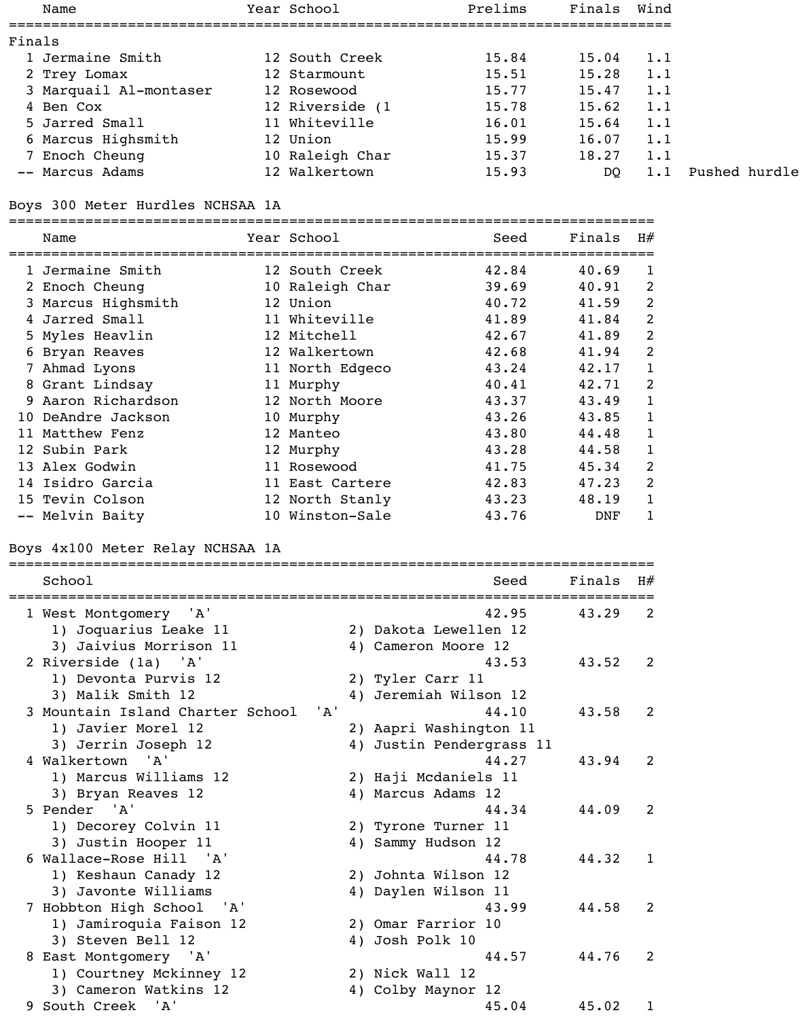| Name                   | Year School     | Prelims | Finals | Wind |
|------------------------|-----------------|---------|--------|------|
| Finals                 |                 |         |        |      |
| 1 Jermaine Smith       | 12 South Creek  | 15.84   | 15.04  | 1.1  |
| 2 Trey Lomax           | 12 Starmount    | 15.51   | 15.28  | 1.1  |
| 3 Marquail Al-montaser | 12 Rosewood     | 15.77   | 15.47  | 1.1  |
| 4 Ben Cox              | 12 Riverside (1 | 15.78   | 15.62  | 1.1  |
| 5 Jarred Small         | 11 Whiteville   | 16.01   | 15.64  | 1.1  |
| 6 Marcus Highsmith     | 12 Union        | 15.99   | 16.07  | 1.1  |
| 7 Enoch Cheung         | 10 Raleigh Char | 15.37   | 18.27  | 1.1  |
| -- Marcus Adams        | 12 Walkertown   | 15.93   | DQ     |      |
|                        |                 |         |        |      |

#### Boys 300 Meter Hurdles NCHSAA 1A

============================================================================ Name Year School Seed Finals H# ============================================================================ 1 Jermaine Smith 12 South Creek 42.84 40.69 1 2 Enoch Cheung 10 Raleigh Char 39.69 40.91 2 3 Marcus Highsmith 12 Union 12 40.72 41.59 2 4 Jarred Small 11 Whiteville 41.89 41.84 2 5 Myles Heavlin 12 Mitchell 42.67 41.89 2 6 Bryan Reaves 12 Walkertown 42.68 41.94 2 7 Ahmad Lyons 11 North Edgeco 43.24 42.17 1 8 Grant Lindsay 11 Murphy 40.41 42.71 2 9 Aaron Richardson 12 North Moore 43.37 43.49 1 10 DeAndre Jackson 10 Murphy 43.26 43.85 1 11 Matthew Fenz 12 Manteo 43.80 44.48 1 12 Subin Park 12 Murphy 43.28 44.58 1 13 Alex Godwin 11 Rosewood 41.75 45.34 2 14 Isidro Garcia 11 East Cartere 42.83 47.23 2 15 Tevin Colson 12 North Stanly 43.23 48.19 1 -- Melvin Baity 10 Winston-Sale 43.76 DNF 1

#### Boys 4x100 Meter Relay NCHSAA 1A

| School                                         | Finals<br>Seed<br>======================= | H# |
|------------------------------------------------|-------------------------------------------|----|
| 1 West Montgomery 'A'<br>1) Joquarius Leake 11 | 42.95<br>43.29<br>2) Dakota Lewellen 12   | 2  |
| 3) Jaivius Morrison 11                         | 4) Cameron Moore 12                       |    |
| 2 Riverside (1a) 'A'                           | 43.53<br>43.52                            | 2  |
| 1) Devonta Purvis 12                           | 2) Tyler Carr 11                          |    |
| 3) Malik Smith 12                              | Jeremiah Wilson 12<br>4)                  |    |
| 3 Mountain Island Charter School<br>' A '      | 44.10<br>43.58                            | 2  |
| 1) Javier Morel 12                             | 2) Aapri Washington 11                    |    |
| 3) Jerrin Joseph 12                            | 4) Justin Pendergrass 11                  |    |
| 4 Walkertown 'A'                               | 44.27<br>43.94                            | 2  |
| 1) Marcus Williams 12                          | 2) Haji Mcdaniels 11                      |    |
| 3) Bryan Reaves 12                             | 4) Marcus Adams 12                        |    |
| 5 Pender 'A'                                   | 44.34<br>44.09                            | 2  |
| 1) Decorey Colvin 11                           | 2) Tyrone Turner 11                       |    |
| 3) Justin Hooper 11                            | 4) Sammy Hudson 12                        |    |
| 6 Wallace-Rose Hill 'A'                        | 44.78<br>44.32                            | 1  |
| 1) Keshaun Canady 12                           | 2) Johnta Wilson 12                       |    |
| 3) Javonte Williams                            | 4) Daylen Wilson 11                       |    |
| 7 Hobbton High School 'A'                      | 43.99<br>44.58                            | 2  |
| 1) Jamiroquia Faison 12                        | 2) Omar Farrior 10                        |    |
| 3) Steven Bell 12                              | 4) Josh Polk 10                           |    |
| 8 East Montgomery 'A'                          | 44.57<br>44.76                            | 2  |
| 1) Courtney Mckinney 12                        | 2) Nick Wall 12                           |    |
| 3) Cameron Watkins 12                          | 4) Colby Maynor 12                        |    |
| 9 South Creek 'A'                              | 45.04<br>45.02                            | 1  |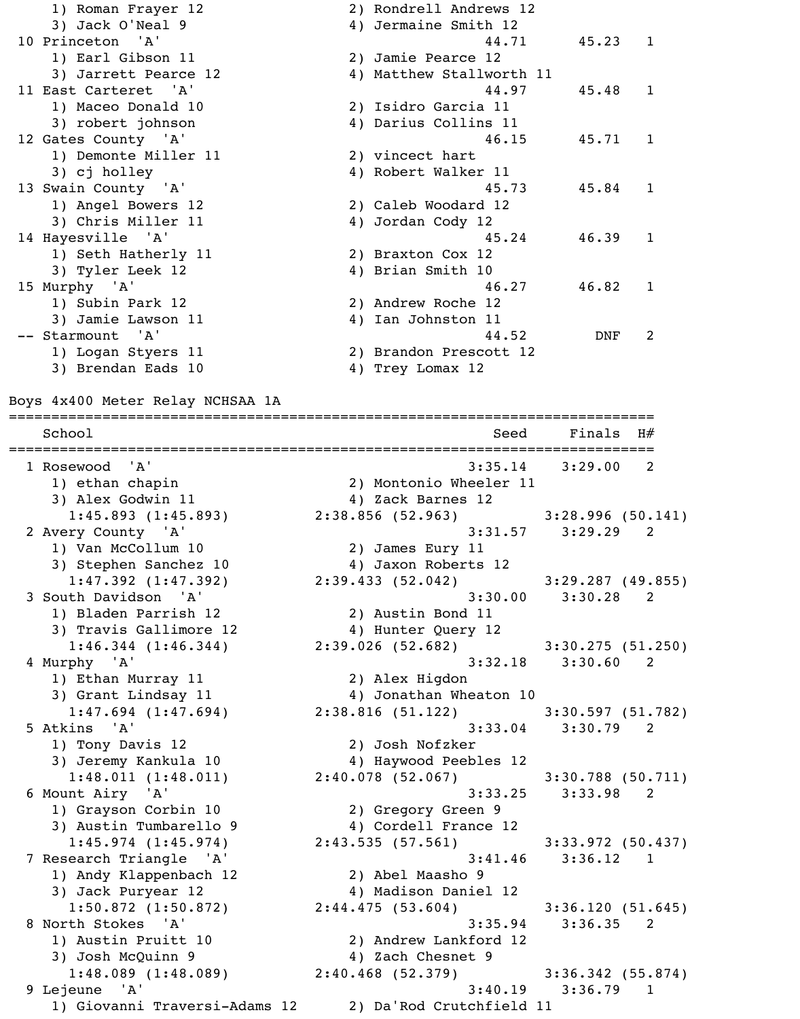1) Roman Frayer 12 2) Rondrell Andrews 12 3) Jack O'Neal 9 4) Jermaine Smith 12 10 Princeton 'A' 31 and 44.71 45.23 1 1) Earl Gibson 11 2) Jamie Pearce 12 3) Jarrett Pearce 12 4) Matthew Stallworth 11 11 East Carteret 'A' 10 and 10 and 10 and 10 and 10 and 10 and 10 and 10 and 10 and 10 and 10 and 10 and 10 and 10 and 10 and 10 and 10 and 10 and 10 and 10 and 10 and 10 and 10 and 10 and 10 and 10 and 10 and 10 and 10 an 1) Maceo Donald 10 2) Isidro Garcia 11 3) robert johnson 4) Darius Collins 11 12 Gates County 'A' 12 Gates County and the Material Action of the Material Action and Action and Action and A 1) Demonte Miller 11 2) vincect hart 3) cj holley 11 and 4) Robert Walker 11 13 Swain County 'A' 13 Swain County 145.84 1 1) Angel Bowers 12 2) Caleb Woodard 12 3) Chris Miller 11 4) Jordan Cody 12 14 Hayesville 'A' 16.39 1 1) Seth Hatherly 11 2) Braxton Cox 12 3) Tyler Leek 12 4) Brian Smith 10 15 Murphy 'A' 46.27 46.82 1 1) Subin Park 12 2) Andrew Roche 12 3) Jamie Lawson 11 4) Ian Johnston 11 -- Starmount 'A' 44.52 DNF 2 1) Logan Styers 11 2) Brandon Prescott 12 3) Brendan Eads 10 4) Trey Lomax 12

============================================================================

Boys 4x400 Meter Relay NCHSAA 1A

School School Seed Finals H# ============================================================================ 1 Rosewood 'A' 3:35.14 3:29.00 2 1) ethan chapin 2) Montonio Wheeler 11 3) Alex Godwin 11 (4) Zack Barnes 12 1:45.893 (1:45.893) 2:38.856 (52.963) 3:28.996 (50.141) 2 Avery County 'A' 3:31.57 3:29.29 2 1) Van McCollum 10 2) James Eury 11 3) Stephen Sanchez 10 4) Jaxon Roberts 12 1:47.392 (1:47.392) 2:39.433 (52.042) 3:29.287 (49.855) 3 South Davidson 'A' 3:30.00 3:30.28 2 1) Bladen Parrish 12 2) Austin Bond 11 3) Travis Gallimore 12  $\hskip1cm$  4) Hunter Query 12 1:46.344 (1:46.344) 2:39.026 (52.682) 3:30.275 (51.250) 4 Murphy 'A' 3:32.18 3:30.60 2 1) Ethan Murray 11 2) Alex Higdon 3) Grant Lindsay 11 4) Jonathan Wheaton 10 1:47.694 (1:47.694) 2:38.816 (51.122) 3:30.597 (51.782) 5 Atkins 'A' 3:33.04 3:30.79 2 1) Tony Davis 12 2) Josh Nofzker 3) Jeremy Kankula 10 4) Haywood Peebles 12 1:48.011 (1:48.011) 2:40.078 (52.067) 3:30.788 (50.711) 6 Mount Airy 'A' 3:33.25 3:33.98 2 1) Grayson Corbin 10 2) Gregory Green 9 3) Austin Tumbarello 9 4) Cordell France 12 1:45.974 (1:45.974) 2:43.535 (57.561) 3:33.972 (50.437) 7 Research Triangle 'A' 3:41.46 3:36.12 1 1) Andy Klappenbach 12 2) Abel Maasho 9 3) Jack Puryear 12 4) Madison Daniel 12 1:50.872 (1:50.872) 2:44.475 (53.604) 3:36.120 (51.645) 8 North Stokes 'A' 3:35.94 3:36.35 2 1) Austin Pruitt 10 2) Andrew Lankford 12 3) Josh McQuinn 9 4) Zach Chesnet 9 1:48.089 (1:48.089) 2:40.468 (52.379) 3:36.342 (55.874) 9 Lejeune 'A' 3:40.19 3:36.79 1 1) Giovanni Traversi-Adams 12 2) Da'Rod Crutchfield 11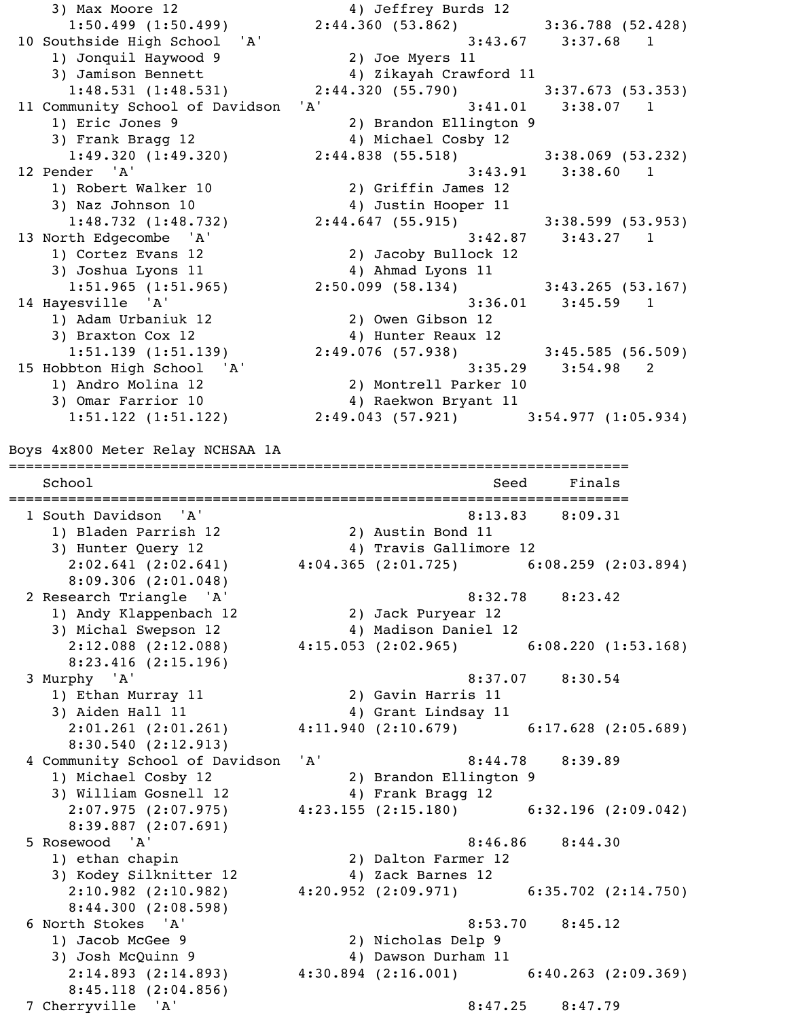3) Max Moore 12 4) Jeffrey Burds 12 1:50.499 (1:50.499) 2:44.360 (53.862) 3:36.788 (52.428) 10 Southside High School 'A' 3:43.67 3:37.68 1 1) Jonquil Haywood 9 2) Joe Myers 11 3) Jamison Bennett 4) Zikayah Crawford 11<br>1:48.531 (1:48.531) 2:44.320 (55.790) 1:48.531 (1:48.531) 2:44.320 (55.790) 3:37.673 (53.353) 11 Community School of Davidson 'A' 3:41.01 3:38.07 1 1) Eric Jones 9 2) Brandon Ellington 9 3) Frank Bragg 12 4) Michael Cosby 12 1:49.320  $(1:49.320)$  2:44.838  $(55.518)$  3:38.069  $(53.232)$  12 Pender 'A' 3:43.91 3:38.60 1 1) Robert Walker 10 2) Griffin James 12 3) Naz Johnson 10  $\hskip1cm \hskip1cm 4$ ) Justin Hooper 11 1:48.732 (1:48.732) 2:44.647 (55.915) 3:38.599 (53.953) 13 North Edgecombe 'A' 3:42.87 3:43.27 1 1) Cortez Evans 12 2) Jacoby Bullock 12 3) Joshua Lyons 11 4) Ahmad Lyons 11 1:51.965 (1:51.965) 2:50.099 (58.134) 3:43.265 (53.167) 14 Hayesville 'A' 3:36.01 3:45.59 1 1) Adam Urbaniuk 12 2) Owen Gibson 12 3) Braxton Cox 12 4) Hunter Reaux 12 1:51.139 (1:51.139) 2:49.076 (57.938) 3:45.585 (56.509) 15 Hobbton High School 'A' 3:35.29 3:54.98 2 1) Andro Molina 12 2) Montrell Parker 10 3) Omar Farrior 10 4) Raekwon Bryant 11 1:51.122 (1:51.122) 2:49.043 (57.921) 3:54.977 (1:05.934) Boys 4x800 Meter Relay NCHSAA 1A ========================================================================= School School School Seed Finals ========================================================================= 1 South Davidson 'A' 8:13.83 8:09.31 1) Bladen Parrish 12 2) Austin Bond 11 3) Hunter Query 12  $\hskip1cm \hskip1cm 4$ ) Travis Gallimore 12 2:02.641 (2:02.641)  $4:04.365$  (2:01.725) 6:08.259 (2:03.894) 8:09.306 (2:01.048) 2 Research Triangle 'A' 8:32.78 8:23.42 1) Andy Klappenbach 12 2) Jack Puryear 12 1, Andy Ridppension --<br>3) Michal Swepson 12 (4) Madison Daniel 12<br>2:12.088 (2:12.088) (2:15.053 (2:02.965) 2:12.088 (2:12.088) 4:15.053 (2:02.965) 6:08.220 (1:53.168) 8:23.416 (2:15.196) 3 Murphy 'A' 8:37.07 8:30.54 1) Ethan Murray 11 2) Gavin Harris 11 3) Aiden Hall 11 4) Grant Lindsay 11 2:01.261 (2:01.261) 4:11.940 (2:10.679) 6:17.628 (2:05.689) 8:30.540 (2:12.913) 4 Community School of Davidson 'A' 8:44.78 8:39.89 1) Michael Cosby 12 2) Brandon Ellington 9 3) William Gosnell 12 4) Frank Bragg 12 2:07.975 (2:07.975) 4:23.155 (2:15.180) 6:32.196 (2:09.042) 8:39.887 (2:07.691) 5 Rosewood 'A' 8:46.86 8:44.30 1) ethan chapin 2) Dalton Farmer 12 3) Kodey Silknitter 12 4) Zack Barnes 12 2:10.982 (2:10.982) 4:20.952 (2:09.971) 6:35.702 (2:14.750) 8:44.300 (2:08.598) 6 North Stokes 'A' 3:53.70 8:45.12 1) Jacob McGee 9 2) Nicholas Delp 9 3) Josh McQuinn 9 4) Dawson Durham 11 2:14.893 (2:14.893) 4:30.894 (2:16.001) 6:40.263 (2:09.369) 8:45.118 (2:04.856)

7 Cherryville 'A' 8:47.25 8:47.79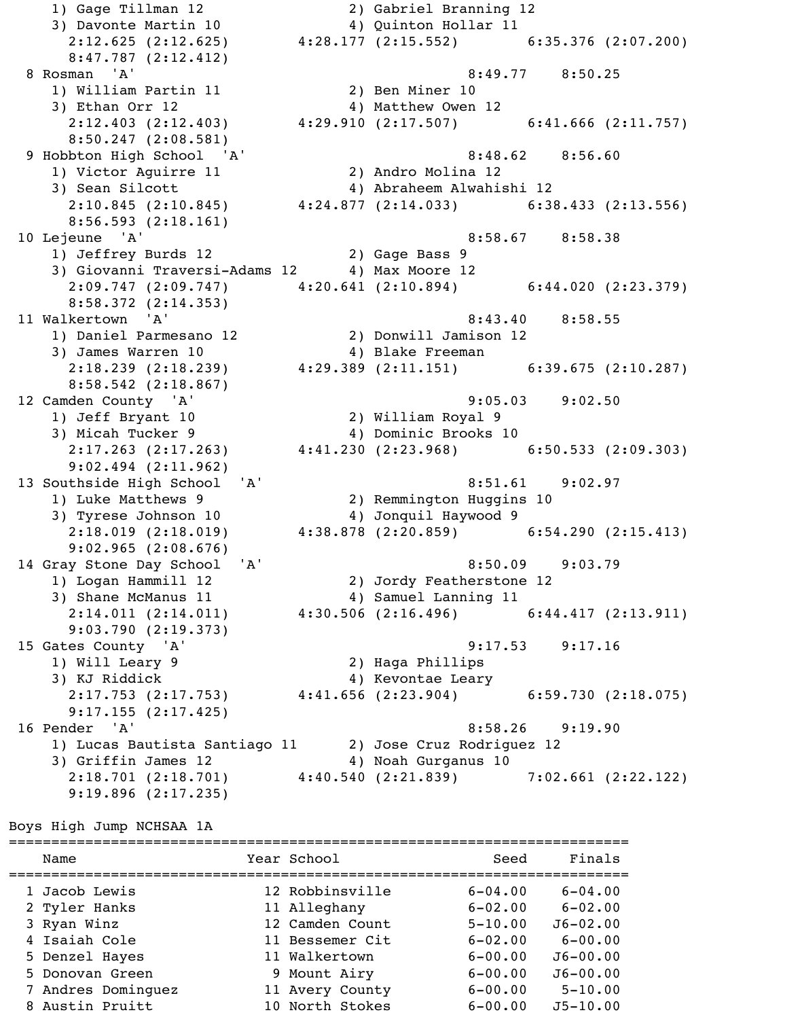1) Gage Tillman 12 2) Gabriel Branning 12 3) Davonte Martin 10  $\hskip1cm {4}$  Quinton Hollar 11 2:12.625 (2:12.625) 4:28.177 (2:15.552) 6:35.376 (2:07.200) 8:47.787 (2:12.412) 8 Rosman 'A' 8:49.77 8:50.25 1) William Partin 11 2) Ben Miner 10 3) Ethan Orr 12 2 2 2 4) Matthew Owen 12 2:12.403 (2:12.403) 4:29.910 (2:17.507) 6:41.666 (2:11.757) 8:50.247 (2:08.581) 9 Hobbton High School 'A' 8:48.62 8:56.60 1) Victor Aguirre 11 2) Andro Molina 12 3) Sean Silcott 4) Abraheem Alwahishi 12 2:10.845 (2:10.845) 4:24.877 (2:14.033) 6:38.433 (2:13.556) 8:56.593 (2:18.161) 10 Lejeune 'A' 8:58.67 8:58.38 1) Jeffrey Burds 12 2) Gage Bass 9 3) Giovanni Traversi-Adams 12 4) Max Moore 12 2:09.747 (2:09.747) 4:20.641 (2:10.894) 6:44.020 (2:23.379) 8:58.372 (2:14.353) 11 Walkertown 'A' 8:43.40 8:58.55 1) Daniel Parmesano 12 2) Donwill Jamison 12 3) James Warren 10 4) Blake Freeman 2:18.239 (2:18.239) 4:29.389 (2:11.151) 6:39.675 (2:10.287) 8:58.542 (2:18.867) 12 Camden County 'A' 9:05.03 9:02.50 1) Jeff Bryant 10 2) William Royal 9 3) Micah Tucker 9 4) Dominic Brooks 10 2:17.263 (2:17.263) 4:41.230 (2:23.968) 6:50.533 (2:09.303) 9:02.494 (2:11.962) 13 Southside High School 'A' 8:51.61 9:02.97 1) Luke Matthews 9 2) Remmington Huggins 10 3) Tyrese Johnson 10 4) Jonquil Haywood 9 2:18.019 (2:18.019) 4:38.878 (2:20.859) 6:54.290 (2:15.413) 9:02.965 (2:08.676) 14 Gray Stone Day School 'A' 8:50.09 9:03.79 1) Logan Hammill 12 2) Jordy Featherstone 12 3) Shane McManus 11 4) Samuel Lanning 11 2:14.011 (2:14.011) 4:30.506 (2:16.496) 6:44.417 (2:13.911) 9:03.790 (2:19.373) 15 Gates County 'A' 9:17.53 9:17.16 1) Will Leary 9 2) Haga Phillips<br>3) KJ Riddick 24) Kevontae Leary 3) KJ Riddick 4) Kevontae Leary 2:17.753 (2:17.753) 4:41.656 (2:23.904) 6:59.730 (2:18.075) 9:17.155 (2:17.425) 16 Pender 'A' 8:58.26 9:19.90 1) Lucas Bautista Santiago 11 2) Jose Cruz Rodriguez 12 3) Griffin James 12 (4) Noah Gurganus 10  $2:18.701$  (2:18.701)  $4:40.540$  (2:21.839) 7:02.661 (2:22.122) 9:19.896 (2:17.235)

Boys High Jump NCHSAA 1A

========================================================================= Name Year School Seed Finals ========================================================================= 1 Jacob Lewis 12 Robbinsville 6-04.00 6-04.00 2 Tyler Hanks 11 Alleghany 6-02.00 6-02.00 3 Ryan Winz 12 Camden Count 5-10.00 J6-02.00 4 Isaiah Cole 11 Bessemer Cit 6-02.00 6-00.00 5 Denzel Hayes 11 Walkertown 6-00.00 J6-00.00 5 Donovan Green 9 Mount Airy 6-00.00 J6-00.00 7 Andres Dominguez 11 Avery County 6-00.00 5-10.00 8 Austin Pruitt 10 North Stokes 6-00.00 J5-10.00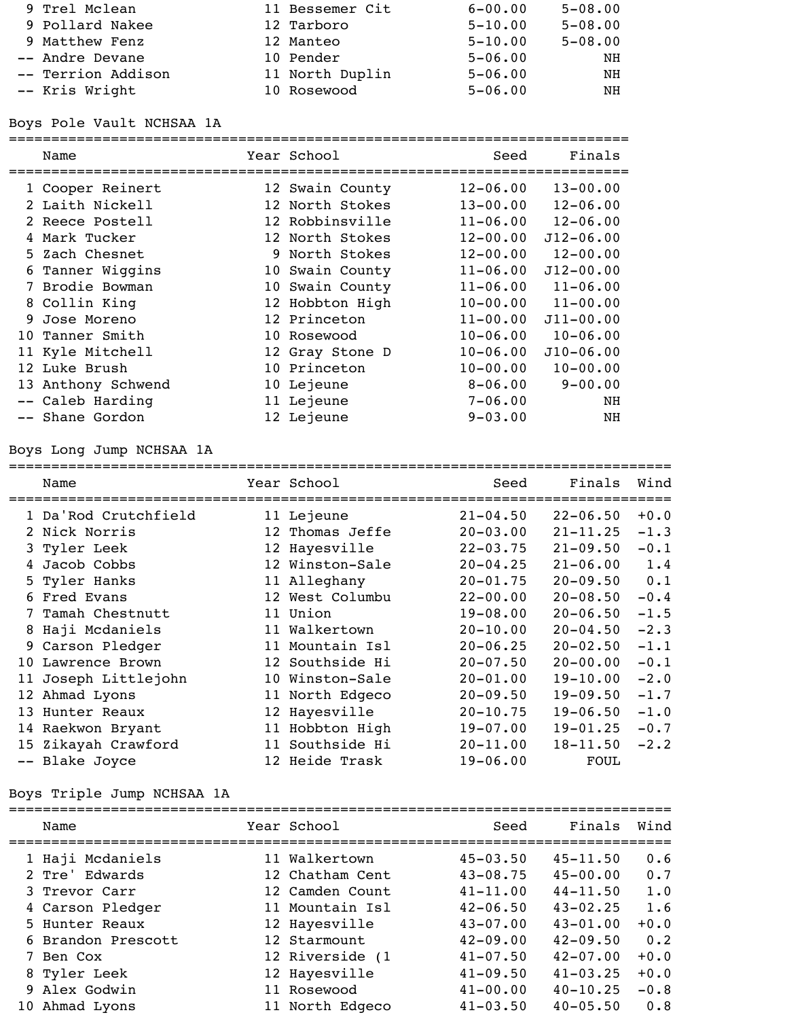| 9 Trel Mclean      | 11 Bessemer Cit | $6 - 00.00$ | $5 - 08.00$ |
|--------------------|-----------------|-------------|-------------|
| 9 Pollard Nakee    | 12 Tarboro      | $5 - 10.00$ | $5 - 08.00$ |
| 9 Matthew Fenz     | 12 Manteo       | $5 - 10.00$ | $5 - 08.00$ |
| -- Andre Devane    | 10 Pender       | $5 - 06.00$ | ΝH          |
| -- Terrion Addison | 11 North Duplin | $5 - 06.00$ | NH          |
| -- Kris Wright     | 10 Rosewood     | $5 - 06.00$ | NΗ          |

## Boys Pole Vault NCHSAA 1A

#### =========================================================================

|   | Name               | Year School     | Seed         | Finals        |
|---|--------------------|-----------------|--------------|---------------|
|   | 1 Cooper Reinert   | 12 Swain County | $12 - 06.00$ | $13 - 00.00$  |
|   | 2 Laith Nickell    | 12 North Stokes | $13 - 00.00$ | $12 - 06.00$  |
|   | 2 Reece Postell    | 12 Robbinsville | $11 - 06.00$ | $12 - 06.00$  |
|   | 4 Mark Tucker      | 12 North Stokes | $12 - 00.00$ | $J12 - 06.00$ |
|   | 5 Zach Chesnet     | 9 North Stokes  | $12 - 00.00$ | $12 - 00.00$  |
|   | 6 Tanner Wiggins   | 10 Swain County | $11 - 06.00$ | $J12 - 00.00$ |
|   | 7 Brodie Bowman    | 10 Swain County | $11 - 06.00$ | $11 - 06.00$  |
|   | 8 Collin King      | 12 Hobbton High | $10 - 00.00$ | $11 - 00.00$  |
| 9 | Jose Moreno        | 12 Princeton    | $11 - 00.00$ | $J11 - 00.00$ |
|   | 10 Tanner Smith    | 10 Rosewood     | $10 - 06.00$ | $10 - 06.00$  |
|   | 11 Kyle Mitchell   | 12 Gray Stone D | $10 - 06.00$ | $J10 - 06.00$ |
|   | 12 Luke Brush      | 10 Princeton    | $10 - 00.00$ | $10 - 00.00$  |
|   | 13 Anthony Schwend | 10 Lejeune      | $8 - 06.00$  | $9 - 00.00$   |
|   | -- Caleb Harding   | 11 Lejeune      | $7 - 06.00$  | NH            |
|   | -- Shane Gordon    | 12 Lejeune      | $9 - 03.00$  | NH            |

# Boys Long Jump NCHSAA 1A

|     | Name                 | Year School     | Seed                                     | Finals       | Wind   |
|-----|----------------------|-----------------|------------------------------------------|--------------|--------|
|     | 1 Da'Rod Crutchfield | 11 Lejeune      | ========================<br>$21 - 04.50$ | $22 - 06.50$ | $+0.0$ |
|     | 2 Nick Norris        | 12 Thomas Jeffe | $20 - 03.00$                             | $21 - 11.25$ | $-1.3$ |
|     | 3 Tyler Leek         | 12 Hayesville   | $22 - 03.75$                             | $21 - 09.50$ | $-0.1$ |
|     | 4 Jacob Cobbs        | 12 Winston-Sale | $20 - 04.25$                             | $21 - 06.00$ | 1.4    |
|     | 5 Tyler Hanks        | 11 Alleghany    | $20 - 01.75$                             | $20 - 09.50$ | 0.1    |
|     | 6 Fred Evans         | 12 West Columbu | $22 - 00.00$                             | $20 - 08.50$ | $-0.4$ |
|     | 7 Tamah Chestnutt    | 11 Union        | $19 - 08.00$                             | $20 - 06.50$ | $-1.5$ |
|     | 8 Haji Mcdaniels     | 11 Walkertown   | $20 - 10.00$                             | $20 - 04.50$ | $-2.3$ |
|     | 9 Carson Pledger     | 11 Mountain Isl | $20 - 06.25$                             | $20 - 02.50$ | $-1.1$ |
| 1 O | Lawrence Brown       | 12 Southside Hi | $20 - 07.50$                             | $20 - 00.00$ | $-0.1$ |
| 11  | Joseph Littlejohn    | 10 Winston-Sale | $20 - 01.00$                             | $19 - 10.00$ | $-2.0$ |
|     | 12 Ahmad Lyons       | 11 North Edgeco | $20 - 09.50$                             | $19 - 09.50$ | $-1.7$ |
|     | 13 Hunter Reaux      | 12 Hayesville   | $20 - 10.75$                             | $19 - 06.50$ | $-1.0$ |
|     | 14 Raekwon Bryant    | 11 Hobbton High | $19 - 07.00$                             | $19 - 01.25$ | $-0.7$ |
|     | 15 Zikayah Crawford  | 11 Southside Hi | $20 - 11.00$                             | $18 - 11.50$ | $-2.2$ |
|     | -- Blake Joyce       | 12 Heide Trask  | $19 - 06.00$                             | <b>FOUL</b>  |        |

# Boys Triple Jump NCHSAA 1A

| Name                            | Year School                        | Seed                         | Finals                       | Wind          |
|---------------------------------|------------------------------------|------------------------------|------------------------------|---------------|
| 1 Haji Mcdaniels                | 11 Walkertown                      | $45 - 03.50$                 | $45 - 11.50$                 | 0.6           |
| 2 Tre' Edwards<br>3 Trevor Carr | 12 Chatham Cent<br>12 Camden Count | $43 - 08.75$<br>$41 - 11.00$ | $45 - 00.00$<br>$44 - 11.50$ | 0.7<br>1.0    |
| 4 Carson Pledger                | 11 Mountain Isl                    | $42 - 06.50$                 | $43 - 02.25$                 | 1.6           |
| 5 Hunter Reaux                  | 12 Hayesville                      | $43 - 07.00$                 | $43 - 01.00$                 | $+0.0$        |
| 6 Brandon Prescott<br>7 Ben Cox | 12 Starmount<br>12 Riverside (1    | $42 - 09.00$<br>$41 - 07.50$ | $42 - 09.50$<br>$42 - 07.00$ | 0.2<br>$+0.0$ |
| 8 Tyler Leek                    | 12 Hayesville                      | $41 - 09.50$                 | $41 - 03.25$                 | $+0.0$        |
| 9 Alex Godwin                   | 11 Rosewood                        | $41 - 00.00$                 | $40 - 10.25$                 | $-0.8$        |
| 10 Ahmad Lyons                  | 11 North Edgeco                    | $41 - 03.50$                 | $40 - 05.50$                 | 0.8           |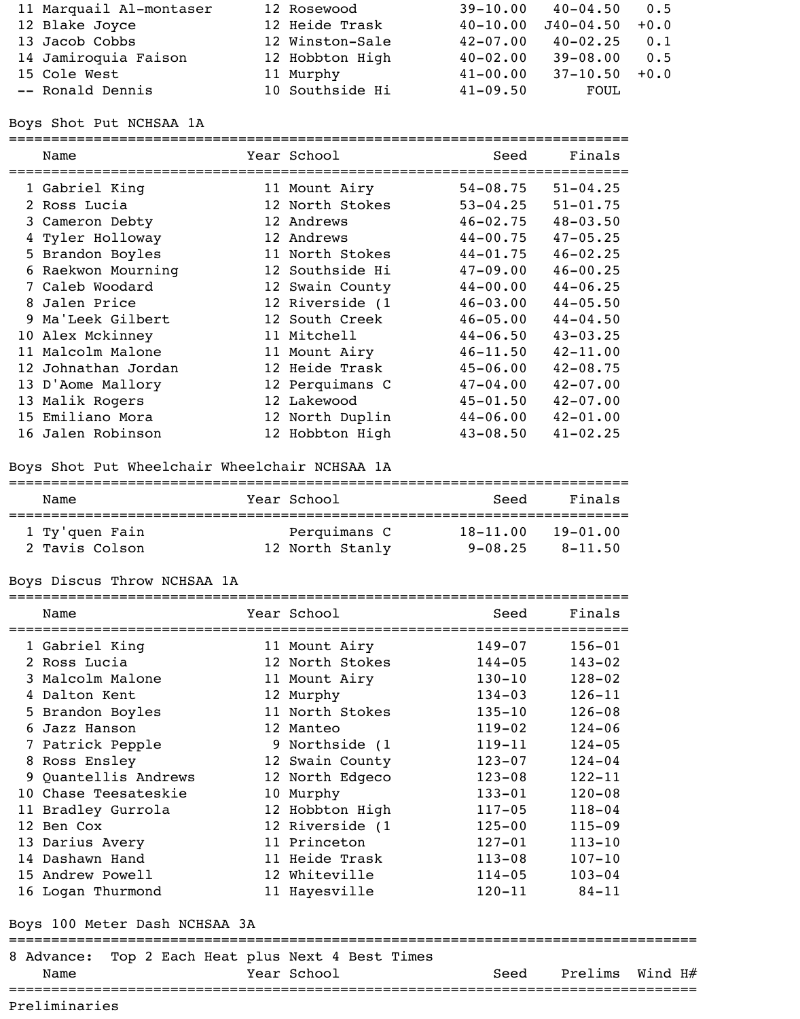| 11 Marquail Al-montaser | 12 Rosewood     | $39 - 10.00$ | $40 - 04.50$ 0.5   |     |
|-------------------------|-----------------|--------------|--------------------|-----|
| 12 Blake Joyce          | 12 Heide Trask  | $40 - 10.00$ | $J40-04.50$ +0.0   |     |
| 13 Jacob Cobbs          | 12 Winston-Sale | $42 - 07.00$ | $40 - 02.25$       | 0.1 |
| 14 Jamiroquia Faison    | 12 Hobbton High | $40 - 02.00$ | $39 - 08.00$       | 0.5 |
| 15 Cole West            | 11 Murphy       | $41 - 00.00$ | $37 - 10.50 + 0.0$ |     |
| -- Ronald Dennis        | 10 Southside Hi | $41 - 09.50$ | FOUL               |     |

Boys Shot Put NCHSAA 1A

=========================================================================

| Name                | Year School     | Seed         | Finals       |
|---------------------|-----------------|--------------|--------------|
| 1 Gabriel King      | 11 Mount Airy   | $54 - 08.75$ | $51 - 04.25$ |
| 2 Ross Lucia        | 12 North Stokes | $53 - 04.25$ | $51 - 01.75$ |
| 3 Cameron Debty     | 12 Andrews      | $46 - 02.75$ | $48 - 03.50$ |
| 4 Tyler Holloway    | 12 Andrews      | $44 - 00.75$ | $47 - 05.25$ |
| 5 Brandon Boyles    | 11 North Stokes | $44 - 01.75$ | $46 - 02.25$ |
| 6 Raekwon Mourning  | 12 Southside Hi | $47 - 09.00$ | $46 - 00.25$ |
| 7 Caleb Woodard     | 12 Swain County | $44 - 00.00$ | $44 - 06.25$ |
| 8 Jalen Price       | 12 Riverside (1 | $46 - 03.00$ | $44 - 05.50$ |
| 9 Ma'Leek Gilbert   | 12 South Creek  | $46 - 05.00$ | $44 - 04.50$ |
| 10 Alex Mckinney    | 11 Mitchell     | $44 - 06.50$ | $43 - 03.25$ |
| 11 Malcolm Malone   | 11 Mount Airy   | $46 - 11.50$ | $42 - 11.00$ |
| 12 Johnathan Jordan | 12 Heide Trask  | $45 - 06.00$ | $42 - 08.75$ |
| 13 D'Aome Mallory   | 12 Perquimans C | $47 - 04.00$ | $42 - 07.00$ |
| 13 Malik Rogers     | 12 Lakewood     | $45 - 01.50$ | $42 - 07.00$ |
| 15 Emiliano Mora    | 12 North Duplin | $44 - 06.00$ | $42 - 01.00$ |
| 16 Jalen Robinson   | 12 Hobbton High | $43 - 08.50$ | $41 - 02.25$ |

#### Boys Shot Put Wheelchair Wheelchair NCHSAA 1A

=========================================================================

| Name           | Year School     | Seed         | Finals       |
|----------------|-----------------|--------------|--------------|
| 1 Ty'quen Fain | Perquimans C    | $18 - 11.00$ | $19 - 01.00$ |
| 2 Tavis Colson | 12 North Stanly | $9 - 08.25$  | $8 - 11.50$  |

## Boys Discus Throw NCHSAA 1A

| Name                                                      | Year School            | Seed                  | Finals     |         |
|-----------------------------------------------------------|------------------------|-----------------------|------------|---------|
| 1 Gabriel King                                            | 11 Mount Airy          | $149 - 07$            | $156 - 01$ |         |
| 2 Ross Lucia                                              | 12 North Stokes 144-05 |                       | $143 - 02$ |         |
| 3 Malcolm Malone                                          | 11 Mount Airy          | $130 - 10$            | $128 - 02$ |         |
| 4 Dalton Kent                                             | 12 Murphy              | $134 - 03$ $126 - 11$ |            |         |
| 5 Brandon Boyles                                          | 11 North Stokes        | $135 - 10$            | $126 - 08$ |         |
| 6 Jazz Hanson                                             | 12 Manteo              | $119 - 02$            | $124 - 06$ |         |
| 7 Patrick Pepple                                          | 9 Northside (1         | $119 - 11$            | $124 - 05$ |         |
| 8 Ross Ensley                                             | 12 Swain County        | $123 - 07$            | $124 - 04$ |         |
| 9 Quantellis Andrews                                      | 12 North Edgeco        | $123 - 08$            | $122 - 11$ |         |
| 10 Chase Teesateskie                                      | 10 Murphy              | $133 - 01$            | $120 - 08$ |         |
| 11 Bradley Gurrola                                        | 12 Hobbton High        | $117 - 05$            | $118 - 04$ |         |
| 12 Ben Cox                                                | 12 Riverside (1        | $125 - 00$            | $115 - 09$ |         |
| 13 Darius Avery                                           | 11 Princeton           | $127 - 01$            | $113 - 10$ |         |
| 14 Dashawn Hand                                           | 11 Heide Trask         | $113 - 08$            | $107 - 10$ |         |
| 15 Andrew Powell                                          | 12 Whiteville          | $114 - 05$            | $103 - 04$ |         |
| 16 Logan Thurmond                                         | 11 Hayesville          | $120 - 11$ $84 - 11$  |            |         |
| Boys 100 Meter Dash NCHSAA 3A                             |                        |                       |            |         |
| 8 Advance: Top 2 Each Heat plus Next 4 Best Times<br>Name | Year School            | Seed                  | Prelims    | Wind H# |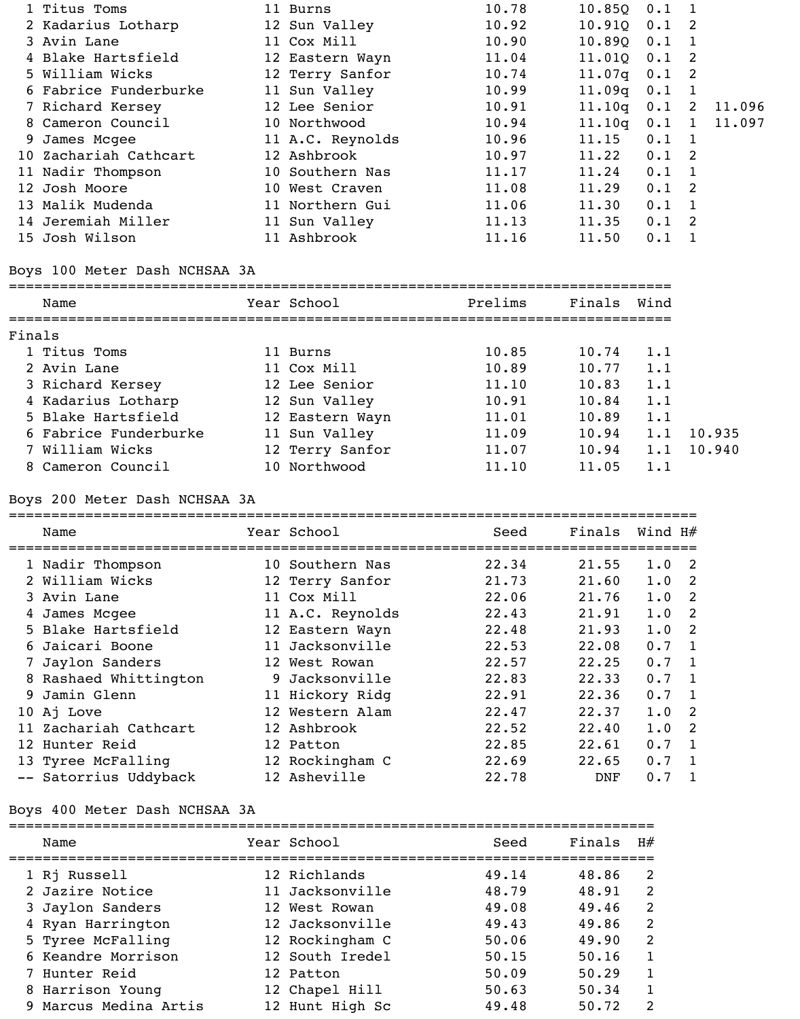| 1 Titus Toms          | 11 Burns         | 10.78 | 10.85Q           | 0.1           |        |
|-----------------------|------------------|-------|------------------|---------------|--------|
| 2 Kadarius Lotharp    | 12 Sun Valley    | 10.92 | 10.91Q           | $0.1 \quad 2$ |        |
| 3 Avin Lane           | 11 Cox Mill      | 10.90 | 10.890 0.1       |               |        |
| 4 Blake Hartsfield    | 12 Eastern Wayn  | 11.04 | 11.010           | $0.1 \quad 2$ |        |
| 5 William Wicks       | 12 Terry Sanfor  | 10.74 | $11.07q$ 0.1 2   |               |        |
| 6 Fabrice Funderburke | 11 Sun Valley    | 10.99 | $11.09q$ $0.1$ 1 |               |        |
| 7 Richard Kersey      | 12 Lee Senior    | 10.91 | 11.10q           | $0.1 \quad 2$ | 11.096 |
| 8 Cameron Council     | 10 Northwood     | 10.94 | 11.10q           | $0.1 \quad 1$ | 11.097 |
| 9 James Mcgee         | 11 A.C. Reynolds | 10.96 | 11.15            | $0.1 \quad 1$ |        |
| 10 Zachariah Cathcart | 12 Ashbrook      | 10.97 | 11.22            | $0.1 \quad 2$ |        |
| 11 Nadir Thompson     | 10 Southern Nas  | 11.17 | 11.24            | $0.1 \quad 1$ |        |
| 12 Josh Moore         | 10 West Craven   | 11.08 | 11.29            | $0.1 \quad 2$ |        |
| 13 Malik Mudenda      | 11 Northern Gui  | 11.06 | 11.30            | $0.1 \quad 1$ |        |
| 14 Jeremiah Miller    | 11 Sun Valley    | 11.13 | 11.35            | $0.1 \quad 2$ |        |
| 15 Josh Wilson        | 11 Ashbrook      | 11.16 | 11.50            | 0.1           |        |

### Boys 100 Meter Dash NCHSAA 3A

#### ==============================================================================

| Name                  | Year School     | Prelims | Finals | Wind |        |
|-----------------------|-----------------|---------|--------|------|--------|
| Finals                |                 |         |        |      |        |
| 1 Titus Toms          | 11 Burns        | 10.85   | 10.74  | 1.1  |        |
| 2 Avin Lane           | 11 Cox Mill     | 10.89   | 10.77  | 1.1  |        |
| 3 Richard Kersey      | 12 Lee Senior   | 11.10   | 10.83  | 1.1  |        |
| 4 Kadarius Lotharp    | 12 Sun Valley   | 10.91   | 10.84  | 1.1  |        |
| 5 Blake Hartsfield    | 12 Eastern Wayn | 11.01   | 10.89  | 1.1  |        |
| 6 Fabrice Funderburke | 11 Sun Valley   | 11.09   | 10.94  | 1.1  | 10.935 |
| 7 William Wicks       | 12 Terry Sanfor | 11.07   | 10.94  | 1.1  | 10.940 |
| 8 Cameron Council     | 10 Northwood    | 11.10   | 11.05  | 1.1  |        |

# Boys 200 Meter Dash NCHSAA 3A

|   | Name                  | Year School      | Seed  | Finals     | Wind H# |                |
|---|-----------------------|------------------|-------|------------|---------|----------------|
|   | 1 Nadir Thompson      | 10 Southern Nas  | 22.34 | 21.55      | 1.0     | - 2            |
|   | 2 William Wicks       | 12 Terry Sanfor  | 21.73 | 21.60      | 1.0     | -2             |
|   | 3 Avin Lane           | 11 Cox Mill      | 22.06 | 21.76      | 1.0     | - 2            |
| 4 | James Mcgee           | 11 A.C. Reynolds | 22.43 | 21.91      | 1.0     | - 2            |
|   | 5 Blake Hartsfield    | 12 Eastern Wayn  | 22.48 | 21.93      | 1.0     | -2             |
|   | 6 Jaicari Boone       | 11 Jacksonville  | 22.53 | 22.08      | 0.7     | $\mathbf{1}$   |
| 7 | Jaylon Sanders        | 12 West Rowan    | 22.57 | 22.25      | 0.7     | -1             |
|   | 8 Rashaed Whittington | 9 Jacksonville   | 22.83 | 22.33      | 0.7     | $\overline{1}$ |
|   | 9 Jamin Glenn         | 11 Hickory Ridg  | 22.91 | 22.36      | 0.7     | $\mathbf{1}$   |
|   | 10 Aj Love            | 12 Western Alam  | 22.47 | 22.37      | 1.0     | -2             |
|   | 11 Zachariah Cathcart | 12 Ashbrook      | 22.52 | 22.40      | 1.0     | $\overline{2}$ |
|   | 12 Hunter Reid        | 12 Patton        | 22.85 | 22.61      | 0.7     | $\mathbf{1}$   |
|   | 13 Tyree McFalling    | 12 Rockingham C  | 22.69 | 22.65      | 0.7     | $\mathbf{1}$   |
|   | -- Satorrius Uddyback | 12 Asheville     | 22.78 | <b>DNF</b> | 0.7     |                |

# Boys 400 Meter Dash NCHSAA 3A

| Name                  | Year School     | Seed  | Finals | H#            |
|-----------------------|-----------------|-------|--------|---------------|
| 1 Rj Russell          | 12 Richlands    | 49.14 | 48.86  | 2             |
| 2 Jazire Notice       | 11 Jacksonville | 48.79 | 48.91  | $\mathcal{L}$ |
| 3 Jaylon Sanders      | 12 West Rowan   | 49.08 | 49.46  | 2             |
| 4 Ryan Harrington     | 12 Jacksonville | 49.43 | 49.86  | 2             |
| 5 Tyree McFalling     | 12 Rockingham C | 50.06 | 49.90  | $\mathcal{L}$ |
| 6 Keandre Morrison    | 12 South Iredel | 50.15 | 50.16  |               |
| 7 Hunter Reid         | 12 Patton       | 50.09 | 50.29  |               |
| 8 Harrison Young      | 12 Chapel Hill  | 50.63 | 50.34  |               |
| 9 Marcus Medina Artis | 12 Hunt High Sc | 49.48 | 50.72  | $\mathcal{P}$ |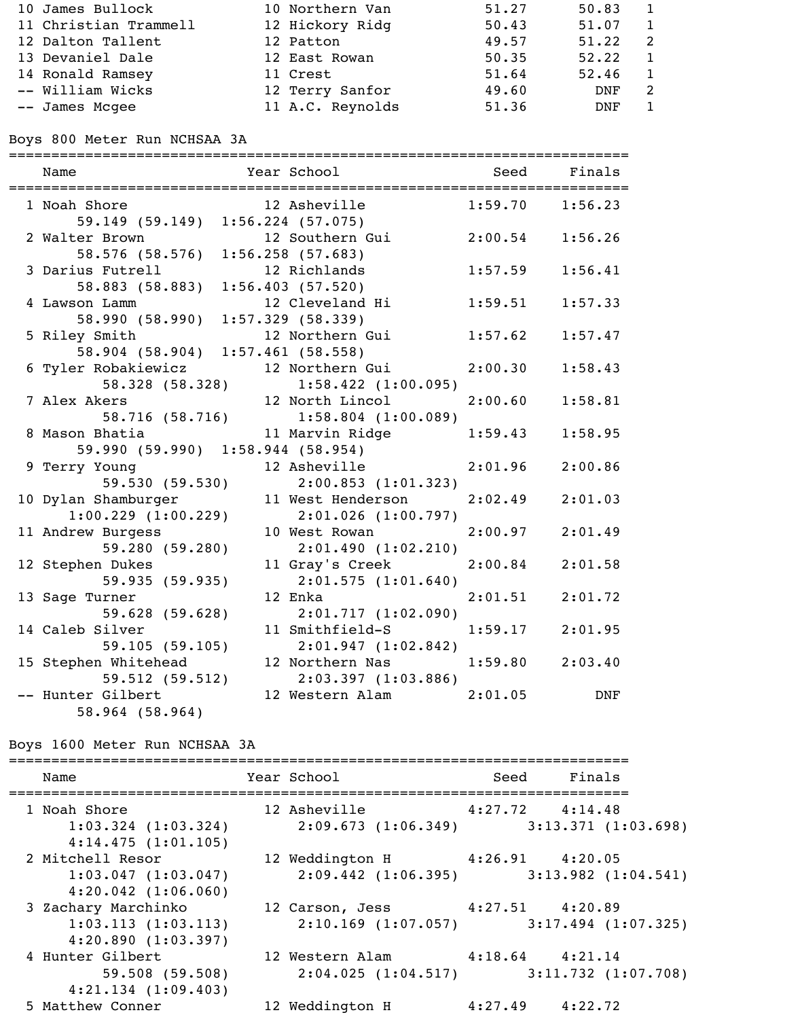| 10 James Bullock      | 10 Northern Van  | 51.27 | 50.83      |   |
|-----------------------|------------------|-------|------------|---|
| 11 Christian Trammell | 12 Hickory Ridg  | 50.43 | 51.07      |   |
| 12 Dalton Tallent     | 12 Patton        | 49.57 | 51.22      | 2 |
| 13 Devaniel Dale      | 12 East Rowan    | 50.35 | 52.22      |   |
| 14 Ronald Ramsey      | 11 Crest         | 51.64 | 52.46      |   |
| -- William Wicks      | 12 Terry Sanfor  | 49.60 | <b>DNF</b> |   |
| -- James Mcgee        | 11 A.C. Reynolds | 51.36 | DNF        |   |

Boys 800 Meter Run NCHSAA 3A

| Name                               | Year School                         | <b>Seed</b>         | Finals     |
|------------------------------------|-------------------------------------|---------------------|------------|
| ,================================= | ==============================      |                     |            |
| 1 Noah Shore                       | 12 Asheville                        | $1:59.70$ $1:56.23$ |            |
| 59.149 (59.149)                    | $1:56.224$ (57.075)                 |                     |            |
| 2 Walter Brown                     | 12 Southern Gui                     | 2:00.54             | 1:56.26    |
| 58.576 (58.576)                    | $1:56.258$ (57.683)                 |                     |            |
| 3 Darius Futrell                   | 12 Richlands                        | 1:57.59             | 1:56.41    |
| 58.883 (58.883)                    | 1:56.403(57.520)                    |                     |            |
| 4 Lawson Lamm                      | 12 Cleveland Hi                     | 1:59.51             | 1:57.33    |
| 58.990 (58.990)                    | $1:57.329$ (58.339)                 |                     |            |
| 5 Riley Smith                      | 12 Northern Gui                     | 1:57.62             | 1:57.47    |
| 58.904 (58.904)                    | $1:57.461$ (58.558)                 |                     |            |
| 6 Tyler Robakiewicz                | 12 Northern Gui                     | 2:00.30             | 1:58.43    |
| 58.328 (58.328)                    | $1:58.422$ $(1:00.095)$             |                     |            |
| 7 Alex Akers                       | 12 North Lincol                     | 2:00.60             | 1:58.81    |
|                                    | 58.716 (58.716) 1:58.804 (1:00.089) |                     |            |
| 8 Mason Bhatia                     | 11 Marvin Ridge                     | 1:59.43             | 1:58.95    |
| 59.990 (59.990) 1:58.944 (58.954)  |                                     |                     |            |
| 9 Terry Young                      | 12 Asheville                        | 2:01.96             | 2:00.86    |
| 59.530(59.530)                     | 2:00.853(1:01.323)                  |                     |            |
| 10 Dylan Shamburger                | 11 West Henderson                   | 2:02.49             | 2:01.03    |
| $1:00.229$ $(1:00.229)$            | $2:01.026$ (1:00.797)               |                     |            |
| 11 Andrew Burgess                  | 10 West Rowan                       | 2:00.97             | 2:01.49    |
| 59.280(59.280)                     | 2:01.490(1:02.210)                  |                     |            |
| 12 Stephen Dukes                   | 11 Gray's Creek                     | 2:00.84             | 2:01.58    |
| 59.935 (59.935)                    | 2:01.575(1:01.640)                  |                     |            |
| 13 Sage Turner                     | 12 Enka                             | 2:01.51             | 2:01.72    |
| 59.628(59.628)                     | 2:01.717(1:02.090)                  |                     |            |
| 14 Caleb Silver                    | 11 Smithfield-S                     | 1:59.17             | 2:01.95    |
| 59.105(59.105)                     | 2:01.947(1:02.842)                  |                     |            |
| 15 Stephen Whitehead               | 12 Northern Nas                     | 1:59.80             | 2:03.40    |
| 59.512 (59.512)                    | $2:03.397$ $(1:03.886)$             |                     |            |
| -- Hunter Gilbert                  | 12 Western Alam                     | 2:01.05             | <b>DNF</b> |
| 58.964 (58.964)                    |                                     |                     |            |

# Boys 1600 Meter Run NCHSAA 3A

| Name                                                                   | Year School                                                                  | Seed Finals         |  |
|------------------------------------------------------------------------|------------------------------------------------------------------------------|---------------------|--|
| 1 Noah Shore<br>$1:03.324$ $(1:03.324)$<br>4:14.475(1:01.105)          | 12 Asheville 4:27.72 4:14.48<br>$2:09.673$ (1:06.349) 3:13.371 (1:03.698)    |                     |  |
| 2 Mitchell Resor<br>$1:03.047$ $(1:03.047)$<br>$4:20.042$ $(1:06.060)$ | 12 Weddington H 4:26.91 4:20.05<br>$2:09.442$ (1:06.395) 3:13.982 (1:04.541) |                     |  |
| 3 Zachary Marchinko<br>1:03.113(1:03.113)<br>4:20.890(1:03.397)        | 12 Carson, Jess 4:27.51 4:20.89<br>$2:10.169$ (1:07.057) 3:17.494 (1:07.325) |                     |  |
| 4 Hunter Gilbert<br>59.508 (59.508)<br>$4:21.134$ $(1:09.403)$         | 12 Western Alam 4:18.64 4:21.14<br>$2:04.025$ (1:04.517) 3:11.732 (1:07.708) |                     |  |
| 5 Matthew Conner                                                       | 12 Weddington H                                                              | $4:27.49$ $4:22.72$ |  |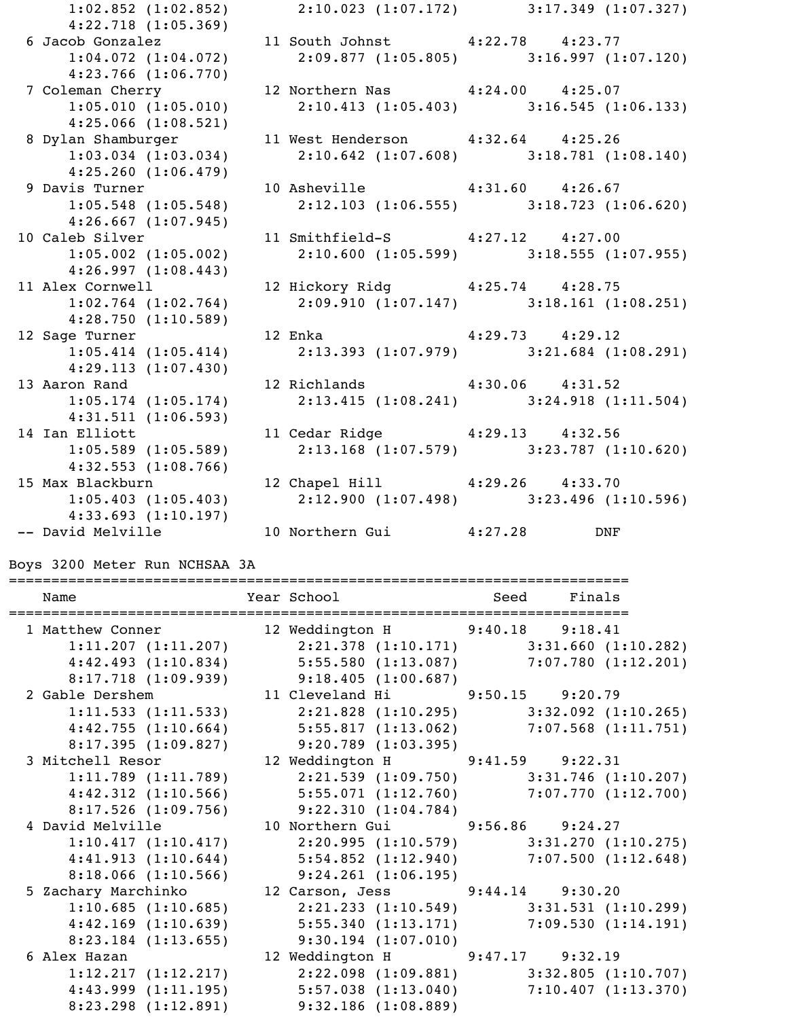1:02.852 (1:02.852) 2:10.023 (1:07.172) 3:17.349 (1:07.327) 4:22.718 (1:05.369) 6 Jacob Gonzalez 11 South Johnst 4:22.78 4:23.77 1:04.072 (1:04.072) 2:09.877 (1:05.805) 3:16.997 (1:07.120) 4:23.766 (1:06.770) 7 Coleman Cherry 12 Northern Nas 4:24.00 4:25.07 1:05.010 (1:05.010) 2:10.413 (1:05.403) 3:16.545 (1:06.133) 4:25.066 (1:08.521) 8 Dylan Shamburger 11 West Henderson 4:32.64 4:25.26 1:03.034 (1:03.034) 2:10.642 (1:07.608) 3:18.781 (1:08.140) 4:25.260 (1:06.479) 9 Davis Turner 10 Asheville 4:31.60 4:26.67 1:05.548 (1:05.548) 2:12.103 (1:06.555) 3:18.723 (1:06.620) 4:26.667 (1:07.945) 10 Caleb Silver 11 Smithfield-S 4:27.12 4:27.00 1:05.002 (1:05.002) 2:10.600 (1:05.599) 3:18.555 (1:07.955) 4:26.997 (1:08.443) 11 Alex Cornwell 12 Hickory Ridg 4:25.74 4:28.75 1:02.764 (1:02.764) 2:09.910 (1:07.147) 3:18.161 (1:08.251) 4:28.750 (1:10.589) 12 Sage Turner 12 Enka 4:29.73 4:29.12 1:05.414 (1:05.414) 2:13.393 (1:07.979) 3:21.684 (1:08.291) 4:29.113 (1:07.430) 13 Aaron Rand 12 Richlands 4:30.06 4:31.52 1:05.174 (1:05.174) 2:13.415 (1:08.241) 3:24.918 (1:11.504) 4:31.511 (1:06.593) 14 Ian Elliott 11 Cedar Ridge 4:29.13 4:32.56 1:05.589 (1:05.589) 2:13.168 (1:07.579) 3:23.787 (1:10.620) 4:32.553 (1:08.766) 15 Max Blackburn 12 Chapel Hill 4:29.26 4:33.70 1:05.403 (1:05.403) 2:12.900 (1:07.498) 3:23.496 (1:10.596) 4:33.693 (1:10.197) -- David Melville 10 Northern Gui 4:27.28 DNF

Boys 3200 Meter Run NCHSAA 3A

| Name |                         | Year School and Seed Finals                                             |  |  |
|------|-------------------------|-------------------------------------------------------------------------|--|--|
|      |                         |                                                                         |  |  |
|      |                         | 1 Matthew Conner 12 Weddington H 9:40.18 9:18.41                        |  |  |
|      |                         | $1:11.207$ (1:11.207) 2:21.378 (1:10.171) 3:31.660 (1:10.282)           |  |  |
|      |                         | 4:42.493 (1:10.834) 5:55.580 (1:13.087) 7:07.780 (1:12.201)             |  |  |
|      |                         | $8:17.718$ (1:09.939) 9:18.405 (1:00.687)                               |  |  |
|      |                         | 2 Gable Dershem 11 Cleveland Hi 9:50.15 9:20.79                         |  |  |
|      |                         | 1:11.533 (1:11.533) 2:21.828 (1:10.295) 3:32.092 (1:10.265)             |  |  |
|      |                         | 4:42.755 (1:10.664) 5:55.817 (1:13.062) 7:07.568 (1:11.751)             |  |  |
|      |                         | $8:17.395(1:09.827)$ 9:20.789 (1:03.395)                                |  |  |
|      |                         | 3 Mitchell Resor 12 Weddington H 9:41.59 9:22.31                        |  |  |
|      | $1:11.789$ $(1:11.789)$ | $2:21.539$ (1:09.750) 3:31.746 (1:10.207)                               |  |  |
|      |                         | $4:42.312$ (1:10.566) $5:55.071$ (1:12.760) 7:07.770 (1:12.700)         |  |  |
|      |                         | 8:17.526 (1:09.756) 9:22.310 (1:04.784)                                 |  |  |
|      |                         | 4 David Melville 10 Northern Gui 9:56.86 9:24.27                        |  |  |
|      | 1:10.417(1:10.417)      | $2:20.995$ (1:10.579) 3:31.270 (1:10.275)                               |  |  |
|      |                         | $4:41.913$ $(1:10.644)$ $5:54.852$ $(1:12.940)$ $7:07.500$ $(1:12.648)$ |  |  |
|      |                         | 8:18.066 (1:10.566) 9:24.261 (1:06.195)                                 |  |  |
|      |                         | 5 Zachary Marchinko (arson, Jess (314.14 9:30.20)                       |  |  |
|      | 1:10.685(1:10.685)      | $2:21.233$ $(1:10.549)$ $3:31.531$ $(1:10.299)$                         |  |  |
|      |                         | $4:42.169$ (1:10.639) $5:55.340$ (1:13.171) $7:09.530$ (1:14.191)       |  |  |
|      |                         | $8:23.184$ (1:13.655) 9:30.194 (1:07.010)                               |  |  |
|      |                         | 6 Alex Hazan 12 Weddington H 9:47.17 9:32.19                            |  |  |
|      | 1:12.217(1:12.217)      | $2:22.098$ (1:09.881) 3:32.805 (1:10.707)                               |  |  |
|      |                         | $4:43.999$ $(1:11.195)$ $5:57.038$ $(1:13.040)$ $7:10.407$ $(1:13.370)$ |  |  |
|      |                         | 8:23.298 (1:12.891) 9:32.186 (1:08.889)                                 |  |  |
|      |                         |                                                                         |  |  |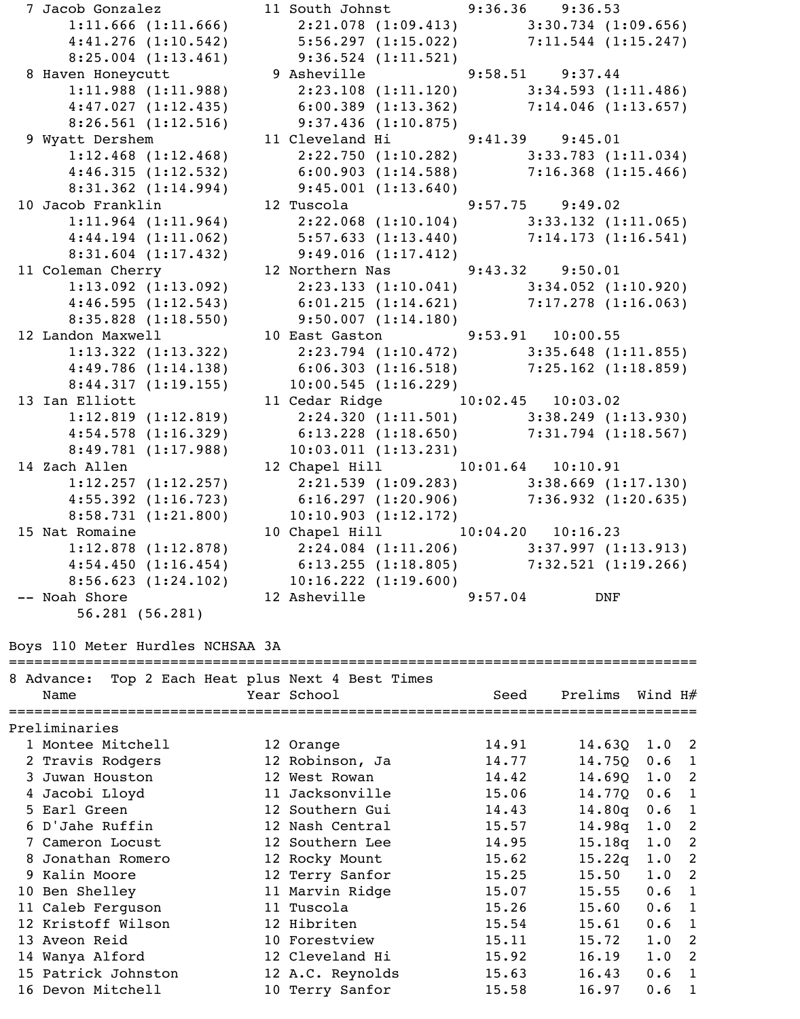7 Jacob Gonzalez 11 South Johnst 9:36.36 9:36.53 1:11.666 (1:11.666) 2:21.078 (1:09.413) 3:30.734 (1:09.656) 4:41.276 (1:10.542) 5:56.297 (1:15.022) 7:11.544 (1:15.247) 8:25.004 (1:13.461) 9:36.524 (1:11.521) 8 Haven Honeycutt 9 Asheville 9:58.51 9:37.44 1:11.988 (1:11.988) 2:23.108 (1:11.120) 3:34.593 (1:11.486) 4:47.027 (1:12.435) 6:00.389 (1:13.362) 7:14.046 (1:13.657) 8:26.561 (1:12.516) 9:37.436 (1:10.875) 9 Wyatt Dershem 11 Cleveland Hi 9:41.39 9:45.01 1:12.468 (1:12.468) 2:22.750 (1:10.282) 3:33.783 (1:11.034) 4:46.315 (1:12.532) 6:00.903 (1:14.588) 7:16.368 (1:15.466) 8:31.362 (1:14.994) 9:45.001 (1:13.640) 10 Jacob Franklin 12 Tuscola 9:57.75 9:49.02 1:11.964 (1:11.964) 2:22.068 (1:10.104) 3:33.132 (1:11.065) 4:44.194 (1:11.062) 5:57.633 (1:13.440) 7:14.173 (1:16.541) 8:31.604 (1:17.432) 9:49.016 (1:17.412) 11 Coleman Cherry 12 Northern Nas 9:43.32 9:50.01 1:13.092 (1:13.092) 2:23.133 (1:10.041) 3:34.052 (1:10.920) 4:46.595 (1:12.543) 6:01.215 (1:14.621) 7:17.278 (1:16.063) 8:35.828 (1:18.550) 9:50.007 (1:14.180) 12 Landon Maxwell 10 East Gaston 9:53.91 10:00.55 1:13.322 (1:13.322) 2:23.794 (1:10.472) 3:35.648 (1:11.855) 4:49.786 (1:14.138) 6:06.303 (1:16.518) 7:25.162 (1:18.859) 8:44.317 (1:19.155) 10:00.545 (1:16.229) 13 Ian Elliott 11 Cedar Ridge 10:02.45 10:03.02 1:12.819 (1:12.819) 2:24.320 (1:11.501) 3:38.249 (1:13.930) 4:54.578 (1:16.329) 6:13.228 (1:18.650) 7:31.794 (1:18.567) 8:49.781 (1:17.988) 10:03.011 (1:13.231) 14 Zach Allen 12 Chapel Hill 10:01.64 10:10.91 1:12.257 (1:12.257) 2:21.539 (1:09.283) 3:38.669 (1:17.130) 4:55.392 (1:16.723) 6:16.297 (1:20.906) 7:36.932 (1:20.635) 8:58.731 (1:21.800) 10:10.903 (1:12.172) 15 Nat Romaine 10 Chapel Hill 10:04.20 10:16.23 1:12.878 (1:12.878) 2:24.084 (1:11.206) 3:37.997 (1:13.913) 4:54.450 (1:16.454) 6:13.255 (1:18.805) 7:32.521 (1:19.266) 8:56.623 (1:24.102) 10:16.222 (1:19.600) -- Noah Shore 12 Asheville 9:57.04 DNF 56.281 (56.281) Boys 110 Meter Hurdles NCHSAA 3A ================================================================================= 8 Advance: Top 2 Each Heat plus Next 4 Best Times Name  $Year School$   $Year School$   $Seed$   $Prelims$   $Wind$   $H#$ ================================================================================= Preliminaries 1 Montee Mitchell 12 Orange 14.91 14.63Q 1.0 2 2 Travis Rodgers 12 Robinson, Ja 14.77 14.75Q 0.6 1 3 Juwan Houston 12 West Rowan 14.42 14.69Q 1.0 2 4 Jacobi Lloyd 11 Jacksonville 15.06 14.77Q 0.6 1 5 Earl Green 12 Southern Gui 14.43 14.80q 0.6 1 6 D'Jahe Ruffin 12 Nash Central 15.57 14.98q 1.0 2 7 Cameron Locust 12 Southern Lee 14.95 15.18q 1.0 2 8 Jonathan Romero 12 Rocky Mount 15.62 15.22q 1.0 2 9 Kalin Moore 12 Terry Sanfor 15.25 15.50 1.0 2 10 Ben Shelley 11 Marvin Ridge 15.07 15.55 0.6 1 11 Caleb Ferguson 11 Tuscola 15.26 15.60 0.6 1 12 Kristoff Wilson 12 Hibriten 15.54 15.61 0.6 1 13 Aveon Reid 10 Forestview 15.11 15.72 1.0 2 14 Wanya Alford 12 Cleveland Hi 15.92 16.19 1.0 2 15 Patrick Johnston 12 A.C. Reynolds 15.63 16.43 0.6 1

16 Devon Mitchell 10 Terry Sanfor 15.58 16.97 0.6 1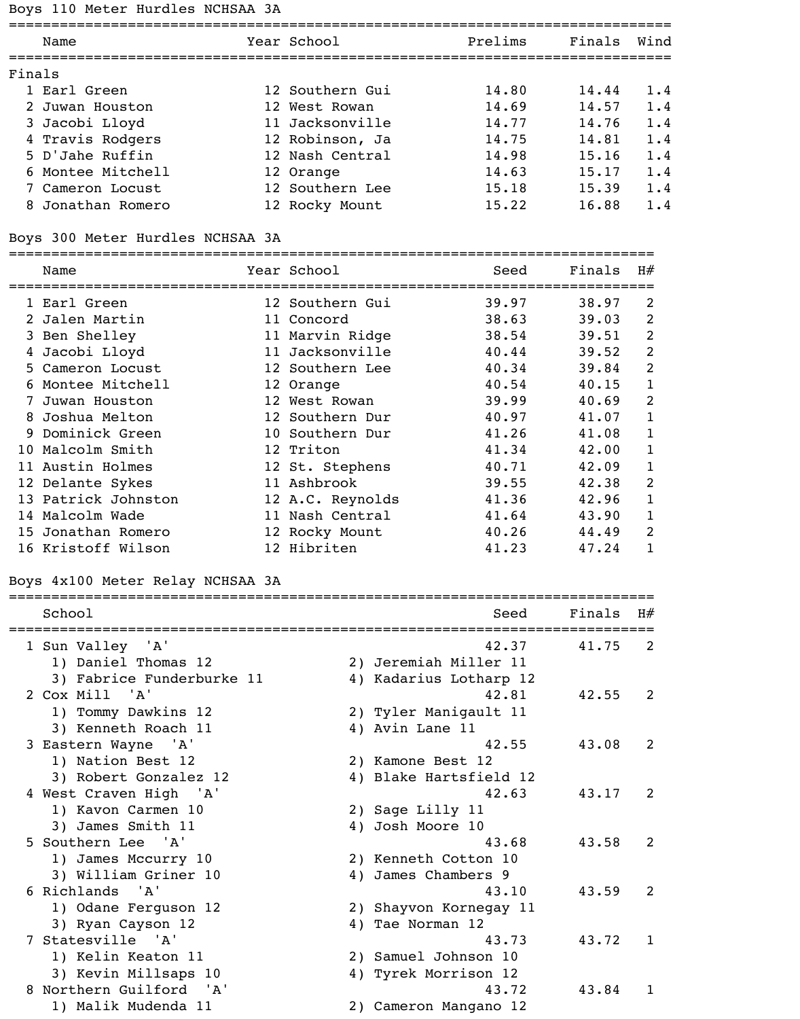# Boys 110 Meter Hurdles NCHSAA 3A

| Name               |                                                                                                                                                                                                                                                                                                                                                                                                                                          |                                  | Prelims                                                                                                                                                                                                                                                                                                                                                                                                                                                        | Finals                                                               | Wind                                                                                                       |
|--------------------|------------------------------------------------------------------------------------------------------------------------------------------------------------------------------------------------------------------------------------------------------------------------------------------------------------------------------------------------------------------------------------------------------------------------------------------|----------------------------------|----------------------------------------------------------------------------------------------------------------------------------------------------------------------------------------------------------------------------------------------------------------------------------------------------------------------------------------------------------------------------------------------------------------------------------------------------------------|----------------------------------------------------------------------|------------------------------------------------------------------------------------------------------------|
|                    |                                                                                                                                                                                                                                                                                                                                                                                                                                          |                                  |                                                                                                                                                                                                                                                                                                                                                                                                                                                                |                                                                      |                                                                                                            |
|                    |                                                                                                                                                                                                                                                                                                                                                                                                                                          |                                  |                                                                                                                                                                                                                                                                                                                                                                                                                                                                |                                                                      | 1.4                                                                                                        |
|                    |                                                                                                                                                                                                                                                                                                                                                                                                                                          |                                  |                                                                                                                                                                                                                                                                                                                                                                                                                                                                |                                                                      | 1.4                                                                                                        |
|                    |                                                                                                                                                                                                                                                                                                                                                                                                                                          |                                  |                                                                                                                                                                                                                                                                                                                                                                                                                                                                |                                                                      | 1.4                                                                                                        |
|                    |                                                                                                                                                                                                                                                                                                                                                                                                                                          |                                  |                                                                                                                                                                                                                                                                                                                                                                                                                                                                |                                                                      | 1.4                                                                                                        |
|                    |                                                                                                                                                                                                                                                                                                                                                                                                                                          |                                  |                                                                                                                                                                                                                                                                                                                                                                                                                                                                |                                                                      | 1.4                                                                                                        |
|                    |                                                                                                                                                                                                                                                                                                                                                                                                                                          |                                  |                                                                                                                                                                                                                                                                                                                                                                                                                                                                |                                                                      | 1.4                                                                                                        |
|                    |                                                                                                                                                                                                                                                                                                                                                                                                                                          |                                  |                                                                                                                                                                                                                                                                                                                                                                                                                                                                |                                                                      | 1.4                                                                                                        |
|                    |                                                                                                                                                                                                                                                                                                                                                                                                                                          |                                  |                                                                                                                                                                                                                                                                                                                                                                                                                                                                |                                                                      | 1.4                                                                                                        |
|                    |                                                                                                                                                                                                                                                                                                                                                                                                                                          |                                  |                                                                                                                                                                                                                                                                                                                                                                                                                                                                |                                                                      |                                                                                                            |
|                    |                                                                                                                                                                                                                                                                                                                                                                                                                                          |                                  |                                                                                                                                                                                                                                                                                                                                                                                                                                                                |                                                                      |                                                                                                            |
| Name               |                                                                                                                                                                                                                                                                                                                                                                                                                                          |                                  | Seed                                                                                                                                                                                                                                                                                                                                                                                                                                                           | Finals                                                               | H#                                                                                                         |
|                    |                                                                                                                                                                                                                                                                                                                                                                                                                                          |                                  |                                                                                                                                                                                                                                                                                                                                                                                                                                                                |                                                                      |                                                                                                            |
|                    |                                                                                                                                                                                                                                                                                                                                                                                                                                          |                                  | 39.97                                                                                                                                                                                                                                                                                                                                                                                                                                                          | 38.97                                                                | 2                                                                                                          |
|                    |                                                                                                                                                                                                                                                                                                                                                                                                                                          |                                  | 38.63                                                                                                                                                                                                                                                                                                                                                                                                                                                          | 39.03                                                                | 2                                                                                                          |
|                    |                                                                                                                                                                                                                                                                                                                                                                                                                                          |                                  | 38.54                                                                                                                                                                                                                                                                                                                                                                                                                                                          | 39.51                                                                | $\overline{2}$                                                                                             |
|                    |                                                                                                                                                                                                                                                                                                                                                                                                                                          |                                  | 40.44                                                                                                                                                                                                                                                                                                                                                                                                                                                          | 39.52                                                                | $\overline{2}$                                                                                             |
| Cameron Locust     |                                                                                                                                                                                                                                                                                                                                                                                                                                          |                                  | 40.34                                                                                                                                                                                                                                                                                                                                                                                                                                                          | 39.84                                                                | $\overline{2}$                                                                                             |
|                    |                                                                                                                                                                                                                                                                                                                                                                                                                                          |                                  | 40.54                                                                                                                                                                                                                                                                                                                                                                                                                                                          | 40.15                                                                | $\mathbf{1}$                                                                                               |
|                    |                                                                                                                                                                                                                                                                                                                                                                                                                                          |                                  | 39.99                                                                                                                                                                                                                                                                                                                                                                                                                                                          | 40.69                                                                | $\overline{2}$                                                                                             |
|                    |                                                                                                                                                                                                                                                                                                                                                                                                                                          |                                  | 40.97                                                                                                                                                                                                                                                                                                                                                                                                                                                          | 41.07                                                                | $\mathbf{1}$                                                                                               |
|                    |                                                                                                                                                                                                                                                                                                                                                                                                                                          |                                  | 41.26                                                                                                                                                                                                                                                                                                                                                                                                                                                          | 41.08                                                                | $\mathbf{1}$                                                                                               |
|                    |                                                                                                                                                                                                                                                                                                                                                                                                                                          |                                  | 41.34                                                                                                                                                                                                                                                                                                                                                                                                                                                          | 42.00                                                                | $\mathbf{1}$                                                                                               |
|                    |                                                                                                                                                                                                                                                                                                                                                                                                                                          |                                  | 40.71                                                                                                                                                                                                                                                                                                                                                                                                                                                          | 42.09                                                                | $\mathbf{1}$                                                                                               |
|                    |                                                                                                                                                                                                                                                                                                                                                                                                                                          |                                  | 39.55                                                                                                                                                                                                                                                                                                                                                                                                                                                          | 42.38                                                                | 2                                                                                                          |
|                    |                                                                                                                                                                                                                                                                                                                                                                                                                                          |                                  | 41.36                                                                                                                                                                                                                                                                                                                                                                                                                                                          | 42.96                                                                | $\mathbf{1}$                                                                                               |
|                    |                                                                                                                                                                                                                                                                                                                                                                                                                                          |                                  | 41.64                                                                                                                                                                                                                                                                                                                                                                                                                                                          | 43.90                                                                | $\mathbf{1}$                                                                                               |
|                    |                                                                                                                                                                                                                                                                                                                                                                                                                                          |                                  | 40.26                                                                                                                                                                                                                                                                                                                                                                                                                                                          | 44.49                                                                | 2                                                                                                          |
| 16 Kristoff Wilson |                                                                                                                                                                                                                                                                                                                                                                                                                                          |                                  | 41.23                                                                                                                                                                                                                                                                                                                                                                                                                                                          | 47.24                                                                | $\mathbf{1}$                                                                                               |
|                    | Finals<br>1 Earl Green<br>2 Juwan Houston<br>Jacobi Lloyd<br>4 Travis Rodgers<br>5 D'Jahe Ruffin<br>Montee Mitchell<br>7 Cameron Locust<br>8 Jonathan Romero<br>1 Earl Green<br>2 Jalen Martin<br>3 Ben Shelley<br>4 Jacobi Lloyd<br>6 Montee Mitchell<br>7 Juwan Houston<br>Joshua Melton<br>Dominick Green<br>10 Malcolm Smith<br>11 Austin Holmes<br>12 Delante Sykes<br>13 Patrick Johnston<br>14 Malcolm Wade<br>15 Jonathan Romero | Boys 300 Meter Hurdles NCHSAA 3A | Year School<br>12 Southern Gui<br>12 West Rowan<br>11 Jacksonville<br>12 Robinson, Ja<br>12 Nash Central<br>12 Orange<br>12 Southern Lee<br>12 Rocky Mount<br>Year School<br>12 Southern Gui<br>11 Concord<br>11 Marvin Ridge<br>11 Jacksonville<br>12 Southern Lee<br>12 Orange<br>12 West Rowan<br>12 Southern Dur<br>10 Southern Dur<br>12 Triton<br>12 St. Stephens<br>11 Ashbrook<br>12 A.C. Reynolds<br>11 Nash Central<br>12 Rocky Mount<br>12 Hibriten | 14.80<br>14.69<br>14.77<br>14.75<br>14.98<br>14.63<br>15.18<br>15.22 | ==================================<br>14.44<br>14.57<br>14.76<br>14.81<br>15.16<br>15.17<br>15.39<br>16.88 |

# Boys 4x100 Meter Relay NCHSAA 3A

| School                                                             | Seed                                                     | Finals | H#             |
|--------------------------------------------------------------------|----------------------------------------------------------|--------|----------------|
| 1 Sun Valley 'A'<br>1) Daniel Thomas 12                            | 42.37<br>2) Jeremiah Miller 11                           | 41.75  | 2              |
| 3) Fabrice Funderburke 11<br>2 Cox Mill 'A'<br>1) Tommy Dawkins 12 | 4) Kadarius Lotharp 12<br>42.81<br>2) Tyler Manigault 11 | 42.55  | 2              |
| 3) Kenneth Roach 11<br>3 Eastern Wayne 'A'<br>1) Nation Best 12    | 4) Avin Lane 11<br>42.55<br>2) Kamone Best 12            | 43.08  | 2              |
| 3) Robert Gonzalez 12<br>4 West Craven High 'A'                    | 4) Blake Hartsfield 12<br>42.63                          | 43.17  | 2              |
| 1) Kavon Carmen 10<br>3) James Smith 11<br>5 Southern Lee 'A'      | 2) Sage Lilly 11<br>4) Josh Moore 10<br>43.68            | 43.58  | $\overline{2}$ |
| 1) James Mccurry 10<br>3) William Griner 10<br>6 Richlands 'A'     | 2) Kenneth Cotton 10<br>4) James Chambers 9<br>43.10     | 43.59  | 2              |
| 1) Odane Ferguson 12<br>3) Ryan Cayson 12                          | 2) Shayvon Kornegay 11<br>4) Tae Norman 12               |        |                |
| 7 Statesville 'A'<br>1) Kelin Keaton 11<br>3) Kevin Millsaps 10    | 43.73<br>2) Samuel Johnson 10<br>4) Tyrek Morrison 12    | 43.72  | 1              |
| 8 Northern Guilford 'A'<br>1) Malik Mudenda 11                     | 43.72<br>2) Cameron Mangano 12                           | 43.84  | 1              |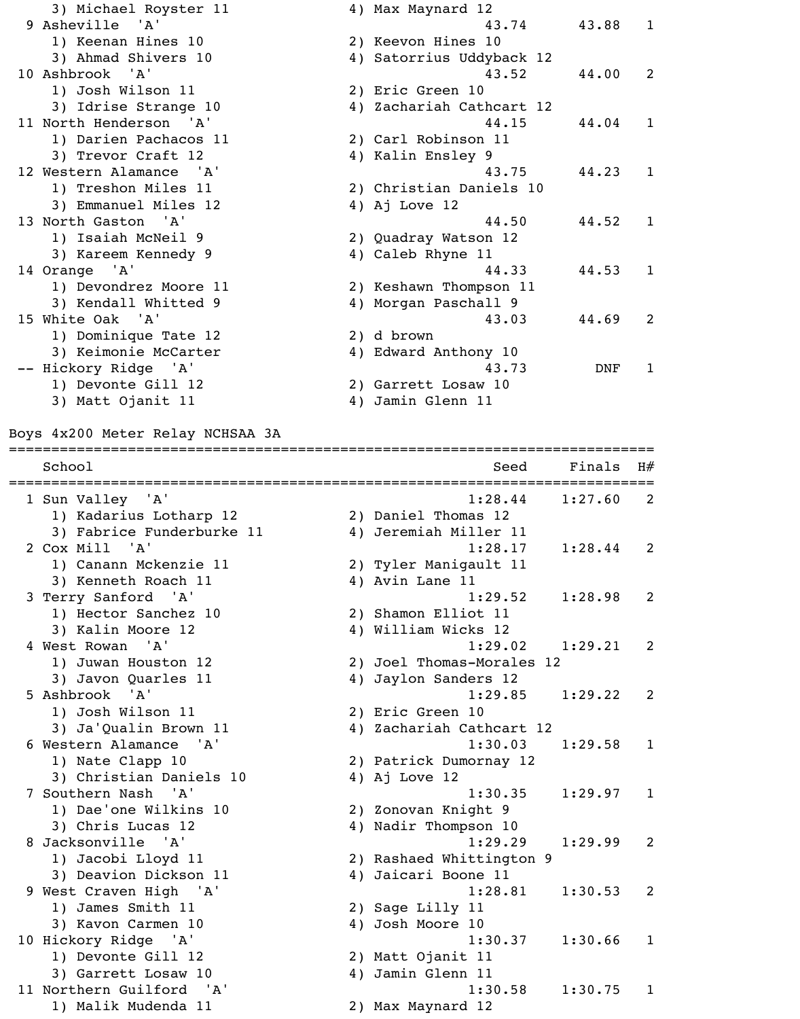| 3) Michael Royster 11   |    | 4) Max Maynard 12        |         |              |
|-------------------------|----|--------------------------|---------|--------------|
| 9 Asheville 'A'         |    | 43.74                    | 43.88 1 |              |
| 1) Keenan Hines 10      |    | 2) Keevon Hines 10       |         |              |
| 3) Ahmad Shivers 10     |    | 4) Satorrius Uddyback 12 |         |              |
| 10 Ashbrook 'A'         |    | 43.52                    | 44.00   | 2            |
| 1) Josh Wilson 11       |    | 2) Eric Green 10         |         |              |
| 3) Idrise Strange 10    |    | 4) Zachariah Cathcart 12 |         |              |
| 11 North Henderson 'A'  |    | 44.15                    | 44.04   | $\mathbf{1}$ |
| 1) Darien Pachacos 11   |    | 2) Carl Robinson 11      |         |              |
| 3) Trevor Craft 12      |    | 4) Kalin Ensley 9        |         |              |
| 12 Western Alamance 'A' |    | 43.75                    | 44.23   | $\mathbf{1}$ |
| 1) Treshon Miles 11     |    | 2) Christian Daniels 10  |         |              |
| 3) Emmanuel Miles 12    |    | 4) Aj Love $12$          |         |              |
| 13 North Gaston 'A'     |    | 44.50                    | 44.52   | 1            |
| 1) Isaiah McNeil 9      |    | 2) Quadray Watson 12     |         |              |
| 3) Kareem Kennedy 9     |    | 4) Caleb Rhyne 11        |         |              |
| 14 Orange 'A'           |    | 44.33                    | 44.53   | $\mathbf{1}$ |
| 1) Devondrez Moore 11   |    | 2) Keshawn Thompson 11   |         |              |
| 3) Kendall Whitted 9    |    | 4) Morgan Paschall 9     |         |              |
| 15 White Oak 'A'        |    | 43.03                    | 44.69   | 2            |
| 1) Dominique Tate 12    |    | 2) d brown               |         |              |
| 3) Keimonie McCarter    |    | 4) Edward Anthony 10     |         |              |
| -- Hickory Ridge 'A'    |    | 43.73                    | DNF     | 1            |
| 1) Devonte Gill 12      |    | 2) Garrett Losaw 10      |         |              |
| 3) Matt Ojanit 11       | 4) | Jamin Glenn 11           |         |              |

Boys 4x200 Meter Relay NCHSAA 3A

============================================================================ School Seed Finals H# ============================================================================ 1 Sun Valley 'A' 1:28.44 1:27.60 2 1) Kadarius Lotharp 12 2) Daniel Thomas 12 3) Fabrice Funderburke 11 (4) Jeremiah Miller 11 2 Cox Mill 'A' 1:28.17 1:28.44 2 1) Canann Mckenzie 11 12) Tyler Manigault 11 3) Kenneth Roach 11 4) Avin Lane 11 3 Terry Sanford 'A' 1:29.52 1:28.98 2 1) Hector Sanchez 10 2) Shamon Elliot 11 3) Kalin Moore 12 4) William Wicks 12 4 West Rowan 'A' 1:29.02 1:29.21 2 1) Juwan Houston 12 2) Joel Thomas-Morales 12 3) Javon Quarles 11 (4) Jaylon Sanders 12 5 Ashbrook 'A' 1:29.85 1:29.22 2 1) Josh Wilson 11 2) Eric Green 10 3) Ja'Qualin Brown 11 4) Zachariah Cathcart 12 6 Western Alamance 'A' 1:30.03 1:29.58 1 1) Nate Clapp 10 2) Patrick Dumornay 12 3) Christian Daniels 10 4) Aj Love 12 7 Southern Nash 'A' 1:30.35 1:29.97 1 1) Dae'one Wilkins 10 2) Zonovan Knight 9 3) Chris Lucas 12 4) Nadir Thompson 10 8 Jacksonville 'A' 1:29.29 1:29.99 2 1) Jacobi Lloyd 11 2) Rashaed Whittington 9 3) Deavion Dickson 11 4) Jaicari Boone 11 9 West Craven High 'A' 1:28.81 1:30.53 2 1) James Smith 11 2) Sage Lilly 11 3) Kavon Carmen 10 4) Josh Moore 10 10 Hickory Ridge 'A' 1:30.37 1:30.66 1 1) Devonte Gill 12 2) Matt Ojanit 11 3) Garrett Losaw 10 4) Jamin Glenn 11 11 Northern Guilford 'A' 1:30.58 1:30.75 1 1) Malik Mudenda 11 2) Max Maynard 12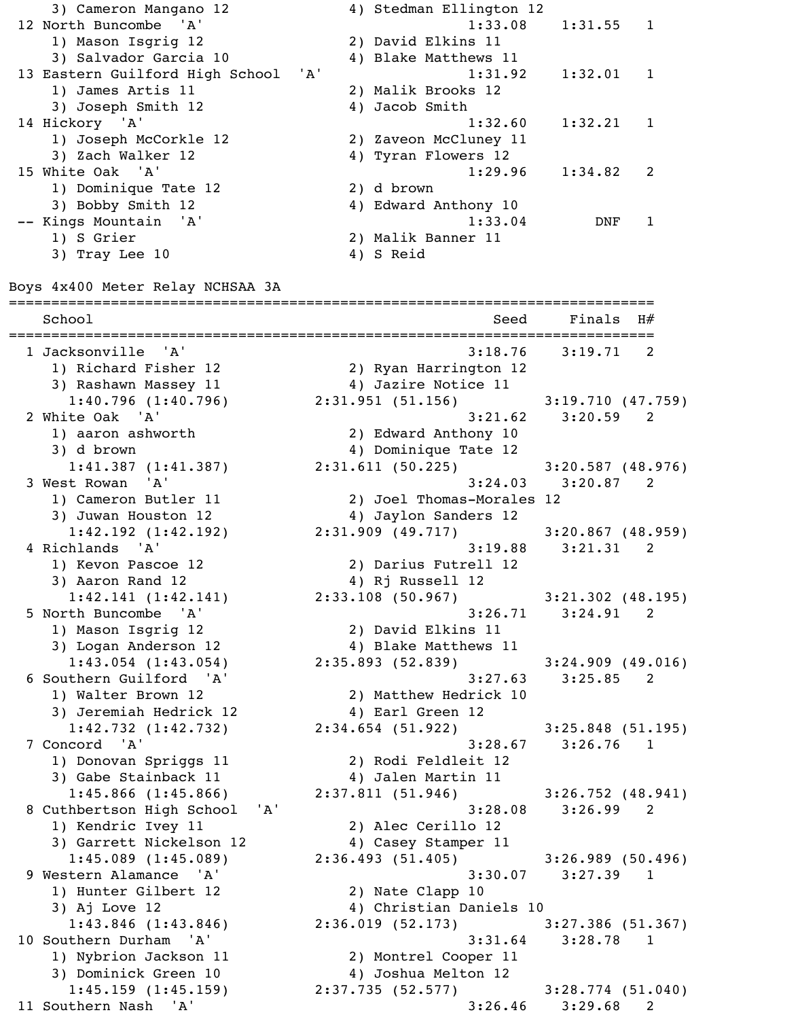3) Cameron Mangano 12 4) Stedman Ellington 12 12 North Buncombe 'A' 1:33.08 1:31.55 1 1) Mason Isgrig 12 2) David Elkins 11 3) Salvador Garcia 10 4) Blake Matthews 11 13 Eastern Guilford High School 'A' 1:31.92 1:32.01 1 1) James Artis 11 2) Malik Brooks 12 3) Joseph Smith 12 4) Jacob Smith 14 Hickory 'A' 1:32.60 1:32.21 1 1) Joseph McCorkle 12 2) Zaveon McCluney 11 3) Zach Walker 12 4) Tyran Flowers 12 15 White Oak 'A' 1:29.96 1:34.82 2 1) Dominique Tate 12 2) d brown 3) Bobby Smith 12 4) Edward Anthony 10 -- Kings Mountain 'A' 1:33.04 DNF 1 1) S Grier 2) Malik Banner 11 3) Tray Lee 10 4) S Reid

Boys 4x400 Meter Relay NCHSAA 3A

============================================================================ School Seed Finals H# ============================================================================ 1 Jacksonville 'A' 3:18.76 3:19.71 2 1) Richard Fisher 12 (2) Ryan Harrington 12<br>3) Rashawn Massey 11 (2) 4) Jazire Notice 11 3) Rashawn Massey 11 1:40.796 (1:40.796) 2:31.951 (51.156) 3:19.710 (47.759) 2 White Oak 'A' 3:21.62 3:20.59 2 1) aaron ashworth 2) Edward Anthony 10 3) d brown 3) d brown 4) Dominique Tate 12 1:41.387 (1:41.387) 2:31.611 (50.225) 3:20.587 (48.976) 3 West Rowan 'A' 3:24.03 3:20.87 2 1) Cameron Butler 11 2) Joel Thomas-Morales 12 3) Juwan Houston 12 4) Jaylon Sanders 12 1:42.192 (1:42.192) 2:31.909 (49.717) 3:20.867 (48.959) 4 Richlands 'A' 3:19.88 3:21.31 2 1) Kevon Pascoe 12 2) Darius Futrell 12 3) Aaron Rand 12 4) Rj Russell 12 1:42.141 (1:42.141) 2:33.108 (50.967) 3:21.302 (48.195) 5 North Buncombe 'A' 3:26.71 3:24.91 2 1) Mason Isgrig 12 2) David Elkins 11 3) Logan Anderson 12 4) Blake Matthews 11 1:43.054 (1:43.054) 2:35.893 (52.839) 3:24.909 (49.016) 6 Southern Guilford 'A' 3:27.63 3:25.85 2 1) Walter Brown 12 2) Matthew Hedrick 10 3) Jeremiah Hedrick 12 4) Earl Green 12 1:42.732 (1:42.732) 2:34.654 (51.922) 3:25.848 (51.195) 7 Concord 'A' 3:28.67 3:26.76 1 1) Donovan Spriggs 11 2) Rodi Feldleit 12 3) Gabe Stainback 11 4) Jalen Martin 11 1:45.866 (1:45.866) 2:37.811 (51.946) 3:26.752 (48.941) 8 Cuthbertson High School 'A' 3:28.08 3:26.99 2 1) Kendric Ivey 11 2) Alec Cerillo 12 3) Garrett Nickelson 12 4) Casey Stamper 11 1:45.089 (1:45.089) 2:36.493 (51.405) 3:26.989 (50.496) 9 Western Alamance 'A' 3:30.07 3:27.39 1 1) Hunter Gilbert 12 2) Nate Clapp 10 3) Aj Love 12 4) Christian Daniels 10 1:43.846 (1:43.846) 2:36.019 (52.173) 3:27.386 (51.367) 10 Southern Durham 'A' 3:31.64 3:28.78 1 1) Nybrion Jackson 11 2) Montrel Cooper 11 3) Dominick Green 10 4) Joshua Melton 12 1:45.159 (1:45.159) 2:37.735 (52.577) 3:28.774 (51.040) 11 Southern Nash 'A' 3:26.46 3:29.68 2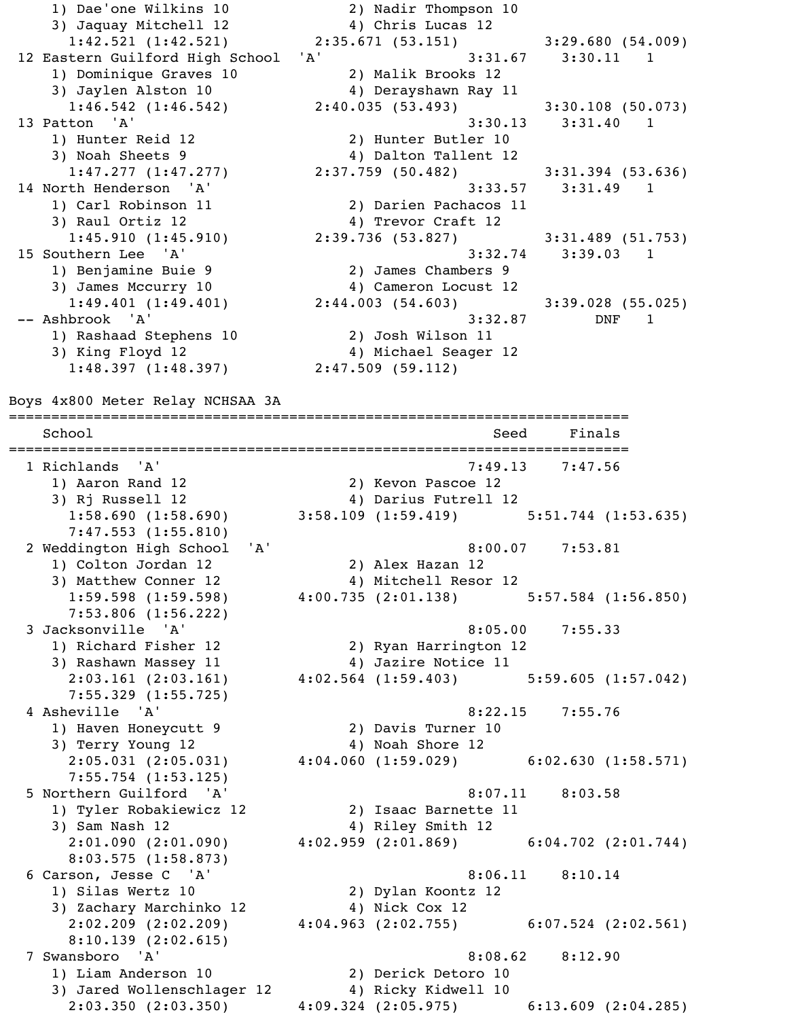1) Dae'one Wilkins 10 2) Nadir Thompson 10 3) Jaquay Mitchell 12 4) Chris Lucas 12 12 Eastern Guilford High School 'A' 3:31.67 3:30.11 1 1) Dominique Graves 10 2) Malik Brooks 12 3) Jaylen Alston 10 4) Derayshawn Ray 11 13 Patton 'A' 3:30.13 3:31.40 1 1) Hunter Reid 12 2) Hunter Butler 10 3) Noah Sheets 9 4) Dalton Tallent 12 14 North Henderson 'A' 3:33.57 3:31.49 1 1) Carl Robinson 11 2) Darien Pachacos 11 3) Raul Ortiz 12 (2008) 4) Trevor Craft 12 15 Southern Lee 'A' 3:32.74 3:39.03 1 1) Benjamine Buie 9 2) James Chambers 9 3) James Mccurry 10 4) Cameron Locust 12 -- Ashbrook 'A' 3:32.87 DNF 1 1) Rashaad Stephens 10 2) Josh Wilson 11 3) King Floyd 12 4) Michael Seager 12  $\overline{1:48.397}$   $\overline{1:48.397}$   $\overline{2:47.509}$  (59.112)

 1:42.521 (1:42.521) 2:35.671 (53.151) 3:29.680 (54.009) 1:46.542 (1:46.542) 2:40.035 (53.493) 3:30.108 (50.073)  $1:47.277$  (1:47.277) 2:37.759 (50.482) 3:31.394 (53.636) 1:45.910 (1:45.910) 2:39.736 (53.827) 3:31.489 (51.753) 1:49.401 (1:49.401) 2:44.003 (54.603) 3:39.028 (55.025)

Boys 4x800 Meter Relay NCHSAA 3A

========================================================================= School School Seed Finals ========================================================================= 1 Richlands 'A' 7:49.13 7:47.56 1) Aaron Rand 12 2) Kevon Pascoe 12<br>3) Ri Russell 12 2 1) Al Darius Futroll 1 3) Rj Russell 12 4) Darius Futrell 12 1:58.690 (1:58.690) 3:58.109 (1:59.419) 5:51.744 (1:53.635) 7:47.553 (1:55.810) 2 Weddington High School 'A' 8:00.07 7:53.81 1) Colton Jordan 12 2) Alex Hazan 12 3) Matthew Conner 12 4) Mitchell Resor 12 1:59.598 (1:59.598) 4:00.735 (2:01.138) 5:57.584 (1:56.850) 7:53.806 (1:56.222) 3 Jacksonville 'A' 8:05.00 7:55.33 1) Richard Fisher 12 2) Ryan Harrington 12 3) Rashawn Massey 11 4) Jazire Notice 11<br>2:03.161 (2:03.161) 4:02.564 (1:59.403) 2:03.161 (2:03.161) 4:02.564 (1:59.403) 5:59.605 (1:57.042) 7:55.329 (1:55.725) 4 Asheville 'A' 8:22.15 7:55.76 1) Haven Honeycutt 9 2) Davis Turner 10 3) Terry Young 12 4) Noah Shore 12 2:05.031 (2:05.031) 4:04.060 (1:59.029) 6:02.630 (1:58.571) 7:55.754 (1:53.125) 5 Northern Guilford 'A' 8:07.11 8:03.58 1) Tyler Robakiewicz 12 2) Isaac Barnette 11 3) Sam Nash 12 4) Riley Smith 12 2:01.090 (2:01.090) 4:02.959 (2:01.869) 6:04.702 (2:01.744) 8:03.575 (1:58.873) 6 Carson, Jesse C 'A' 8:06.11 8:10.14 1) Silas Wertz 10 2) Dylan Koontz 12 3) Zachary Marchinko 12 4) Nick Cox 12 2:02.209 (2:02.209) 4:04.963 (2:02.755) 6:07.524 (2:02.561) 8:10.139 (2:02.615) 7 Swansboro 'A' 8:08.62 8:12.90 1) Liam Anderson 10 2) Derick Detoro 10 3) Jared Wollenschlager 12 4) Ricky Kidwell 10 2:03.350 (2:03.350) 4:09.324 (2:05.975) 6:13.609 (2:04.285)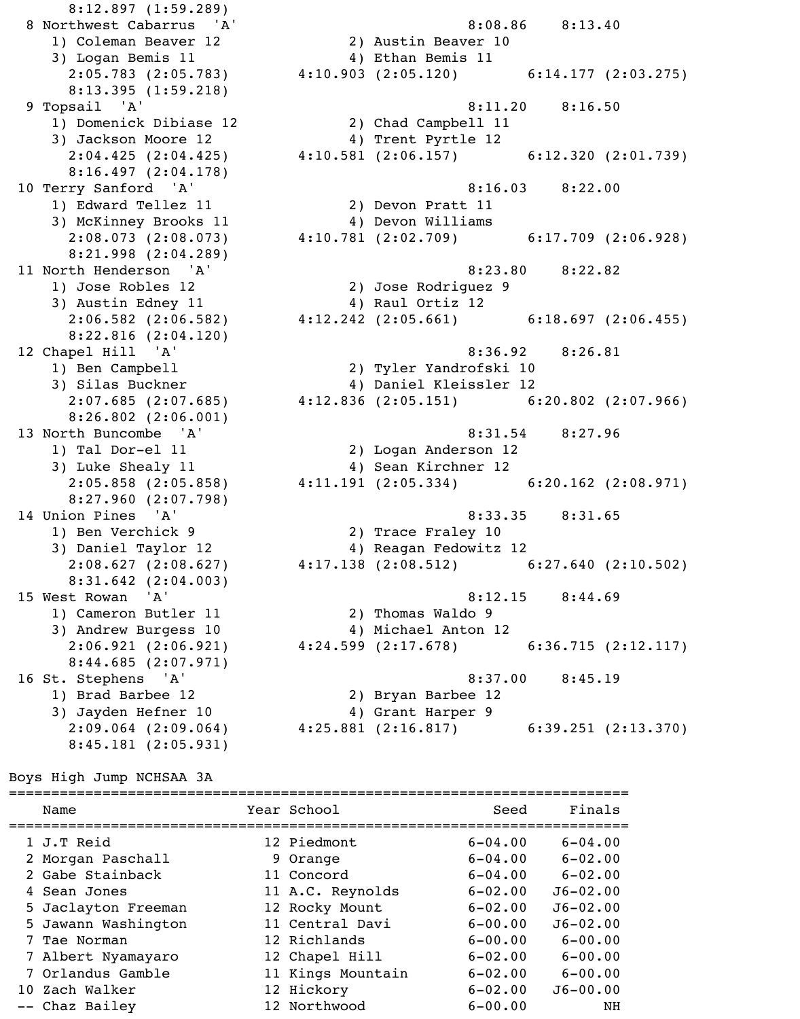8:12.897 (1:59.289) 1) Coleman Beaver 12 2) Austin Beaver 10 3) Logan Bemis 11 (4) Ethan Bemis 11 8:13.395 (1:59.218) 1) Domenick Dibiase 12 2) Chad Campbell 11 3) Jackson Moore 12 (4) Trent Pyrtle 12 8:16.497 (2:04.178) 3) McKinney Brooks 11  $\hskip1cm \hskip1cm 4$ ) Devon Williams 8:21.998 (2:04.289) 1) Jose Robles 12 2) Jose Rodriguez 9 3) Austin Edney 11 (4) Raul Ortiz 12 8:22.816 (2:04.120) 8:26.802 (2:06.001) 1) Tal Dor-el 11 2) Logan Anderson 12 3) Luke Shealy 11  $\hskip1cm \hskip1cm 4$ ) Sean Kirchner 12 8:27.960 (2:07.798) 1) Ben Verchick 9 2) Trace Fraley 10 8:31.642 (2:04.003) 1) Cameron Butler 11 2) Thomas Waldo 9 3) Andrew Burgess 10 4) Michael Anton 12 8:44.685 (2:07.971) 1) Brad Barbee 12 2) Bryan Barbee 12 3) Jayden Hefner 10 4) Grant Harper 9

8 Northwest Cabarrus 'A' 3:08.86 8:13.40 2:05.783 (2:05.783) 4:10.903 (2:05.120) 6:14.177 (2:03.275) 9 Topsail 'A' 8:11.20 8:16.50 2:04.425 (2:04.425) 4:10.581 (2:06.157) 6:12.320 (2:01.739) 10 Terry Sanford 'A' 8:16.03 8:22.00 1) Edward Tellez 11 2) Devon Pratt 11<br>3) McKinney Brooks 11 4) Devon Williams 2:08.073 (2:08.073) 4:10.781 (2:02.709) 6:17.709 (2:06.928) 11 North Henderson 'A' 8:23.80 8:22.82 2:06.582 (2:06.582) 4:12.242 (2:05.661) 6:18.697 (2:06.455) 12 Chapel Hill 'A' 8:36.92 8:26.81 1) Ben Campbell 2) Tyler Yandrofski 10 3) Silas Buckner 4) Daniel Kleissler 12 2:07.685 (2:07.685) 4:12.836 (2:05.151) 6:20.802 (2:07.966) 13 North Buncombe 'A' 8:31.54 8:27.96  $2:05.858$  (2:05.858) 4:11.191 (2:05.334) 6:20.162 (2:08.971) 14 Union Pines 'A' 8:33.35 8:31.65 3) Daniel Taylor 12 4) Reagan Fedowitz 12 2:08.627 (2:08.627) 4:17.138 (2:08.512) 6:27.640 (2:10.502) 15 West Rowan 'A' 8:12.15 8:44.69 2:06.921 (2:06.921) 4:24.599 (2:17.678) 6:36.715 (2:12.117) 16 St. Stephens 'A' 8:37.00 8:45.19 2:09.064 (2:09.064) 4:25.881 (2:16.817) 6:39.251 (2:13.370)

Boys High Jump NCHSAA 3A

8:45.181 (2:05.931)

| Name                | Year School       | Seed        | Finals       |
|---------------------|-------------------|-------------|--------------|
| 1 J.T Reid          | 12 Piedmont       | $6 - 04.00$ | $6 - 04.00$  |
| 2 Morgan Paschall   | 9 Orange          | $6 - 04.00$ | $6 - 02.00$  |
| 2 Gabe Stainback    | 11 Concord        | $6 - 04.00$ | $6 - 02.00$  |
| 4 Sean Jones        | 11 A.C. Reynolds  | $6 - 02.00$ | $J6 - 02.00$ |
| 5 Jaclayton Freeman | 12 Rocky Mount    | $6 - 02.00$ | $J6 - 02.00$ |
| 5 Jawann Washington | 11 Central Davi   | $6 - 00.00$ | $J6 - 02.00$ |
| 7 Tae Norman        | 12 Richlands      | $6 - 00.00$ | $6 - 00.00$  |
| 7 Albert Nyamayaro  | 12 Chapel Hill    | $6 - 02.00$ | $6 - 00.00$  |
| 7 Orlandus Gamble   | 11 Kings Mountain | $6 - 02.00$ | $6 - 00.00$  |
| 10 Zach Walker      | 12 Hickory        | $6 - 02.00$ | $J6 - 00.00$ |
| -- Chaz Bailey      | 12 Northwood      | $6 - 00.00$ | NΗ           |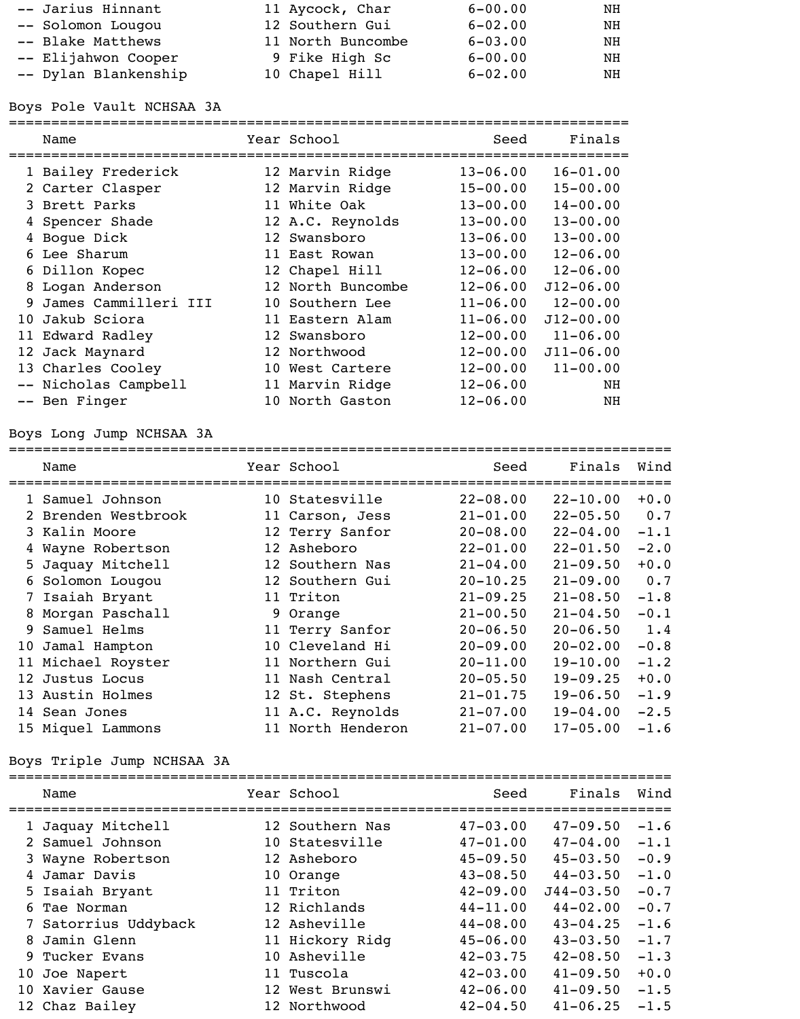| -- Jarius Hinnant    | 11 Aycock, Char   | $6 - 00.00$ | ΝH |
|----------------------|-------------------|-------------|----|
| -- Solomon Lougou    | 12 Southern Gui   | $6 - 02.00$ | NH |
| -- Blake Matthews    | 11 North Buncombe | $6 - 03.00$ | ΝH |
| -- Elijahwon Cooper  | 9 Fike High Sc    | $6 - 00.00$ | NH |
| -- Dylan Blankenship | 10 Chapel Hill    | $6 - 02.00$ | NH |

## Boys Pole Vault NCHSAA 3A

=========================================================================

|   | Name                 | Year School       | Seed         | Finals        |
|---|----------------------|-------------------|--------------|---------------|
|   | 1 Bailey Frederick   | 12 Marvin Ridge   | $13 - 06.00$ | $16 - 01.00$  |
|   | 2 Carter Clasper     | 12 Marvin Ridge   | $15 - 00.00$ | $15 - 00.00$  |
|   | 3 Brett Parks        | 11 White Oak      | $13 - 00.00$ | $14 - 00.00$  |
|   | 4 Spencer Shade      | 12 A.C. Reynolds  | $13 - 00.00$ | $13 - 00.00$  |
|   | 4 Boque Dick         | 12 Swansboro      | $13 - 06.00$ | $13 - 00.00$  |
|   | 6 Lee Sharum         | 11 East Rowan     | $13 - 00.00$ | $12 - 06.00$  |
|   | 6 Dillon Kopec       | 12 Chapel Hill    | $12 - 06.00$ | $12 - 06.00$  |
| 8 | Logan Anderson       | 12 North Buncombe | $12 - 06.00$ | $J12 - 06.00$ |
| 9 | James Cammilleri III | 10 Southern Lee   | $11 - 06.00$ | $12 - 00.00$  |
|   | 10 Jakub Sciora      | 11 Eastern Alam   | $11 - 06.00$ | $J12 - 00.00$ |
|   | 11 Edward Radley     | 12 Swansboro      | $12 - 00.00$ | $11 - 06.00$  |
|   | 12 Jack Maynard      | 12 Northwood      | $12 - 00.00$ | $J11 - 06.00$ |
|   | 13 Charles Cooley    | 10 West Cartere   | $12 - 00.00$ | $11 - 00.00$  |
|   | -- Nicholas Campbell | 11 Marvin Ridge   | $12 - 06.00$ | NH            |
|   | -- Ben Finger        | 10 North Gaston   | $12 - 06.00$ | NH            |

# Boys Long Jump NCHSAA 3A

|    | Name                | Year School       | Seed         | Finals       | Wind   |
|----|---------------------|-------------------|--------------|--------------|--------|
|    | 1 Samuel Johnson    | 10 Statesville    | $22 - 08.00$ | $22 - 10.00$ | $+0.0$ |
|    | 2 Brenden Westbrook | 11 Carson, Jess   | $21 - 01.00$ | $22 - 05.50$ | 0.7    |
|    | 3 Kalin Moore       | 12 Terry Sanfor   | $20 - 08.00$ | $22 - 04.00$ | $-1.1$ |
|    | 4 Wayne Robertson   | 12 Asheboro       | $22 - 01.00$ | $22 - 01.50$ | $-2.0$ |
|    | 5 Jaquay Mitchell   | 12 Southern Nas   | $21 - 04.00$ | $21 - 09.50$ | $+0.0$ |
|    | 6 Solomon Lougou    | 12 Southern Gui   | $20 - 10.25$ | $21 - 09.00$ | 0.7    |
|    | 7 Isaiah Bryant     | 11 Triton         | $21 - 09.25$ | $21 - 08.50$ | $-1.8$ |
| 8  | Morgan Paschall     | 9 Orange          | $21 - 00.50$ | $21 - 04.50$ | $-0.1$ |
| 9. | Samuel Helms        | 11 Terry Sanfor   | $20 - 06.50$ | $20 - 06.50$ | 1.4    |
|    | 10 Jamal Hampton    | 10 Cleveland Hi   | $20 - 09.00$ | $20 - 02.00$ | $-0.8$ |
|    | 11 Michael Royster  | 11 Northern Gui   | $20 - 11.00$ | $19 - 10.00$ | $-1.2$ |
|    | 12 Justus Locus     | 11 Nash Central   | $20 - 05.50$ | $19 - 09.25$ | $+0.0$ |
|    | 13 Austin Holmes    | 12 St. Stephens   | $21 - 01.75$ | $19 - 06.50$ | $-1.9$ |
|    | 14 Sean Jones       | 11 A.C. Reynolds  | $21 - 07.00$ | $19 - 04.00$ | $-2.5$ |
|    | 15 Miquel Lammons   | 11 North Henderon | $21 - 07.00$ | $17 - 05.00$ | $-1.6$ |

# Boys Triple Jump NCHSAA 3A

| Name                 | Year School     | Seed         | Finals        | Wind   |
|----------------------|-----------------|--------------|---------------|--------|
| 1 Jaquay Mitchell    | 12 Southern Nas | $47 - 03.00$ | $47 - 09.50$  | $-1.6$ |
| 2 Samuel Johnson     | 10 Statesville  | $47 - 01.00$ | $47 - 04.00$  | $-1.1$ |
| 3 Wayne Robertson    | 12 Asheboro     | $45 - 09.50$ | $45 - 03.50$  | $-0.9$ |
| Jamar Davis          | 10 Orange       | $43 - 08.50$ | $44 - 03.50$  | $-1.0$ |
| 5 Isaiah Bryant      | 11 Triton       | $42 - 09.00$ | $J44 - 03.50$ | $-0.7$ |
| 6 Tae Norman         | 12 Richlands    | $44 - 11.00$ | $44 - 02.00$  | $-0.7$ |
| 7 Satorrius Uddyback | 12 Asheville    | $44 - 08.00$ | $43 - 04.25$  | $-1.6$ |
| 8 Jamin Glenn        | 11 Hickory Ridq | $45 - 06.00$ | $43 - 03.50$  | $-1.7$ |
| 9 Tucker Evans       | 10 Asheville    | $42 - 03.75$ | $42 - 08.50$  | $-1.3$ |
| 10 Joe Napert        | 11 Tuscola      | $42 - 03.00$ | $41 - 09.50$  | $+0.0$ |
| 10 Xavier Gause      | 12 West Brunswi | $42 - 06.00$ | $41 - 09.50$  | $-1.5$ |
| 12 Chaz Bailey       | 12 Northwood    | $42 - 04.50$ | $41 - 06.25$  | $-1.5$ |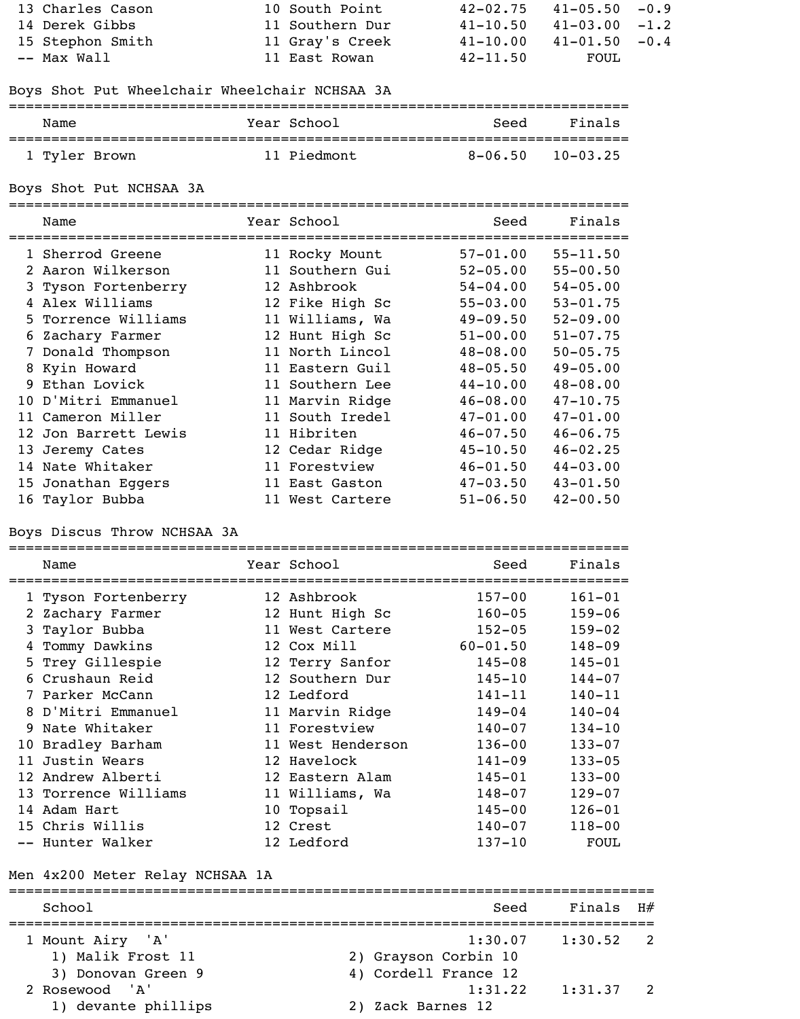| 13 Charles Cason | 10 South Point  | $42 - 02.75$ | $41 - 05.50 - 0.9$ |  |
|------------------|-----------------|--------------|--------------------|--|
| 14 Derek Gibbs   | 11 Southern Dur | $41 - 10.50$ | $41 - 03.00 - 1.2$ |  |
| 15 Stephon Smith | 11 Gray's Creek | $41 - 10.00$ | $41 - 01.50 - 0.4$ |  |
| -- Max Wall      | 11 East Rowan   | $42 - 11.50$ | FOUL               |  |

# Boys Shot Put Wheelchair Wheelchair NCHSAA 3A

| Name          | Year School | Seed        | Finals       |
|---------------|-------------|-------------|--------------|
| 1 Tyler Brown | 11 Piedmont | $8 - 06.50$ | $10 - 03.25$ |

Boys Shot Put NCHSAA 3A

=========================================================================

| Name                 | Year School     | Seed         | Finals       |
|----------------------|-----------------|--------------|--------------|
| 1 Sherrod Greene     | 11 Rocky Mount  | $57 - 01.00$ | $55 - 11.50$ |
| 2 Aaron Wilkerson    | 11 Southern Gui | $52 - 05.00$ | $55 - 00.50$ |
| 3 Tyson Fortenberry  | 12 Ashbrook     | $54 - 04.00$ | $54 - 05.00$ |
| 4 Alex Williams      | 12 Fike High Sc | $55 - 03.00$ | $53 - 01.75$ |
| 5 Torrence Williams  | 11 Williams, Wa | $49 - 09.50$ | $52 - 09.00$ |
| 6 Zachary Farmer     | 12 Hunt High Sc | $51 - 00.00$ | $51 - 07.75$ |
| 7 Donald Thompson    | 11 North Lincol | $48 - 08.00$ | $50 - 05.75$ |
| 8 Kyin Howard        | 11 Eastern Guil | $48 - 05.50$ | $49 - 05.00$ |
| 9 Ethan Lovick       | 11 Southern Lee | $44 - 10.00$ | $48 - 08.00$ |
| 10 D'Mitri Emmanuel  | 11 Marvin Ridge | $46 - 08.00$ | $47 - 10.75$ |
| 11 Cameron Miller    | 11 South Iredel | $47 - 01.00$ | $47 - 01.00$ |
| 12 Jon Barrett Lewis | 11 Hibriten     | $46 - 07.50$ | $46 - 06.75$ |
| 13 Jeremy Cates      | 12 Cedar Ridge  | $45 - 10.50$ | $46 - 02.25$ |
| 14 Nate Whitaker     | 11 Forestview   | $46 - 01.50$ | $44 - 03.00$ |
| 15 Jonathan Eggers   | 11 East Gaston  | $47 - 03.50$ | $43 - 01.50$ |
| 16 Taylor Bubba      | 11 West Cartere | $51 - 06.50$ | $42 - 00.50$ |

### Boys Discus Throw NCHSAA 3A

|   | Name                 | Year School       | Seed<br>====== | Finals      |
|---|----------------------|-------------------|----------------|-------------|
|   | 1 Tyson Fortenberry  | 12 Ashbrook       | $157 - 00$     | $161 - 01$  |
|   | 2 Zachary Farmer     | 12 Hunt High Sc   | $160 - 05$     | $159 - 06$  |
|   | 3 Taylor Bubba       | 11 West Cartere   | $152 - 05$     | $159 - 02$  |
| 4 | Tommy Dawkins        | 12 Cox Mill       | $60 - 01.50$   | $148 - 09$  |
|   | 5 Trey Gillespie     | 12 Terry Sanfor   | $145 - 08$     | $145 - 01$  |
|   | 6 Crushaun Reid      | 12 Southern Dur   | $145 - 10$     | $144 - 07$  |
|   | 7 Parker McCann      | 12 Ledford        | $141 - 11$     | $140 - 11$  |
|   | 8 D'Mitri Emmanuel   | 11 Marvin Ridge   | $149 - 04$     | $140 - 04$  |
|   | 9 Nate Whitaker      | 11 Forestview     | $140 - 07$     | $134 - 10$  |
|   | 10 Bradley Barham    | 11 West Henderson | $136 - 00$     | $133 - 07$  |
|   | 11 Justin Wears      | 12 Havelock       | $141 - 09$     | $133 - 05$  |
|   | 12 Andrew Alberti    | 12 Eastern Alam   | $145 - 01$     | $133 - 00$  |
|   | 13 Torrence Williams | 11 Williams, Wa   | $148 - 07$     | $129 - 07$  |
|   | 14 Adam Hart         | 10 Topsail        | $145 - 00$     | $126 - 01$  |
|   | 15 Chris Willis      | 12 Crest          | $140 - 07$     | $118 - 00$  |
|   | -- Hunter Walker     | 12 Ledford        | $137 - 10$     | <b>FOUL</b> |

# Men 4x200 Meter Relay NCHSAA 1A

| School              | Seed                 | Finals $H#$ |  |
|---------------------|----------------------|-------------|--|
| 1 Mount Airy 'A'    | 1:30.07              | 1:30.52     |  |
| 1) Malik Frost 11   | 2) Grayson Corbin 10 |             |  |
| 3) Donovan Green 9  | 4) Cordell France 12 |             |  |
| 2 Rosewood 'A'      | 1:31.22              | 1:31.37     |  |
| 1) devante phillips | 2) Zack Barnes 12    |             |  |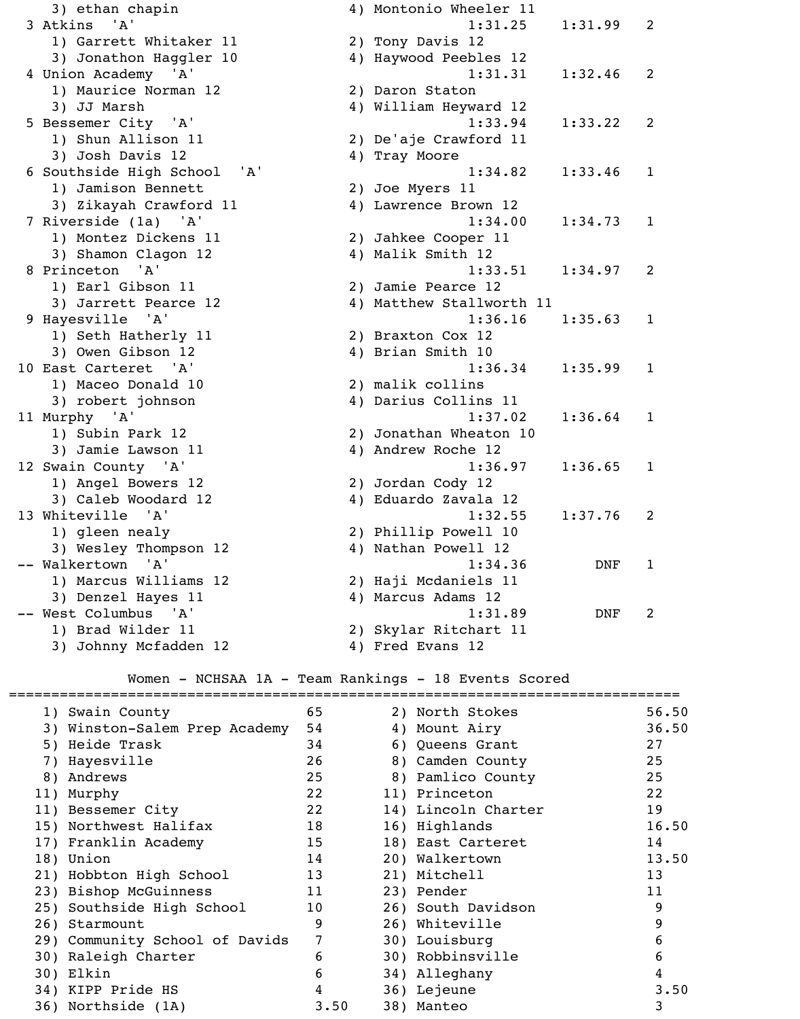3) ethan chapin and the 4) Montonio Wheeler 11 3 Atkins 'A' 1:31.25 1:31.99 2 1) Garrett Whitaker 11 2) Tony Davis 12 3) Jonathon Haggler 10 4) Haywood Peebles 12 4 Union Academy 'A' 1:31.31 1:32.46 2 1) Maurice Norman 12 2) Daron Staton 3) JJ Marsh 4) William Heyward 12 5 Bessemer City 'A' 1:33.94 1:33.22 2 1) Shun Allison 11 2) De'aje Crawford 11 3) Josh Davis 12 4) Tray Moore 6 Southside High School 'A' 1:34.82 1:33.46 1 1) Jamison Bennett 3) Zikayah Crawford 11 7 Riverside (1a) 'A' 1:34.00 1:34.73 1 1) Montez Dickens 11 3) Shamon Clagon 12 8 Princeton 'A' 1:33.51 1:34.97 2 1) Earl Gibson 11 3) Jarrett Pearce 12 9 Hayesville 'A' 1:36.16 1:35.63 1 1) Seth Hatherly 11 3) Owen Gibson 12 10 East Carteret 'A' 1:36.34 1:35.99 1 1) Maceo Donald 10 3) robert johnson 11 Murphy 'A' 1:37.02 1:36.64 1 1) Subin Park 12 3) Jamie Lawson 11 12 Swain County 'A' 1:36.97 1:36.65 1 1) Angel Bowers 12 3) Caleb Woodard 12 13 Whiteville 'A' 1:32.55 1:37.76 2 1) gleen nealy 3) Wesley Thompson 12 -- Walkertown 'A' 1:34.36 DNF 1 1) Marcus Williams 12 3) Denzel Hayes 11 4) Marcus Adams 12 -- West Columbus 'A' 1:31.89 DNF 2 1) Brad Wilder 11 2) Skylar Ritchart 11

| 2) Joe Myers II                                                                                                                                                                                                                                                                                                                                                                           |          |
|-------------------------------------------------------------------------------------------------------------------------------------------------------------------------------------------------------------------------------------------------------------------------------------------------------------------------------------------------------------------------------------------|----------|
| 4) Lawrence Brown 12                                                                                                                                                                                                                                                                                                                                                                      |          |
| 1:34.00                                                                                                                                                                                                                                                                                                                                                                                   | $1:34$ . |
| 2) Jahkee Cooper 11                                                                                                                                                                                                                                                                                                                                                                       |          |
| 4) Malik Smith 12                                                                                                                                                                                                                                                                                                                                                                         |          |
| 1:33.51                                                                                                                                                                                                                                                                                                                                                                                   | 1:34.    |
| 2) Jamie Pearce 12                                                                                                                                                                                                                                                                                                                                                                        |          |
| 4) Matthew Stallworth 11                                                                                                                                                                                                                                                                                                                                                                  |          |
| 1:36.16                                                                                                                                                                                                                                                                                                                                                                                   | $1:35$ . |
| 2) Braxton Cox 12                                                                                                                                                                                                                                                                                                                                                                         |          |
| 4) Brian Smith 10                                                                                                                                                                                                                                                                                                                                                                         |          |
| 1:36.34                                                                                                                                                                                                                                                                                                                                                                                   | 1:35.    |
| 2) malik collins                                                                                                                                                                                                                                                                                                                                                                          |          |
| 4) Darius Collins 11                                                                                                                                                                                                                                                                                                                                                                      |          |
| 1:37.02                                                                                                                                                                                                                                                                                                                                                                                   | 1:36.    |
| 2) Jonathan Wheaton 10                                                                                                                                                                                                                                                                                                                                                                    |          |
| 4) Andrew Roche 12                                                                                                                                                                                                                                                                                                                                                                        |          |
| 1:36.97                                                                                                                                                                                                                                                                                                                                                                                   | 1:36.    |
| 2) Jordan Cody 12                                                                                                                                                                                                                                                                                                                                                                         |          |
| 4) Eduardo Zavala 12                                                                                                                                                                                                                                                                                                                                                                      |          |
| 1:32.55                                                                                                                                                                                                                                                                                                                                                                                   | 1:37.    |
| 2) Phillip Powell 10                                                                                                                                                                                                                                                                                                                                                                      |          |
| 4) Nathan Powell 12                                                                                                                                                                                                                                                                                                                                                                       |          |
| 1:34.36                                                                                                                                                                                                                                                                                                                                                                                   | D        |
| 2) Haji Mcdaniels 11                                                                                                                                                                                                                                                                                                                                                                      |          |
| $\overline{A}$ $\overline{A}$ $\overline{B}$ $\overline{B}$ $\overline{B}$ $\overline{B}$ $\overline{B}$ $\overline{B}$ $\overline{B}$ $\overline{B}$ $\overline{B}$ $\overline{B}$ $\overline{B}$ $\overline{B}$ $\overline{B}$ $\overline{B}$ $\overline{B}$ $\overline{B}$ $\overline{B}$ $\overline{B}$ $\overline{B}$ $\overline{B}$ $\overline{B}$ $\overline{B}$ $\overline{$<br>. |          |

3) Johnny Mcfadden 12 4) Fred Evans 12

## Women - NCHSAA 1A - Team Rankings - 18 Events Scored

| 1) Swain County                | 65             | 2) North Stokes     | 56.50 |
|--------------------------------|----------------|---------------------|-------|
| 3) Winston-Salem Prep Academy  | 54             | 4) Mount Airy       | 36.50 |
| 5) Heide Trask                 | 34             | 6) Queens Grant     | 27    |
| 7) Hayesville                  | 26             | 8) Camden County    | 25    |
| 8) Andrews                     | 25             | 8) Pamlico County   | 25    |
| 11) Murphy                     | 22             | 11) Princeton       | 22    |
| 11) Bessemer City              | 22             | 14) Lincoln Charter | 19    |
| 15) Northwest Halifax          | 18             | 16) Highlands       | 16.50 |
| 17) Franklin Academy           | 15             | 18) East Carteret   | 14    |
| 18) Union                      | 14             | 20) Walkertown      | 13.50 |
| 21) Hobbton High School        | 13             | 21) Mitchell        | 13    |
| 23) Bishop McGuinness          | 11             | 23) Pender          | 11    |
| 25) Southside High School      | 10             | 26) South Davidson  | 9     |
| 26) Starmount                  | 9              | 26) Whiteville      | 9     |
| 29) Community School of Davids | $7\phantom{.}$ | 30) Louisburg       | 6     |
| 30) Raleigh Charter            | 6              | 30) Robbinsville    | 6     |
| 30) Elkin                      | 6              | 34) Alleghany       | 4     |
| 34) KIPP Pride HS              | 4              | 36) Lejeune         | 3.50  |
| 36) Northside (1A)             | 3.50           | 38) Manteo          | 3     |
|                                |                |                     |       |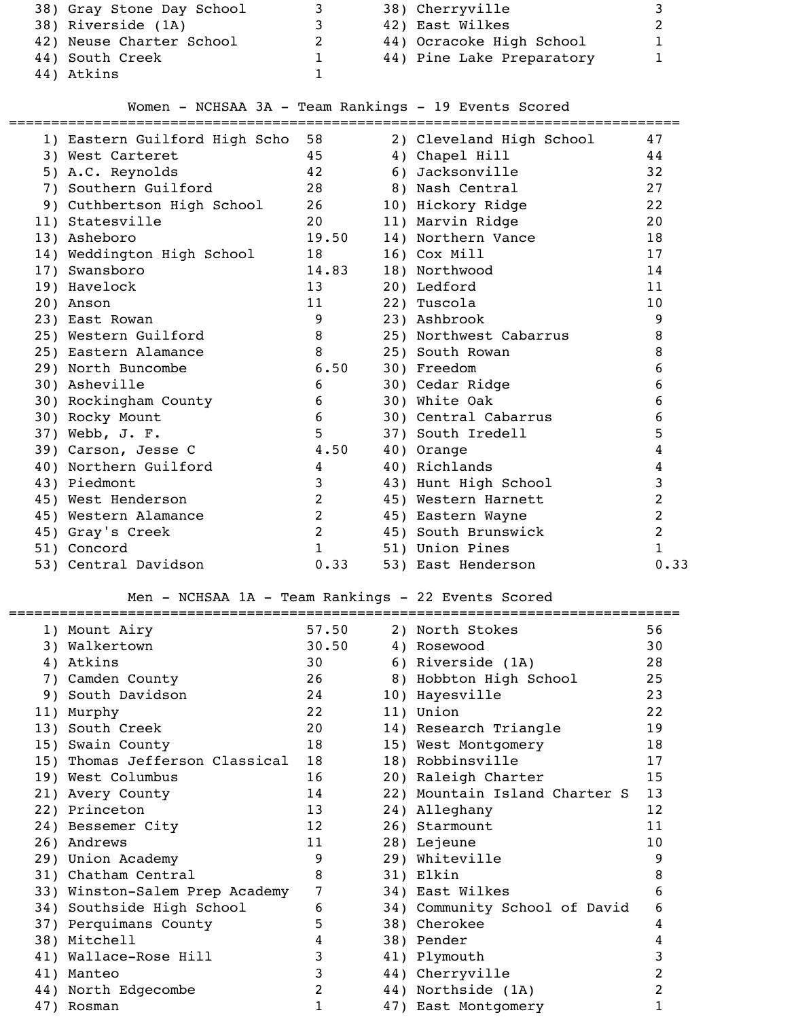| 38) Gray Stone Day School |   | 38) Cherryville           |  |
|---------------------------|---|---------------------------|--|
| 38) Riverside (1A)        | 3 | 42) East Wilkes           |  |
| 42) Neuse Charter School  | 2 | 44) Ocracoke High School  |  |
| 44) South Creek           |   | 44) Pine Lake Preparatory |  |
| 44) Atkins                |   |                           |  |

# Women - NCHSAA 3A - Team Rankings - 19 Events Scored

| 1) Eastern Guilford High Scho                      | 58             |    | 2) Cleveland High School      | 47               |
|----------------------------------------------------|----------------|----|-------------------------------|------------------|
| 3) West Carteret                                   | 45             |    | 4) Chapel Hill                | 44               |
| 5) A.C. Reynolds                                   | 42             | 6) | Jacksonville                  | 32               |
| 7) Southern Guilford                               | 28             |    | 8) Nash Central               | 27               |
| 9) Cuthbertson High School                         | 26             |    | 10) Hickory Ridge             | 22               |
| 11) Statesville                                    | 20             |    | 11) Marvin Ridge              | 20               |
| 13) Asheboro                                       | 19.50          |    | 14) Northern Vance            | 18               |
| 14) Weddington High School                         | 18             |    | 16) Cox Mill                  | 17               |
| 17) Swansboro                                      | 14.83          |    | 18) Northwood                 | 14               |
| 19) Havelock                                       | 13             |    | 20) Ledford                   | 11               |
| 20) Anson                                          | 11             |    | 22) Tuscola                   | 10               |
| 23) East Rowan                                     | 9              |    | 23) Ashbrook                  | 9                |
| 25) Western Guilford                               | 8              |    | 25) Northwest Cabarrus        | 8                |
| 25) Eastern Alamance                               | 8              |    | 25) South Rowan               | 8                |
| 29) North Buncombe                                 | 6.50           |    | 30) Freedom                   | $\boldsymbol{6}$ |
| 30) Asheville                                      | 6              |    | 30) Cedar Ridge               | 6                |
| 30) Rockingham County                              | 6              |    | 30) White Oak                 | 6                |
| 30) Rocky Mount                                    | 6              |    | 30) Central Cabarrus          | 6                |
| 37) Webb, J. F.                                    | 5              |    | 37) South Iredell             | 5                |
| 39) Carson, Jesse C                                | 4.50           |    | 40) Orange                    | 4                |
| 40) Northern Guilford                              | 4              |    | 40) Richlands                 | 4                |
| 43) Piedmont                                       | 3              |    | 43) Hunt High School          | 3                |
| 45) West Henderson                                 | $\overline{2}$ |    | 45) Western Harnett           | $\overline{2}$   |
| 45) Western Alamance                               | $\overline{2}$ |    | 45) Eastern Wayne             | $\overline{c}$   |
| 45) Gray's Creek                                   | $\overline{2}$ |    | 45) South Brunswick           | $\overline{2}$   |
| 51) Concord                                        | $\mathbf{1}$   |    | 51) Union Pines               | $\mathbf{1}$     |
| 53) Central Davidson                               | 0.33           |    | 53) East Henderson            | 0.33             |
|                                                    |                |    |                               |                  |
| Men - NCHSAA 1A - Team Rankings - 22 Events Scored |                |    |                               |                  |
| 1) Mount Airy                                      | 57.50          |    | 2) North Stokes               | 56               |
| 3) Walkertown                                      | 30.50          |    | 4) Rosewood                   | 30               |
| 4) Atkins                                          | 30             |    | 6) Riverside (1A)             | 28               |
| 7) Camden County                                   | 26             |    | 8) Hobbton High School        | 25               |
| 9) South Davidson                                  | 24             |    | 10) Hayesville                | 23               |
| 11) Murphy                                         | 22             |    | 11) Union                     | 22               |
| 13) South Creek                                    | 20             |    | 14) Research Triangle         | 19               |
| 15) Swain County                                   | 18             |    | 15) West Montgomery           | 18               |
| 15) Thomas Jefferson Classical                     | 18             |    | 18) Robbinsville              | 17               |
| 19) West Columbus                                  | 16             |    | 20) Raleigh Charter           | 15               |
| 21) Avery County                                   | 14             |    | 22) Mountain Island Charter S | 13               |
| $221$ Distribution                                 | 1.0.           |    | $241.772 \times 10000$        | $1^{\circ}$      |

|  | 13) South Creek                | 20             | 14) Research Triangle         | 19 |
|--|--------------------------------|----------------|-------------------------------|----|
|  | 15) Swain County               | 18             | 15) West Montgomery           | 18 |
|  | 15) Thomas Jefferson Classical | 18             | 18) Robbinsville              | 17 |
|  | 19) West Columbus              | 16             | 20) Raleigh Charter           | 15 |
|  | 21) Avery County               | 14             | 22) Mountain Island Charter S | 13 |
|  | 22) Princeton                  | 13             | 24) Alleghany                 | 12 |
|  | 24) Bessemer City              | 12             | 26) Starmount                 | 11 |
|  | 26) Andrews                    | 11             | 28) Lejeune                   | 10 |
|  | 29) Union Academy              | 9              | 29) Whiteville                | 9  |
|  | 31) Chatham Central            | 8              | 31) Elkin                     | 8  |
|  | 33) Winston-Salem Prep Academy | 7              | 34) East Wilkes               | 6  |
|  | 34) Southside High School      | 6              | 34) Community School of David | 6  |
|  | 37) Perquimans County          | 5.             | 38) Cherokee                  | 4  |
|  | 38) Mitchell                   | 4              | 38) Pender                    | 4  |
|  | 41) Wallace-Rose Hill          | 3              | 41) Plymouth                  | 3  |
|  | 41) Manteo                     | 3              | 44) Cherryville               | 2  |
|  | 44) North Edgecombe            | $\overline{2}$ | 44) Northside (1A)            | 2  |
|  | 47) Rosman                     |                | 47) East Montgomery           |    |
|  |                                |                |                               |    |